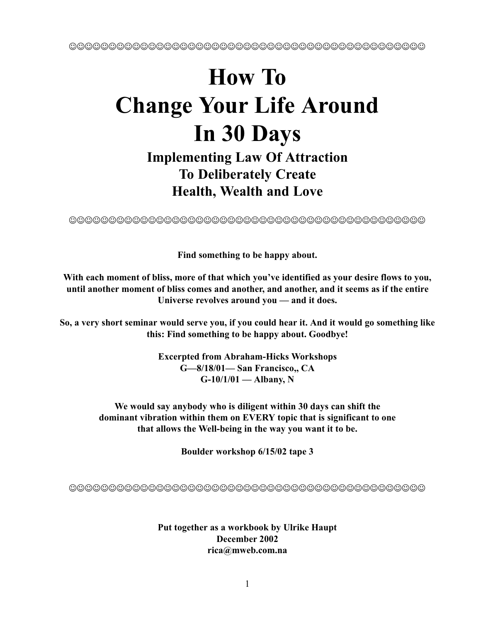JJJJJJJJJJJJJJJJJJJJJJJJJJJJJJJJJJJJJJJJJJJJJ

## How To Change Your Life Around In 30 Days Implementing Law Of Attraction To Deliberately Create Health, Wealth and Love

JJJJJJJJJJJJJJJJJJJJJJJJJJJJJJJJJJJJJJJJJJJJJ

Find something to be happy about.

With each moment of bliss, more of that which you've identified as your desire flows to you, until another moment of bliss comes and another, and another, and it seems as if the entire Universe revolves around you  $-$  and it does.

So, a very short seminar would serve you, if you could hear it. And it would go something like this: Find something to be happy about. Goodbye!

> Excerpted from Abraham-Hicks Workshops  $G=8/18/01$  San Francisco., CA  $G-10/1/01$  — Albany, N

We would say anybody who is diligent within 30 days can shift the dominant vibration within them on EVERY topic that is significant to one that allows the Well-being in the way you want it to be.

Boulder workshop 6/15/02 tape 3

JJJJJJJJJJJJJJJJJJJJJJJJJJJJJJJJJJJJJJJJJJJJJ

Put together as a workbook by Ulrike Haupt December 2002 rica@mweb.com.na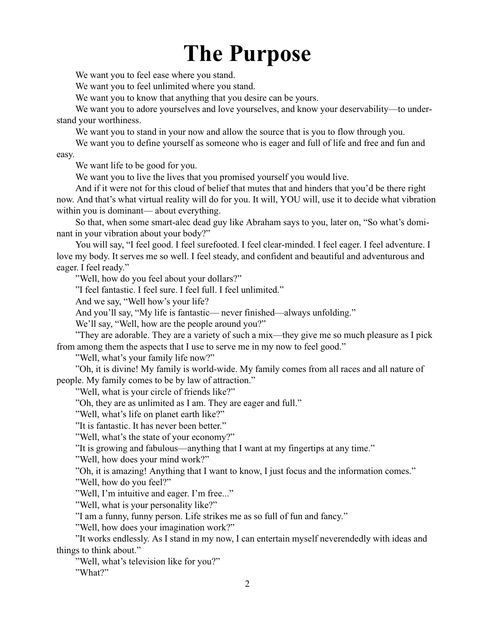# The Purpose

We want you to feel ease where you stand.

We want you to feel unlimited where you stand.

We want you to know that anything that you desire can be yours.

We want you to adore yourselves and love yourselves, and know your deservability—to understand your worthiness.

We want you to stand in your now and allow the source that is you to flow through you.

We want you to define yourself as someone who is eager and full of life and free and fun and easy.

We want life to be good for you.

We want you to live the lives that you promised yourself you would live.

And if it were not for this cloud of belief that mutes that and hinders that you'd be there right now. And that's what virtual reality will do for you. It will, YOU will, use it to decide what vibration within you is dominant—about everything.

So that, when some smart-alec dead guy like Abraham says to you, later on, "So what's dominant in your vibration about your body?

You will say, "I feel good. I feel surefooted. I feel clear-minded. I feel eager. I feel adventure. I love my body. It serves me so well. I feel steady, and confident and beautiful and adventurous and eager. I feel ready."

"Well, how do you feel about your dollars?"

"I feel fantastic. I feel sure. I feel full. I feel unlimited."

And we say, "Well how's your life?

And you'll say, "My life is fantastic— never finished—always unfolding."

We'll say, "Well, how are the people around you?"

"They are adorable. They are a variety of such a mix—they give me so much pleasure as I pick from among them the aspects that I use to serve me in my now to feel good.

"Well, what's your family life now?"

Oh, it is divine! My family is world-wide. My family comes from all races and all nature of people. My family comes to be by law of attraction.

Well, what is your circle of friends like?

Oh, they are as unlimited as I am. They are eager and full.

"Well, what's life on planet earth like?"

"It is fantastic. It has never been better."

"Well, what's the state of your economy?"

"It is growing and fabulous—anything that I want at my fingertips at any time."

Well, how does your mind work?

Oh, it is amazing! Anything that I want to know, I just focus and the information comes.

"Well, how do you feel?"

"Well, I'm intuitive and eager. I'm free..."

"Well, what is your personality like?"

"I am a funny, funny person. Life strikes me as so full of fun and fancy."

Well, how does your imagination work?

It works endlessly. As I stand in my now, I can entertain myself neverendedly with ideas and things to think about.

"Well, what's television like for you?"

What?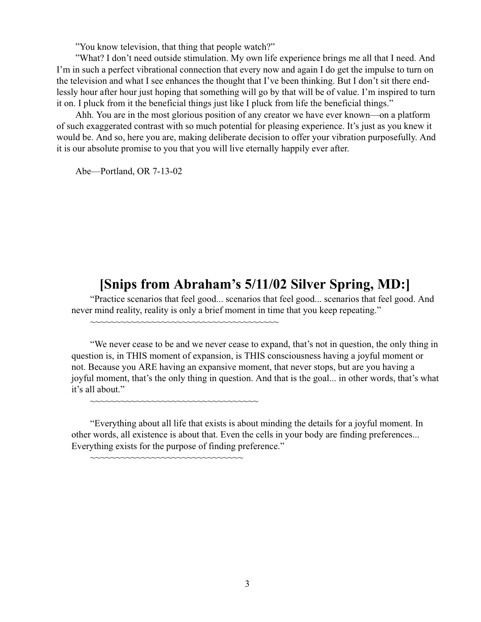"You know television, that thing that people watch?"

"What? I don't need outside stimulation. My own life experience brings me all that I need. And I'm in such a perfect vibrational connection that every now and again I do get the impulse to turn on the television and what I see enhances the thought that I've been thinking. But I don't sit there endlessly hour after hour just hoping that something will go by that will be of value. I'm inspired to turn it on. I pluck from it the beneficial things just like I pluck from life the beneficial things.

Ahh. You are in the most glorious position of any creator we have ever known—on a platform of such exaggerated contrast with so much potential for pleasing experience. It's just as you knew it would be. And so, here you are, making deliberate decision to offer your vibration purposefully. And it is our absolute promise to you that you will live eternally happily ever after.

Abe-Portland, OR 7-13-02

### [Snips from Abraham's 5/11/02 Silver Spring, MD:]

Practice scenarios that feel good... scenarios that feel good... scenarios that feel good. And never mind reality, reality is only a brief moment in time that you keep repeating."

"We never cease to be and we never cease to expand, that's not in question, the only thing in question is, in THIS moment of expansion, is THIS consciousness having a joyful moment or not. Because you ARE having an expansive moment, that never stops, but are you having a joyful moment, that's the only thing in question. And that is the goal... in other words, that's what it's all about."

~~~~~~~~~~~~~~~~~~~~~~~~~~~~~~~~~

~~~~~~~~~~~~~~~~~~~~~~~~~~~~~~~~~~~~

Everything about all life that exists is about minding the details for a joyful moment. In other words, all existence is about that. Even the cells in your body are finding preferences... Everything exists for the purpose of finding preference."

~~~~~~~~~~~~~~~~~~~~~~~~~~~~~~~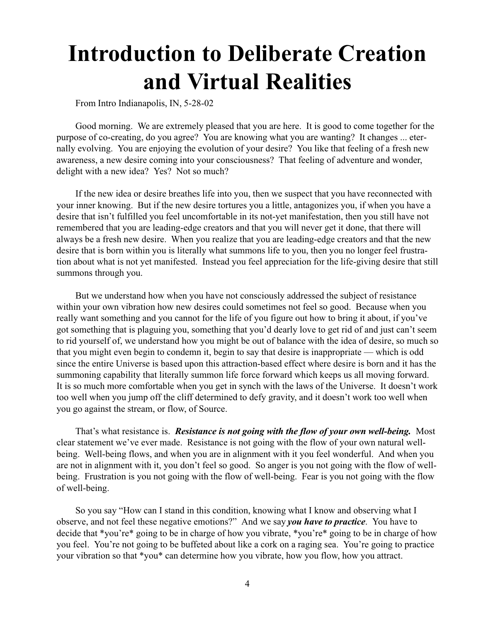# Introduction to Deliberate Creation and Virtual Realities

From Intro Indianapolis, IN, 5-28-02

Good morning. We are extremely pleased that you are here. It is good to come together for the purpose of co-creating, do you agree? You are knowing what you are wanting? It changes ... eternally evolving. You are enjoying the evolution of your desire? You like that feeling of a fresh new awareness, a new desire coming into your consciousness? That feeling of adventure and wonder, delight with a new idea? Yes? Not so much?

If the new idea or desire breathes life into you, then we suspect that you have reconnected with your inner knowing. But if the new desire tortures you a little, antagonizes you, if when you have a desire that isn't fulfilled you feel uncomfortable in its not-yet manifestation, then you still have not remembered that you are leading-edge creators and that you will never get it done, that there will always be a fresh new desire. When you realize that you are leading-edge creators and that the new desire that is born within you is literally what summons life to you, then you no longer feel frustration about what is not yet manifested. Instead you feel appreciation for the life-giving desire that still summons through you.

But we understand how when you have not consciously addressed the subject of resistance within your own vibration how new desires could sometimes not feel so good. Because when you really want something and you cannot for the life of you figure out how to bring it about, if youve got something that is plaguing you, something that you'd dearly love to get rid of and just can't seem to rid yourself of, we understand how you might be out of balance with the idea of desire, so much so that you might even begin to condemn it, begin to say that desire is inappropriate which is odd since the entire Universe is based upon this attraction-based effect where desire is born and it has the summoning capability that literally summon life force forward which keeps us all moving forward. It is so much more comfortable when you get in synch with the laws of the Universe. It doesn't work too well when you jump off the cliff determined to defy gravity, and it doesn't work too well when you go against the stream, or flow, of Source.

That's what resistance is. *Resistance is not going with the flow of your own well-being*. Most clear statement we've ever made. Resistance is not going with the flow of your own natural wellbeing. Well-being flows, and when you are in alignment with it you feel wonderful. And when you are not in alignment with it, you don't feel so good. So anger is you not going with the flow of wellbeing. Frustration is you not going with the flow of well-being. Fear is you not going with the flow of well-being.

So you say "How can I stand in this condition, knowing what I know and observing what I observe, and not feel these negative emotions?" And we say you have to practice. You have to decide that \*you're\* going to be in charge of how you vibrate, \*you're\* going to be in charge of how you feel. You're not going to be buffeted about like a cork on a raging sea. You're going to practice your vibration so that \*you\* can determine how you vibrate, how you flow, how you attract.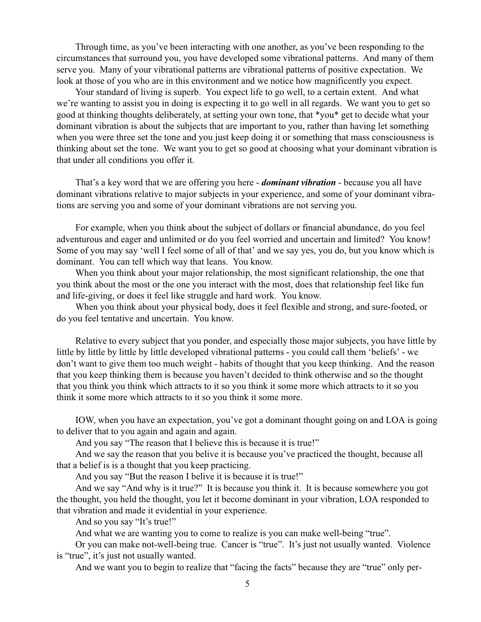Through time, as you've been interacting with one another, as you've been responding to the circumstances that surround you, you have developed some vibrational patterns. And many of them serve you. Many of your vibrational patterns are vibrational patterns of positive expectation. We look at those of you who are in this environment and we notice how magnificently you expect.

Your standard of living is superb. You expect life to go well, to a certain extent. And what we're wanting to assist you in doing is expecting it to go well in all regards. We want you to get so good at thinking thoughts deliberately, at setting your own tone, that \*you\* get to decide what your dominant vibration is about the subjects that are important to you, rather than having let something when you were three set the tone and you just keep doing it or something that mass consciousness is thinking about set the tone. We want you to get so good at choosing what your dominant vibration is that under all conditions you offer it.

That's a key word that we are offering you here - *dominant vibration* - because you all have dominant vibrations relative to major subjects in your experience, and some of your dominant vibrations are serving you and some of your dominant vibrations are not serving you.

For example, when you think about the subject of dollars or financial abundance, do you feel adventurous and eager and unlimited or do you feel worried and uncertain and limited? You know! Some of you may say 'well I feel some of all of that' and we say yes, you do, but you know which is dominant. You can tell which way that leans. You know.

When you think about your major relationship, the most significant relationship, the one that you think about the most or the one you interact with the most, does that relationship feel like fun and life-giving, or does it feel like struggle and hard work. You know.

When you think about your physical body, does it feel flexible and strong, and sure-footed, or do you feel tentative and uncertain. You know.

Relative to every subject that you ponder, and especially those major subjects, you have little by little by little by little by little developed vibrational patterns - you could call them 'beliefs' - we don't want to give them too much weight - habits of thought that you keep thinking. And the reason that you keep thinking them is because you haven't decided to think otherwise and so the thought that you think you think which attracts to it so you think it some more which attracts to it so you think it some more which attracts to it so you think it some more.

IOW, when you have an expectation, you've got a dominant thought going on and LOA is going to deliver that to you again and again and again.

And you say "The reason that I believe this is because it is true!"

And we say the reason that you belive it is because you've practiced the thought, because all that a belief is is a thought that you keep practicing.

And you say "But the reason I belive it is because it is true!"

And we say "And why is it true?" It is because you think it. It is because somewhere you got the thought, you held the thought, you let it become dominant in your vibration, LOA responded to that vibration and made it evidential in your experience.

And so you say "It's true!"

And what we are wanting you to come to realize is you can make well-being "true".

Or you can make not-well-being true. Cancer is "true". It's just not usually wanted. Violence is "true", it's just not usually wanted.

And we want you to begin to realize that "facing the facts" because they are "true" only per-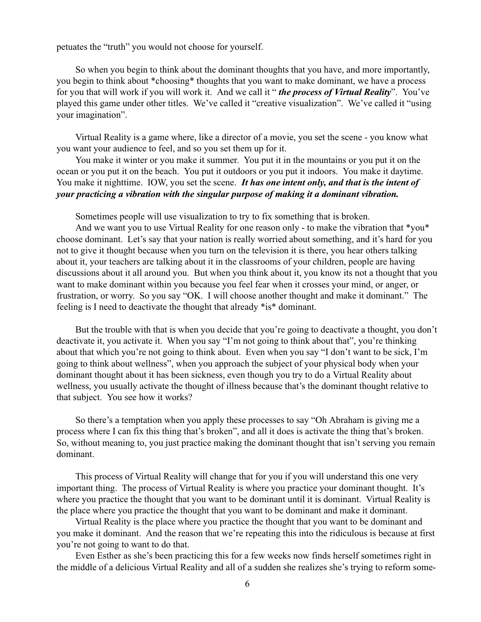petuates the "truth" you would not choose for yourself.

So when you begin to think about the dominant thoughts that you have, and more importantly, you begin to think about \*choosing\* thoughts that you want to make dominant, we have a process for you that will work if you will work it. And we call it "*the process of Virtual Reality*". You've played this game under other titles. We've called it "creative visualization". We've called it "using your imagination".

Virtual Reality is a game where, like a director of a movie, you set the scene - you know what you want your audience to feel, and so you set them up for it.

You make it winter or you make it summer. You put it in the mountains or you put it on the ocean or you put it on the beach. You put it outdoors or you put it indoors. You make it daytime. You make it nighttime. IOW, you set the scene. It has one intent only, and that is the intent of your practicing a vibration with the singular purpose of making it a dominant vibration.

Sometimes people will use visualization to try to fix something that is broken.

And we want you to use Virtual Reality for one reason only - to make the vibration that \*you\* choose dominant. Let's say that your nation is really worried about something, and it's hard for you not to give it thought because when you turn on the television it is there, you hear others talking about it, your teachers are talking about it in the classrooms of your children, people are having discussions about it all around you. But when you think about it, you know its not a thought that you want to make dominant within you because you feel fear when it crosses your mind, or anger, or frustration, or worry. So you say "OK. I will choose another thought and make it dominant." The feeling is I need to deactivate the thought that already \*is\* dominant.

But the trouble with that is when you decide that you're going to deactivate a thought, you don't deactivate it, you activate it. When you say "I'm not going to think about that", you're thinking about that which you're not going to think about. Even when you say "I don't want to be sick, I'm going to think about wellness", when you approach the subject of your physical body when your dominant thought about it has been sickness, even though you try to do a Virtual Reality about wellness, you usually activate the thought of illness because that's the dominant thought relative to that subject. You see how it works?

So there's a temptation when you apply these processes to say "Oh Abraham is giving me a process where I can fix this thing that's broken", and all it does is activate the thing that's broken. So, without meaning to, you just practice making the dominant thought that isn't serving you remain dominant.

This process of Virtual Reality will change that for you if you will understand this one very important thing. The process of Virtual Reality is where you practice your dominant thought. It's where you practice the thought that you want to be dominant until it is dominant. Virtual Reality is the place where you practice the thought that you want to be dominant and make it dominant.

Virtual Reality is the place where you practice the thought that you want to be dominant and you make it dominant. And the reason that we're repeating this into the ridiculous is because at first you're not going to want to do that.

Even Esther as she's been practicing this for a few weeks now finds herself sometimes right in the middle of a delicious Virtual Reality and all of a sudden she realizes she's trying to reform some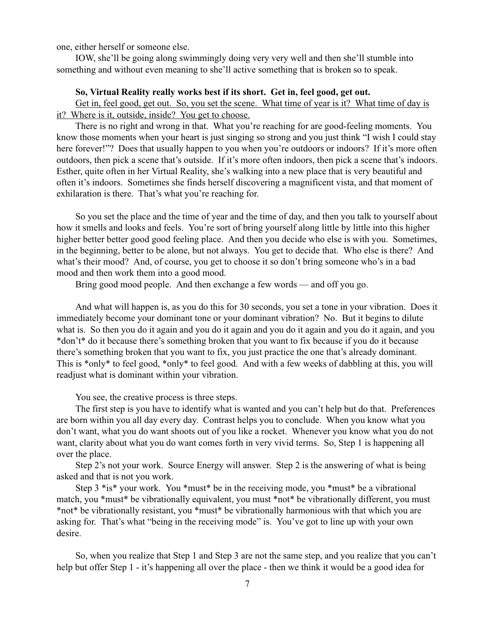one, either herself or someone else.

IOW, she'll be going along swimmingly doing very very well and then she'll stumble into something and without even meaning to she'll active something that is broken so to speak.

#### So, Virtual Reality really works best if its short. Get in, feel good, get out.

Get in, feel good, get out. So, you set the scene. What time of year is it? What time of day is it? Where is it, outside, inside? You get to choose.

There is no right and wrong in that. What you're reaching for are good-feeling moments. You know those moments when your heart is just singing so strong and you just think "I wish I could stay here forever!"? Does that usually happen to you when you're outdoors or indoors? If it's more often outdoors, then pick a scene that's outside. If it's more often indoors, then pick a scene that's indoors. Esther, quite often in her Virtual Reality, she's walking into a new place that is very beautiful and often it's indoors. Sometimes she finds herself discovering a magnificent vista, and that moment of exhilaration is there. That's what you're reaching for.

So you set the place and the time of year and the time of day, and then you talk to yourself about how it smells and looks and feels. You're sort of bring yourself along little by little into this higher higher better better good good feeling place. And then you decide who else is with you. Sometimes, in the beginning, better to be alone, but not always. You get to decide that. Who else is there? And what's their mood? And, of course, you get to choose it so don't bring someone who's in a bad mood and then work them into a good mood.

Bring good mood people. And then exchange a few words — and off you go.

And what will happen is, as you do this for 30 seconds, you set a tone in your vibration. Does it immediately become your dominant tone or your dominant vibration? No. But it begins to dilute what is. So then you do it again and you do it again and you do it again and you do it again, and you \*don't\* do it because there's something broken that you want to fix because if you do it because there's something broken that you want to fix, you just practice the one that's already dominant. This is \*only\* to feel good, \*only\* to feel good. And with a few weeks of dabbling at this, you will readjust what is dominant within your vibration.

You see, the creative process is three steps.

The first step is you have to identify what is wanted and you can't help but do that. Preferences are born within you all day every day. Contrast helps you to conclude. When you know what you don't want, what you do want shoots out of you like a rocket. Whenever you know what you do not want, clarity about what you do want comes forth in very vivid terms. So, Step 1 is happening all over the place.

Step 2's not your work. Source Energy will answer. Step 2 is the answering of what is being asked and that is not you work.

Step 3 \*is\* your work. You \*must\* be in the receiving mode, you \*must\* be a vibrational match, you \*must\* be vibrationally equivalent, you must \*not\* be vibrationally different, you must \*not\* be vibrationally resistant, you \*must\* be vibrationally harmonious with that which you are asking for. That's what "being in the receiving mode" is. You've got to line up with your own desire.

So, when you realize that Step 1 and Step 3 are not the same step, and you realize that you can't help but offer Step 1 - it's happening all over the place - then we think it would be a good idea for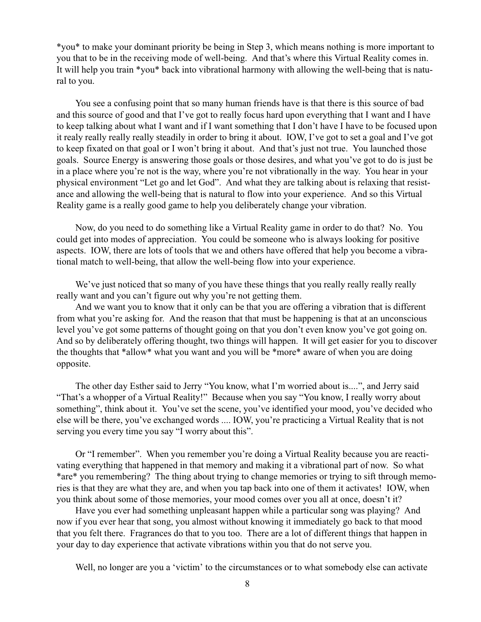\*you\* to make your dominant priority be being in Step 3, which means nothing is more important to you that to be in the receiving mode of well-being. And that's where this Virtual Reality comes in. It will help you train \*you\* back into vibrational harmony with allowing the well-being that is natural to you.

You see a confusing point that so many human friends have is that there is this source of bad and this source of good and that I've got to really focus hard upon everything that I want and I have to keep talking about what I want and if I want something that I don't have I have to be focused upon it realy really really really steadily in order to bring it about. IOW, I've got to set a goal and I've got to keep fixated on that goal or I won't bring it about. And that's just not true. You launched those goals. Source Energy is answering those goals or those desires, and what you've got to do is just be in a place where you're not is the way, where you're not vibrationally in the way. You hear in your physical environment "Let go and let God". And what they are talking about is relaxing that resistance and allowing the well-being that is natural to flow into your experience. And so this Virtual Reality game is a really good game to help you deliberately change your vibration.

Now, do you need to do something like a Virtual Reality game in order to do that? No. You could get into modes of appreciation. You could be someone who is always looking for positive aspects. IOW, there are lots of tools that we and others have offered that help you become a vibrational match to well-being, that allow the well-being flow into your experience.

We've just noticed that so many of you have these things that you really really really really really want and you can't figure out why you're not getting them.

And we want you to know that it only can be that you are offering a vibration that is different from what you're asking for. And the reason that that must be happening is that at an unconscious level you've got some patterns of thought going on that you don't even know you've got going on. And so by deliberately offering thought, two things will happen. It will get easier for you to discover the thoughts that \*allow\* what you want and you will be \*more\* aware of when you are doing opposite.

The other day Esther said to Jerry "You know, what I'm worried about is....", and Jerry said "That's a whopper of a Virtual Reality!" Because when you say "You know, I really worry about something", think about it. You've set the scene, you've identified your mood, you've decided who else will be there, you've exchanged words .... IOW, you're practicing a Virtual Reality that is not serving you every time you say "I worry about this".

Or "I remember". When you remember you're doing a Virtual Reality because you are reactivating everything that happened in that memory and making it a vibrational part of now. So what \*are\* you remembering? The thing about trying to change memories or trying to sift through memories is that they are what they are, and when you tap back into one of them it activates! IOW, when you think about some of those memories, your mood comes over you all at once, doesn't it?

Have you ever had something unpleasant happen while a particular song was playing? And now if you ever hear that song, you almost without knowing it immediately go back to that mood that you felt there. Fragrances do that to you too. There are a lot of different things that happen in your day to day experience that activate vibrations within you that do not serve you.

Well, no longer are you a 'victim' to the circumstances or to what somebody else can activate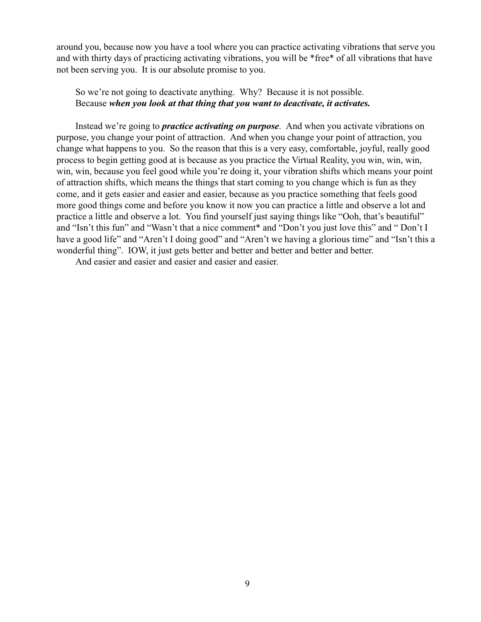around you, because now you have a tool where you can practice activating vibrations that serve you and with thirty days of practicing activating vibrations, you will be \*free\* of all vibrations that have not been serving you. It is our absolute promise to you.

So we're not going to deactivate anything. Why? Because it is not possible. Because when you look at that thing that you want to deactivate, it activates.

Instead we're going to *practice activating on purpose*. And when you activate vibrations on purpose, you change your point of attraction. And when you change your point of attraction, you change what happens to you. So the reason that this is a very easy, comfortable, joyful, really good process to begin getting good at is because as you practice the Virtual Reality, you win, win, win, win, win, because you feel good while you're doing it, your vibration shifts which means your point of attraction shifts, which means the things that start coming to you change which is fun as they come, and it gets easier and easier and easier, because as you practice something that feels good more good things come and before you know it now you can practice a little and observe a lot and practice a little and observe a lot. You find yourself just saying things like "Ooh, that's beautiful" and "Isn't this fun" and "Wasn't that a nice comment\* and "Don't you just love this" and "Don't I have a good life" and "Aren't I doing good" and "Aren't we having a glorious time" and "Isn't this a wonderful thing". IOW, it just gets better and better and better and better and better.

And easier and easier and easier and easier and easier.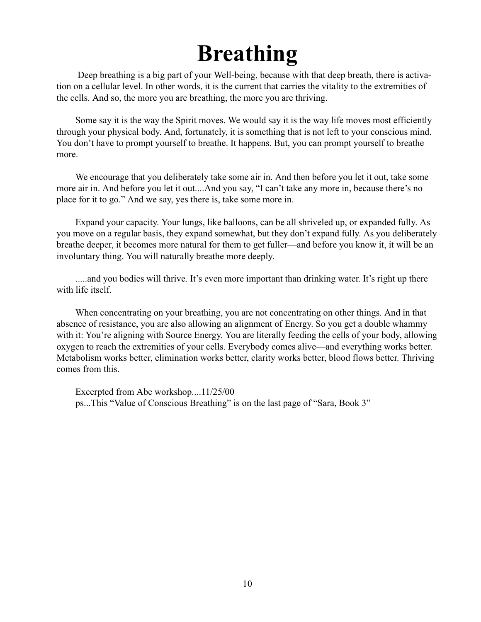# Breathing

 Deep breathing is a big part of your Well-being, because with that deep breath, there is activation on a cellular level. In other words, it is the current that carries the vitality to the extremities of the cells. And so, the more you are breathing, the more you are thriving.

Some say it is the way the Spirit moves. We would say it is the way life moves most efficiently through your physical body. And, fortunately, it is something that is not left to your conscious mind. You don't have to prompt yourself to breathe. It happens. But, you can prompt yourself to breathe more.

We encourage that you deliberately take some air in. And then before you let it out, take some more air in. And before you let it out....And you say, "I can't take any more in, because there's no place for it to go." And we say, yes there is, take some more in.

Expand your capacity. Your lungs, like balloons, can be all shriveled up, or expanded fully. As you move on a regular basis, they expand somewhat, but they don't expand fully. As you deliberately breathe deeper, it becomes more natural for them to get fuller—and before you know it, it will be an involuntary thing. You will naturally breathe more deeply.

.....and you bodies will thrive. It's even more important than drinking water. It's right up there with life itself.

When concentrating on your breathing, you are not concentrating on other things. And in that absence of resistance, you are also allowing an alignment of Energy. So you get a double whammy with it: You're aligning with Source Energy. You are literally feeding the cells of your body, allowing oxygen to reach the extremities of your cells. Everybody comes alive—and everything works better. Metabolism works better, elimination works better, clarity works better, blood flows better. Thriving comes from this.

Excerpted from Abe workshop....11/25/00 ps...This "Value of Conscious Breathing" is on the last page of "Sara, Book 3"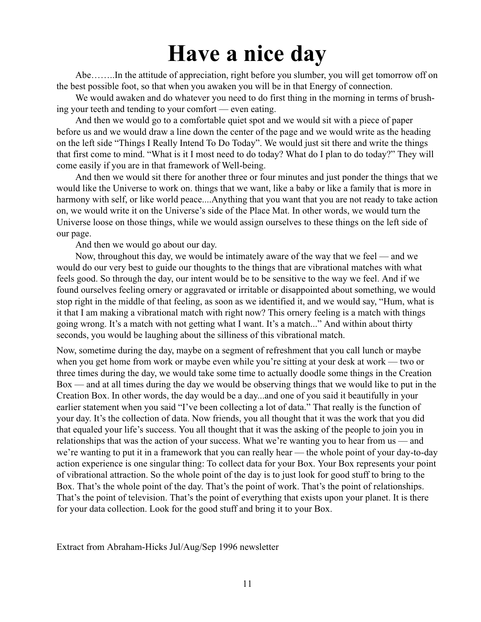## Have a nice day

Abe........In the attitude of appreciation, right before you slumber, you will get tomorrow off on the best possible foot, so that when you awaken you will be in that Energy of connection.

We would awaken and do whatever you need to do first thing in the morning in terms of brushing your teeth and tending to your comfort  $-$  even eating.

And then we would go to a comfortable quiet spot and we would sit with a piece of paper before us and we would draw a line down the center of the page and we would write as the heading on the left side "Things I Really Intend To Do Today". We would just sit there and write the things that first come to mind. What is it I most need to do today? What do I plan to do today? They will come easily if you are in that framework of Well-being.

And then we would sit there for another three or four minutes and just ponder the things that we would like the Universe to work on. things that we want, like a baby or like a family that is more in harmony with self, or like world peace....Anything that you want that you are not ready to take action on, we would write it on the Universe's side of the Place Mat. In other words, we would turn the Universe loose on those things, while we would assign ourselves to these things on the left side of our page.

And then we would go about our day.

Now, throughout this day, we would be intimately aware of the way that we feel  $-$  and we would do our very best to guide our thoughts to the things that are vibrational matches with what feels good. So through the day, our intent would be to be sensitive to the way we feel. And if we found ourselves feeling ornery or aggravated or irritable or disappointed about something, we would stop right in the middle of that feeling, as soon as we identified it, and we would say, "Hum, what is it that I am making a vibrational match with right now? This ornery feeling is a match with things going wrong. It's a match with not getting what I want. It's a match..." And within about thirty seconds, you would be laughing about the silliness of this vibrational match.

Now, sometime during the day, maybe on a segment of refreshment that you call lunch or maybe when you get home from work or maybe even while you're sitting at your desk at work — two or three times during the day, we would take some time to actually doodle some things in the Creation  $Box$  and at all times during the day we would be observing things that we would like to put in the Creation Box. In other words, the day would be a day...and one of you said it beautifully in your earlier statement when you said "I've been collecting a lot of data." That really is the function of your day. It's the collection of data. Now friends, you all thought that it was the work that you did that equaled your life's success. You all thought that it was the asking of the people to join you in relationships that was the action of your success. What we're wanting you to hear from us — and we're wanting to put it in a framework that you can really hear — the whole point of your day-to-day action experience is one singular thing: To collect data for your Box. Your Box represents your point of vibrational attraction. So the whole point of the day is to just look for good stuff to bring to the Box. That's the whole point of the day. That's the point of work. That's the point of relationships. That's the point of television. That's the point of everything that exists upon your planet. It is there for your data collection. Look for the good stuff and bring it to your Box.

Extract from Abraham-Hicks Jul/Aug/Sep 1996 newsletter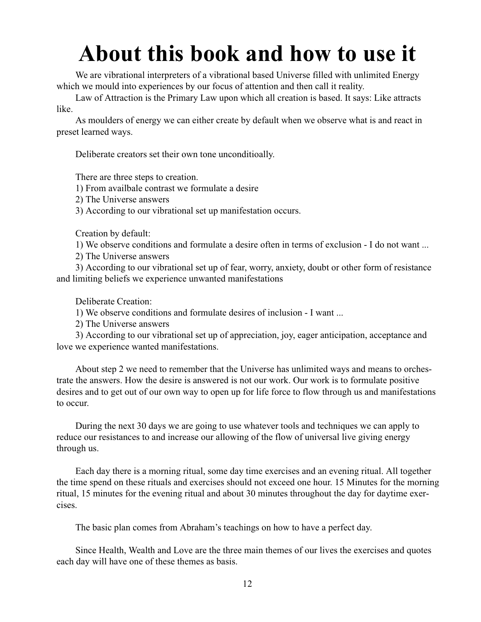# About this book and how to use it

We are vibrational interpreters of a vibrational based Universe filled with unlimited Energy which we mould into experiences by our focus of attention and then call it reality.

Law of Attraction is the Primary Law upon which all creation is based. It says: Like attracts like.

As moulders of energy we can either create by default when we observe what is and react in preset learned ways.

Deliberate creators set their own tone unconditioally.

There are three steps to creation.

1) From availbale contrast we formulate a desire

2) The Universe answers

3) According to our vibrational set up manifestation occurs.

Creation by default:

1) We observe conditions and formulate a desire often in terms of exclusion - I do not want ...

2) The Universe answers

3) According to our vibrational set up of fear, worry, anxiety, doubt or other form of resistance and limiting beliefs we experience unwanted manifestations

Deliberate Creation:

1) We observe conditions and formulate desires of inclusion - I want ...

2) The Universe answers

3) According to our vibrational set up of appreciation, joy, eager anticipation, acceptance and love we experience wanted manifestations.

About step 2 we need to remember that the Universe has unlimited ways and means to orchestrate the answers. How the desire is answered is not our work. Our work is to formulate positive desires and to get out of our own way to open up for life force to flow through us and manifestations to occur.

During the next 30 days we are going to use whatever tools and techniques we can apply to reduce our resistances to and increase our allowing of the flow of universal live giving energy through us.

Each day there is a morning ritual, some day time exercises and an evening ritual. All together the time spend on these rituals and exercises should not exceed one hour. 15 Minutes for the morning ritual, 15 minutes for the evening ritual and about 30 minutes throughout the day for daytime exercises.

The basic plan comes from Abraham's teachings on how to have a perfect day.

Since Health, Wealth and Love are the three main themes of our lives the exercises and quotes each day will have one of these themes as basis.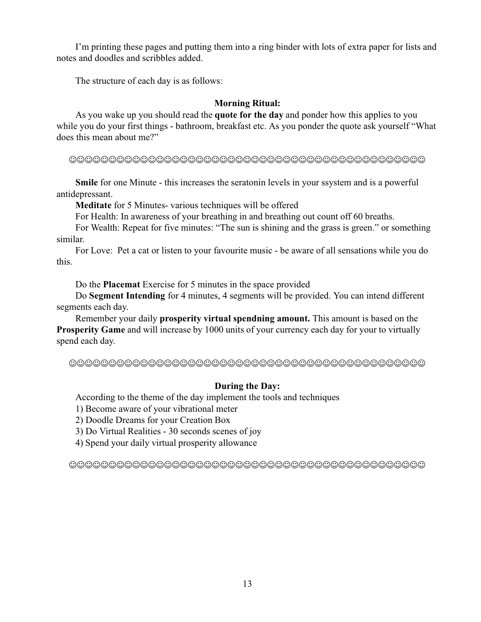I'm printing these pages and putting them into a ring binder with lots of extra paper for lists and notes and doodles and scribbles added.

The structure of each day is as follows:

#### Morning Ritual:

As you wake up you should read the quote for the day and ponder how this applies to you while you do your first things - bathroom, breakfast etc. As you ponder the quote ask yourself "What does this mean about me?"

JJJJJJJJJJJJJJJJJJJJJJJJJJJJJJJJJJJJJJJJJJJJJ

Smile for one Minute - this increases the seratonin levels in your ssystem and is a powerful antidepressant.

Meditate for 5 Minutes- various techniques will be offered

For Health: In awareness of your breathing in and breathing out count off 60 breaths.

For Wealth: Repeat for five minutes: "The sun is shining and the grass is green." or something similar.

For Love: Pet a cat or listen to your favourite music - be aware of all sensations while you do this.

Do the Placemat Exercise for 5 minutes in the space provided

Do Segment Intending for 4 minutes, 4 segments will be provided. You can intend different segments each day.

Remember your daily prosperity virtual spendning amount. This amount is based on the Prosperity Game and will increase by 1000 units of your currency each day for your to virtually spend each day.

JJJJJJJJJJJJJJJJJJJJJJJJJJJJJJJJJJJJJJJJJJJJJ

#### During the Day:

According to the theme of the day implement the tools and techniques

1) Become aware of your vibrational meter

2) Doodle Dreams for your Creation Box

3) Do Virtual Realities - 30 seconds scenes of joy

4) Spend your daily virtual prosperity allowance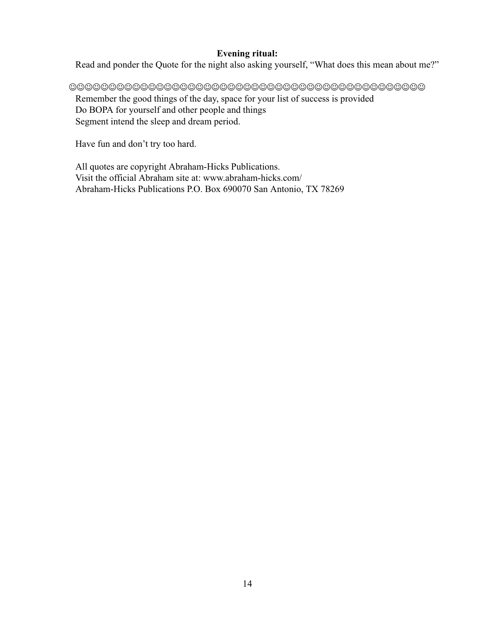#### Evening ritual:

Read and ponder the Quote for the night also asking yourself, "What does this mean about me?"

JJJJJJJJJJJJJJJJJJJJJJJJJJJJJJJJJJJJJJJJJJJJJ

Remember the good things of the day, space for your list of success is provided Do BOPA for yourself and other people and things Segment intend the sleep and dream period.

Have fun and don't try too hard.

All quotes are copyright Abraham-Hicks Publications. Visit the official Abraham site at: www.abraham-hicks.com/ Abraham-Hicks Publications P.O. Box 690070 San Antonio, TX 78269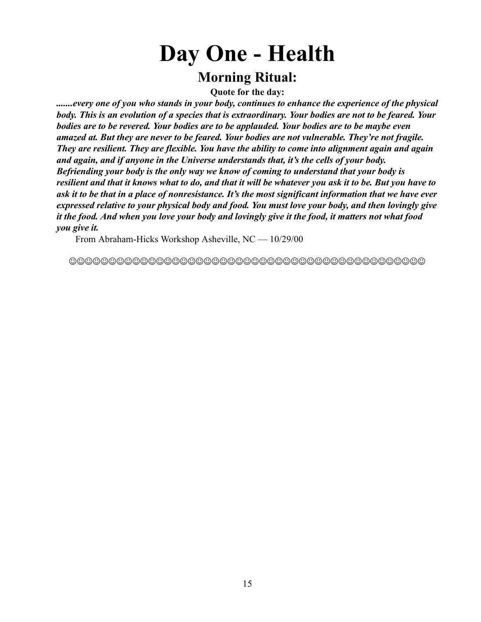## Day One - Health

### Morning Ritual:

Quote for the day:

.......every one of you who stands in your body, continues to enhance the experience of the physical body. This is an evolution of a species that is extraordinary. Your bodies are not to be feared. Your bodies are to be revered. Your bodies are to be applauded. Your bodies are to be maybe even amazed at. But they are never to be feared. Your bodies are not vulnerable. They're not fragile. They are resilient. They are flexible. You have the ability to come into alignment again and again and again, and if anyone in the Universe understands that, it's the cells of your body. Befriending your body is the only way we know of coming to understand that your body is resilient and that it knows what to do, and that it will be whatever you ask it to be. But you have to ask it to be that in a place of nonresistance. It's the most significant information that we have ever expressed relative to your physical body and food. You must love your body, and then lovingly give it the food. And when you love your body and lovingly give it the food, it matters not what food you give it.

From Abraham-Hicks Workshop Asheville, NC - 10/29/00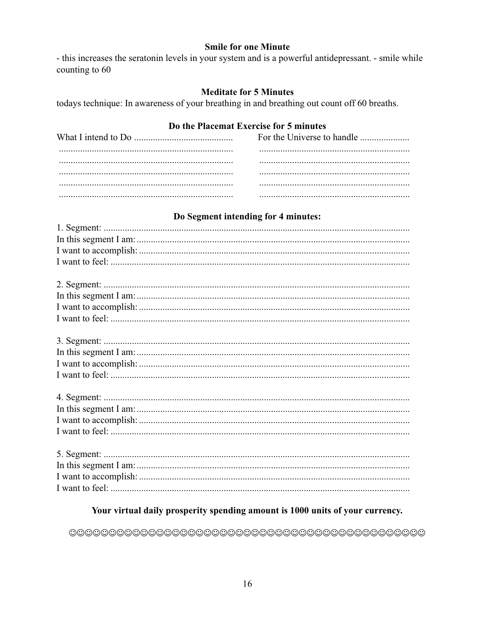#### **Smile for one Minute**

- this increases the seratonin levels in your system and is a powerful antidepressant. - smile while counting to 60

#### **Meditate for 5 Minutes**

todays technique: In awareness of your breathing in and breathing out count off 60 breaths.

#### Do the Placemat Exercise for 5 minutes

#### Do Segment intending for 4 minutes:

#### Your virtual daily prosperity spending amount is 1000 units of your currency.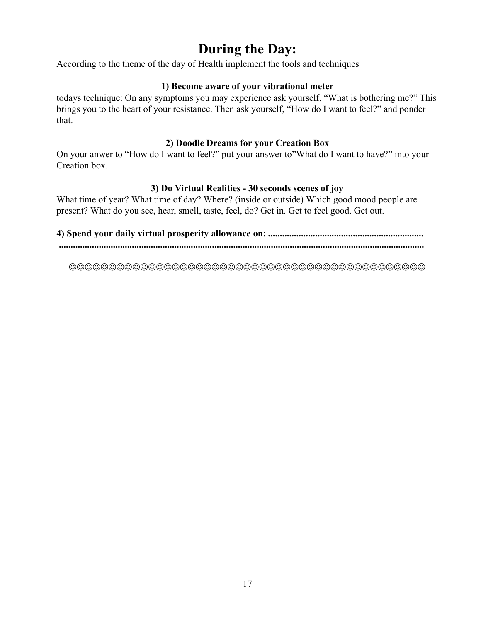## During the Day:

According to the theme of the day of Health implement the tools and techniques

#### 1) Become aware of your vibrational meter

todays technique: On any symptoms you may experience ask yourself, "What is bothering me?" This brings you to the heart of your resistance. Then ask yourself, "How do I want to feel?" and ponder that.

#### 2) Doodle Dreams for your Creation Box

On your anwer to "How do I want to feel?" put your answer to" What do I want to have?" into your Creation box.

#### 3) Do Virtual Realities - 30 seconds scenes of joy

What time of year? What time of day? Where? (inside or outside) Which good mood people are present? What do you see, hear, smell, taste, feel, do? Get in. Get to feel good. Get out.

4) Spend your daily virtual prosperity allowance on: .................................................................. ...........................................................................................................................................................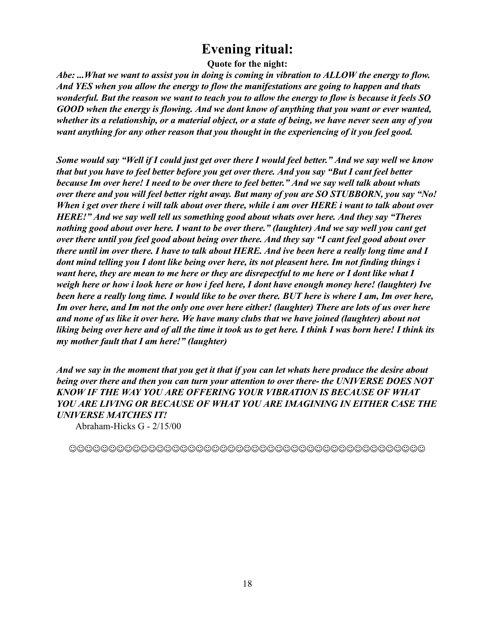### Evening ritual:

Quote for the night:

Abe: ...What we want to assist you in doing is coming in vibration to ALLOW the energy to flow. And YES when you allow the energy to flow the manifestations are going to happen and thats wonderful. But the reason we want to teach you to allow the energy to flow is because it feels SO GOOD when the energy is flowing. And we dont know of anything that you want or ever wanted, whether its a relationship, or a material object, or a state of being, we have never seen any of you want anything for any other reason that you thought in the experiencing of it you feel good.

Some would say "Well if I could just get over there I would feel better." And we say well we know that but you have to feel better before you get over there. And you say "But I cant feel better because Im over here! I need to be over there to feel better." And we say well talk about whats over there and you will feel better right away. But many of you are SO STUBBORN, you say "No! When i get over there i will talk about over there, while i am over HERE i want to talk about over HERE!" And we say well tell us something good about whats over here. And they say "Theres" nothing good about over here. I want to be over there." (laughter) And we say well you cant get over there until you feel good about being over there. And they say "I cant feel good about over there until im over there. I have to talk about HERE. And ive been here a really long time and I dont mind telling you I dont like being over here, its not pleasent here. Im not finding things i want here, they are mean to me here or they are disrepectful to me here or I dont like what I weigh here or how i look here or how i feel here, I dont have enough money here! (laughter) Ive been here a really long time. I would like to be over there. BUT here is where I am, Im over here, Im over here, and Im not the only one over here either! (laughter) There are lots of us over here and none of us like it over here. We have many clubs that we have joined (laughter) about not liking being over here and of all the time it took us to get here. I think I was born here! I think its  $my$  mother fault that  $I$  am here!" (laughter)

And we say in the moment that you get it that if you can let whats here produce the desire about being over there and then you can turn your attention to over there- the UNIVERSE DOES NOT KNOW IF THE WAY YOU ARE OFFERING YOUR VIBRATION IS BECAUSE OF WHAT YOU ARE LIVING OR BECAUSE OF WHAT YOU ARE IMAGINING IN EITHER CASE THE UNIVERSE MATCHES IT!

Abraham-Hicks G - 2/15/00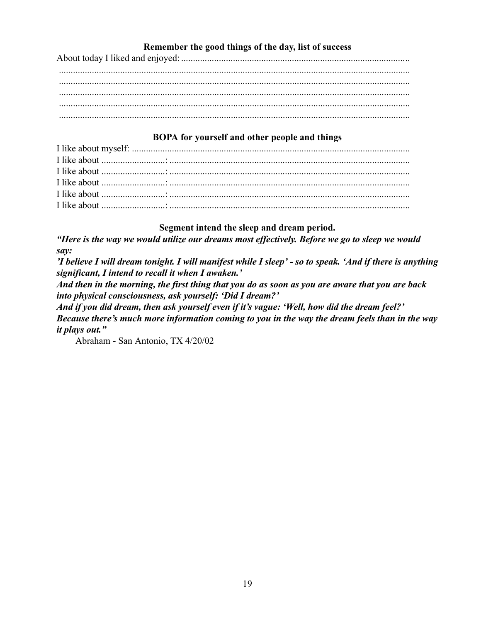#### Remember the good things of the day, list of success

#### BOPA for yourself and other people and things

Segment intend the sleep and dream period.

"Here is the way we would utilize our dreams most effectively. Before we go to sleep we would  $sav:$ 

'I believe I will dream tonight. I will manifest while I sleep' - so to speak. 'And if there is anything significant, I intend to recall it when I awaken.'

And then in the morning, the first thing that you do as soon as you are aware that you are back into physical consciousness, ask yourself: 'Did I dream?'

And if you did dream, then ask yourself even if it's vague: 'Well, how did the dream feel?' Because there's much more information coming to you in the way the dream feels than in the way *it plays out.*"

Abraham - San Antonio, TX 4/20/02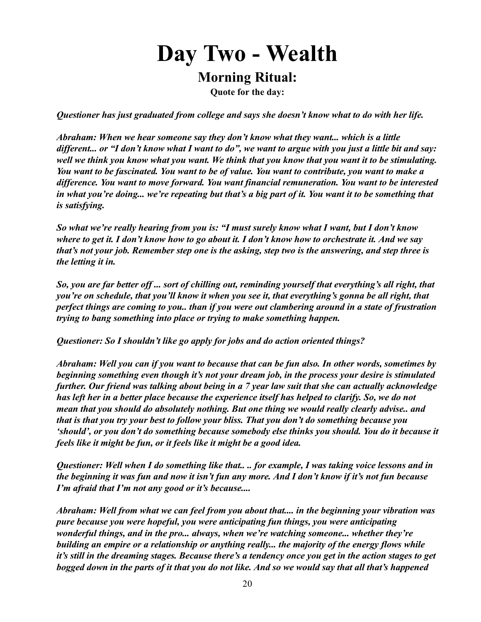# Day Two - Wealth

### Morning Ritual:

Quote for the day:

Questioner has just graduated from college and says she doesn't know what to do with her life.

Abraham: When we hear someone say they don't know what they want... which is a little different... or "I don't know what I want to do", we want to argue with you just a little bit and say: well we think you know what you want. We think that you know that you want it to be stimulating. You want to be fascinated. You want to be of value. You want to contribute, you want to make a difference. You want to move forward. You want financial remuneration. You want to be interested in what you're doing... we're repeating but that's a big part of it. You want it to be something that is satisfying.

So what we're really hearing from you is: "I must surely know what I want, but I don't know where to get it. I don't know how to go about it. I don't know how to orchestrate it. And we say that's not your job. Remember step one is the asking, step two is the answering, and step three is the letting it in.

So, you are far better off... sort of chilling out, reminding yourself that everything's all right, that you're on schedule, that you'll know it when you see it, that everything's gonna be all right, that perfect things are coming to you.. than if you were out clambering around in a state of frustration trying to bang something into place or trying to make something happen.

Questioner: So I shouldn't like go apply for jobs and do action oriented things?

Abraham: Well you can if you want to because that can be fun also. In other words, sometimes by beginning something even though it's not your dream job, in the process your desire is stimulated further. Our friend was talking about being in a 7 year law suit that she can actually acknowledge has left her in a better place because the experience itself has helped to clarify. So, we do not mean that you should do absolutely nothing. But one thing we would really clearly advise.. and that is that you try your best to follow your bliss. That you don't do something because you 'should', or you don't do something because somebody else thinks you should. You do it because it feels like it might be fun, or it feels like it might be a good idea.

Questioner: Well when I do something like that.. .. for example, I was taking voice lessons and in the beginning it was fun and now it isn't fun any more. And I don't know if it's not fun because I'm afraid that I'm not any good or it's because....

Abraham: Well from what we can feel from you about that.... in the beginning your vibration was pure because you were hopeful, you were anticipating fun things, you were anticipating wonderful things, and in the pro... always, when we're watching someone... whether they're building an empire or a relationship or anything really... the majority of the energy flows while it's still in the dreaming stages. Because there's a tendency once you get in the action stages to get bogged down in the parts of it that you do not like. And so we would say that all that's happened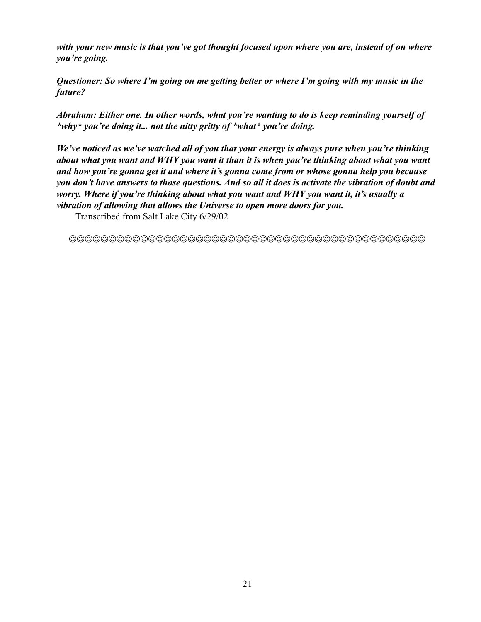with your new music is that you've got thought focused upon where you are, instead of on where you're going.

Questioner: So where I'm going on me getting better or where I'm going with my music in the future?

Abraham: Either one. In other words, what you're wanting to do is keep reminding yourself of \*why\* you're doing it... not the nitty gritty of \*what\* you're doing.

We've noticed as we've watched all of you that your energy is always pure when you're thinking about what you want and WHY you want it than it is when you're thinking about what you want and how you're gonna get it and where it's gonna come from or whose gonna help you because you don't have answers to those questions. And so all it does is activate the vibration of doubt and worry. Where if you're thinking about what you want and WHY you want it, it's usually a vibration of allowing that allows the Universe to open more doors for you.

Transcribed from Salt Lake City 6/29/02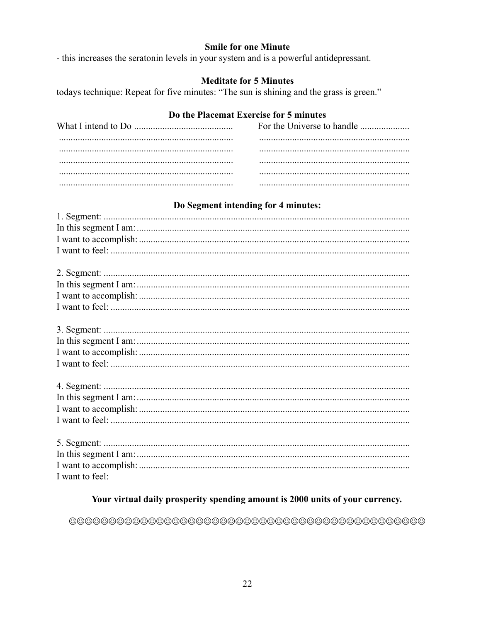#### **Smile for one Minute**

- this increases the seratonin levels in your system and is a powerful antidepressant.

#### **Meditate for 5 Minutes**

todays technique: Repeat for five minutes: "The sun is shining and the grass is green."

#### Do the Placemat Exercise for 5 minutes

#### Do Segment intending for 4 minutes:

| I want to feel: |
|-----------------|

#### Your virtual daily prosperity spending amount is 2000 units of your currency.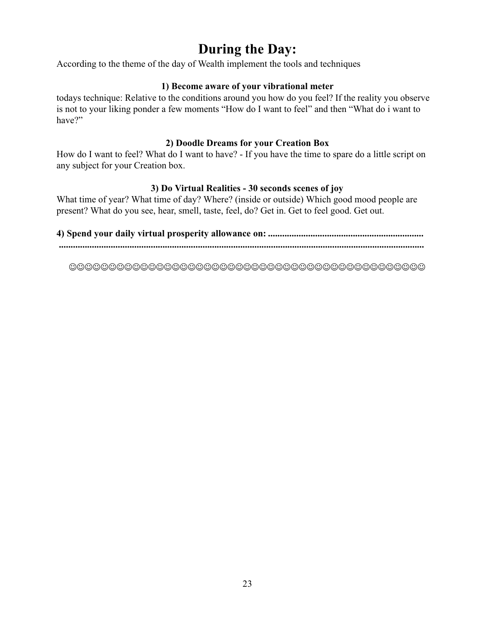## During the Day:

According to the theme of the day of Wealth implement the tools and techniques

#### 1) Become aware of your vibrational meter

todays technique: Relative to the conditions around you how do you feel? If the reality you observe is not to your liking ponder a few moments "How do I want to feel" and then "What do i want to have?"

#### 2) Doodle Dreams for your Creation Box

How do I want to feel? What do I want to have? - If you have the time to spare do a little script on any subject for your Creation box.

#### 3) Do Virtual Realities - 30 seconds scenes of joy

What time of year? What time of day? Where? (inside or outside) Which good mood people are present? What do you see, hear, smell, taste, feel, do? Get in. Get to feel good. Get out.

4) Spend your daily virtual prosperity allowance on: .................................................................. ...........................................................................................................................................................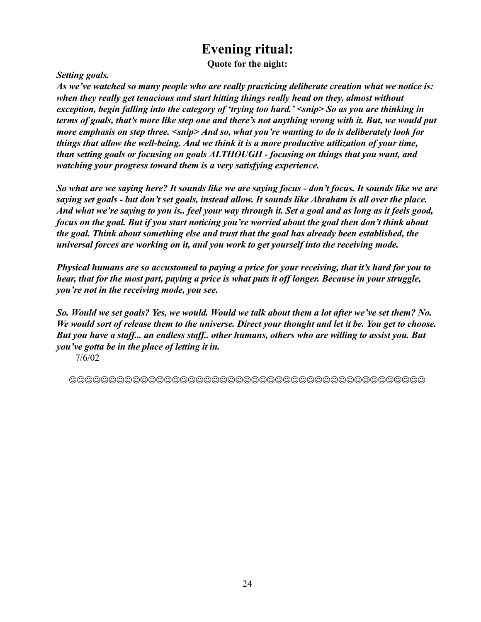## Evening ritual:

Quote for the night:

Setting goals.

As we've watched so many people who are really practicing deliberate creation what we notice is: when they really get tenacious and start hitting things really head on they, almost without exception, begin falling into the category of 'trying too hard.' <snip> So as you are thinking in terms of goals, that's more like step one and there's not anything wrong with it. But, we would put more emphasis on step three.  $\langle \sinh A \rangle$  and so, what you're wanting to do is deliberately look for things that allow the well-being. And we think it is a more productive utilization of your time, than setting goals or focusing on goals ALTHOUGH - focusing on things that you want, and watching your progress toward them is a very satisfying experience.

So what are we saying here? It sounds like we are saying focus - don't focus. It sounds like we are saying set goals - but don't set goals, instead allow. It sounds like Abraham is all over the place. And what we're saying to you is.. feel your way through it. Set a goal and as long as it feels good, focus on the goal. But if you start noticing you're worried about the goal then don't think about the goal. Think about something else and trust that the goal has already been established, the universal forces are working on it, and you work to get yourself into the receiving mode.

Physical humans are so accustomed to paying a price for your receiving, that it's hard for you to hear, that for the most part, paying a price is what puts it off longer. Because in your struggle, you're not in the receiving mode, you see.

So. Would we set goals? Yes, we would. Would we talk about them a lot after we've set them? No. We would sort of release them to the universe. Direct your thought and let it be. You get to choose. But you have a staff... an endless staff.. other humans, others who are willing to assist you. But you've gotta be in the place of letting it in.

7/6/02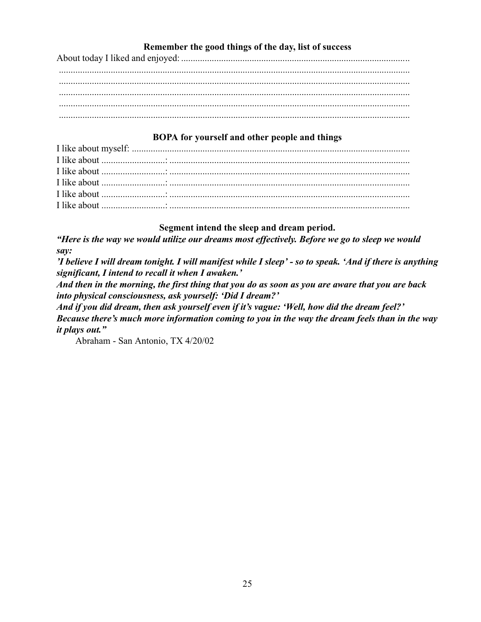#### Remember the good things of the day, list of success

#### BOPA for yourself and other people and things

Segment intend the sleep and dream period.

"Here is the way we would utilize our dreams most effectively. Before we go to sleep we would  $sav:$ 

'I believe I will dream tonight. I will manifest while I sleep' - so to speak. 'And if there is anything significant, I intend to recall it when I awaken.'

And then in the morning, the first thing that you do as soon as you are aware that you are back into physical consciousness, ask yourself: 'Did I dream?'

And if you did dream, then ask yourself even if it's vague: 'Well, how did the dream feel?' Because there's much more information coming to you in the way the dream feels than in the way it plays out."

Abraham - San Antonio, TX 4/20/02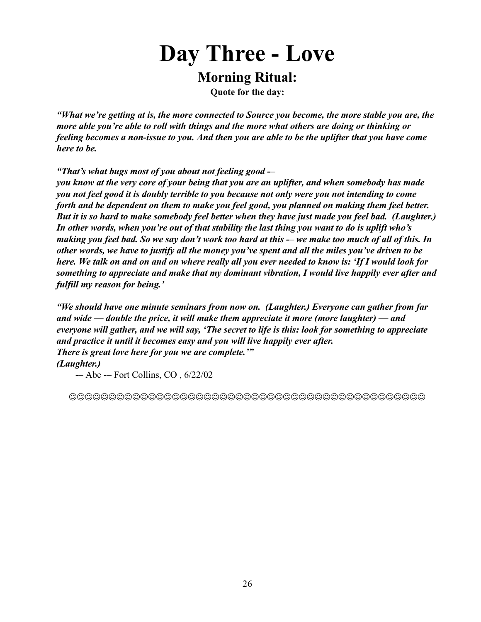## Day Three - Love

### Morning Ritual:

Quote for the day:

"What we're getting at is, the more connected to Source you become, the more stable you are, the more able you're able to roll with things and the more what others are doing or thinking or feeling becomes a non-issue to you. And then you are able to be the uplifter that you have come here to be.

"That's what bugs most of you about not feeling good  $-$ 

you know at the very core of your being that you are an uplifter, and when somebody has made you not feel good it is doubly terrible to you because not only were you not intending to come forth and be dependent on them to make you feel good, you planned on making them feel better. But it is so hard to make somebody feel better when they have just made you feel bad. (Laughter.) In other words, when you're out of that stability the last thing you want to do is uplift who's making you feel bad. So we say don't work too hard at this -- we make too much of all of this. In other words, we have to justify all the money you've spent and all the miles you've driven to be here. We talk on and on and on where really all you ever needed to know is: 'If I would look for something to appreciate and make that my dominant vibration, I would live happily ever after and fulfill my reason for being.'

We should have one minute seminars from now on. (Laughter.) Everyone can gather from far and wide  $\ddot{a}$  double the price, it will make them appreciate it more (more laughter)  $\ddot{a}$  and everyone will gather, and we will say, The secret to life is this: look for something to appreciate and practice it until it becomes easy and you will live happily ever after. There is great love here for you we are complete." (Laughter.)

 $-$  Abe  $-$  Fort Collins, CO,  $6/22/02$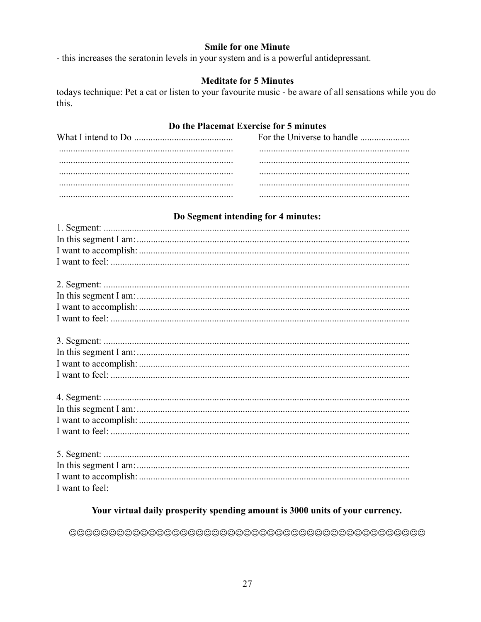#### **Smile for one Minute**

- this increases the seratonin levels in your system and is a powerful antidepressant.

#### **Meditate for 5 Minutes**

todays technique: Pet a cat or listen to your favourite music - be aware of all sensations while you do this.

#### Do the Placemat Exercise for 5 minutes

#### Do Segment intending for 4 minutes:

| I want to feel: |
|-----------------|

#### Your virtual daily prosperity spending amount is 3000 units of your currency.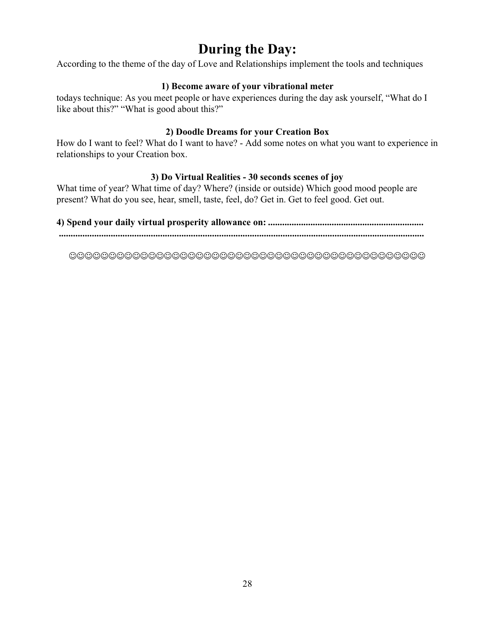## During the Day:

According to the theme of the day of Love and Relationships implement the tools and techniques

#### 1) Become aware of your vibrational meter

todays technique: As you meet people or have experiences during the day ask yourself, What do I like about this?" "What is good about this?"

#### 2) Doodle Dreams for your Creation Box

How do I want to feel? What do I want to have? - Add some notes on what you want to experience in relationships to your Creation box.

#### 3) Do Virtual Realities - 30 seconds scenes of joy

What time of year? What time of day? Where? (inside or outside) Which good mood people are present? What do you see, hear, smell, taste, feel, do? Get in. Get to feel good. Get out.

4) Spend your daily virtual prosperity allowance on: ..................................................................

...........................................................................................................................................................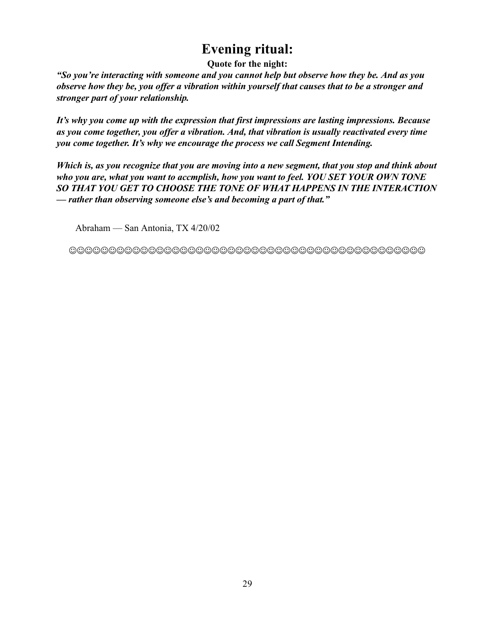## Evening ritual:

Quote for the night:

"So you're interacting with someone and you cannot help but observe how they be. And as you observe how they be, you offer a vibration within yourself that causes that to be a stronger and stronger part of your relationship.

It's why you come up with the expression that first impressions are lasting impressions. Because as you come together, you offer a vibration. And, that vibration is usually reactivated every time you come together. It's why we encourage the process we call Segment Intending.

Which is, as you recognize that you are moving into a new segment, that you stop and think about who you are, what you want to accmplish, how you want to feel. YOU SET YOUR OWN TONE SO THAT YOU GET TO CHOOSE THE TONE OF WHAT HAPPENS IN THE INTERACTION  $-$  rather than observing someone else's and becoming a part of that."

Abraham — San Antonia, TX 4/20/02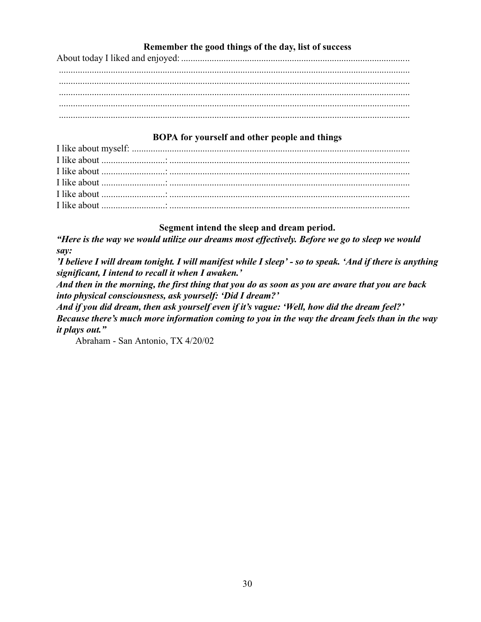#### Remember the good things of the day, list of success

#### BOPA for yourself and other people and things

Segment intend the sleep and dream period.

"Here is the way we would utilize our dreams most effectively. Before we go to sleep we would  $sav:$ 

'I believe I will dream tonight. I will manifest while I sleep' - so to speak. 'And if there is anything significant, I intend to recall it when I awaken.'

And then in the morning, the first thing that you do as soon as you are aware that you are back into physical consciousness, ask yourself: 'Did I dream?'

And if you did dream, then ask yourself even if it's vague: 'Well, how did the dream feel?' Because there's much more information coming to you in the way the dream feels than in the way it plays out."

Abraham - San Antonio, TX 4/20/02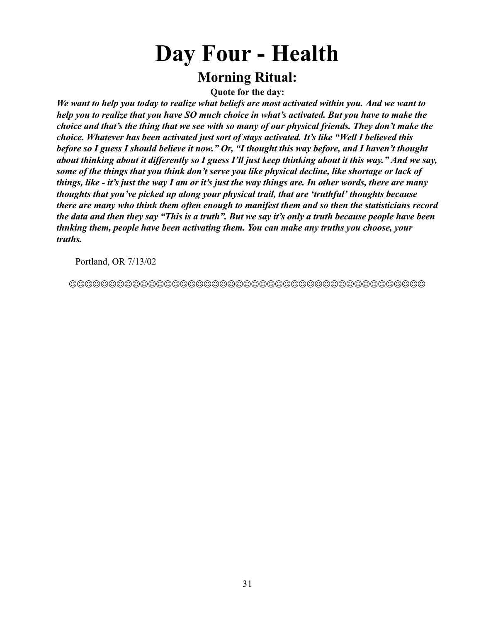## Day Four - Health

## Morning Ritual:

Quote for the day:

We want to help you today to realize what beliefs are most activated within you. And we want to help you to realize that you have SO much choice in what's activated. But you have to make the choice and that's the thing that we see with so many of our physical friends. They don't make the choice. Whatever has been activated just sort of stays activated. It's like "Well I believed this before so I guess I should believe it now." Or, "I thought this way before, and I haven't thought about thinking about it differently so I guess I'll just keep thinking about it this way." And we say, some of the things that you think don't serve you like physical decline, like shortage or lack of things, like - it's just the way I am or it's just the way things are. In other words, there are many thoughts that you've picked up along your physical trail, that are 'truthful' thoughts because there are many who think them often enough to manifest them and so then the statisticians record the data and then they say "This is a truth". But we say it's only a truth because people have been thnking them, people have been activating them. You can make any truths you choose, your truths.

Portland, OR 7/13/02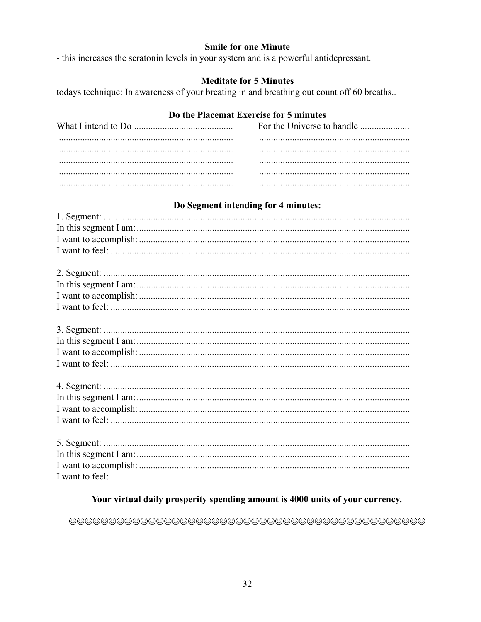#### **Smile for one Minute**

- this increases the seratonin levels in your system and is a powerful antidepressant.

#### **Meditate for 5 Minutes**

todays technique: In awareness of your breating in and breathing out count off 60 breaths..

#### Do the Placemat Exercise for 5 minutes

#### Do Segment intending for 4 minutes:

| I want to feel: |
|-----------------|

#### Your virtual daily prosperity spending amount is 4000 units of your currency.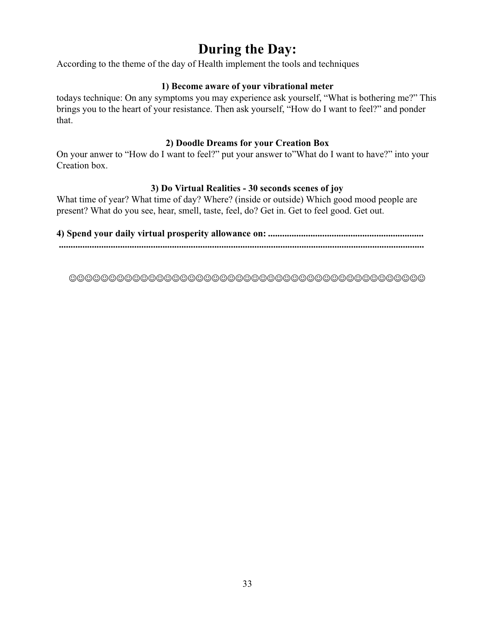## During the Day:

According to the theme of the day of Health implement the tools and techniques

#### 1) Become aware of your vibrational meter

todays technique: On any symptoms you may experience ask yourself, "What is bothering me?" This brings you to the heart of your resistance. Then ask yourself, "How do I want to feel?" and ponder that.

#### 2) Doodle Dreams for your Creation Box

On your anwer to "How do I want to feel?" put your answer to"What do I want to have?" into your Creation box.

#### 3) Do Virtual Realities - 30 seconds scenes of joy

What time of year? What time of day? Where? (inside or outside) Which good mood people are present? What do you see, hear, smell, taste, feel, do? Get in. Get to feel good. Get out.

4) Spend your daily virtual prosperity allowance on: .................................................................. ...........................................................................................................................................................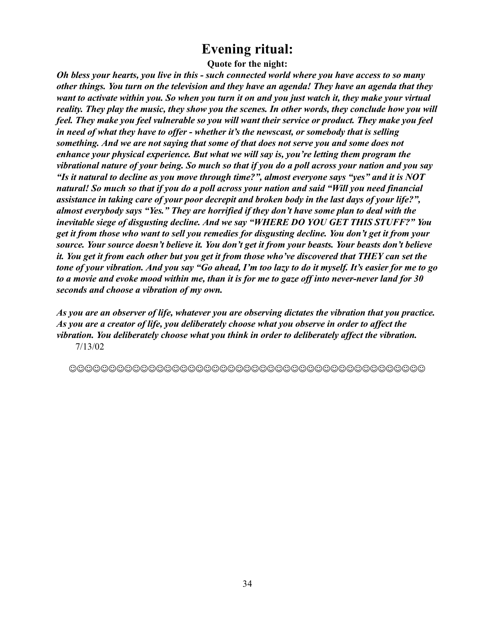## Evening ritual:

Quote for the night:

Oh bless your hearts, you live in this - such connected world where you have access to so many other things. You turn on the television and they have an agenda! They have an agenda that they want to activate within you. So when you turn it on and you just watch it, they make your virtual reality. They play the music, they show you the scenes. In other words, they conclude how you will feel. They make you feel vulnerable so you will want their service or product. They make you feel in need of what they have to offer  $\overline{\cdot}$  whether it's the newscast, or somebody that is selling something. And we are not saying that some of that does not serve you and some does not enhance your physical experience. But what we will say is, you're letting them program the vibrational nature of your being. So much so that if you do a poll across your nation and you say "Is it natural to decline as you move through time?", almost everyone says "yes" and it is NOT natural! So much so that if you do a poll across your nation and said Will you need financial assistance in taking care of your poor decrepit and broken body in the last days of your life?", almost everybody says "Yes." They are horrified if they don't have some plan to deal with the inevitable siege of disgusting decline. And we say "WHERE DO YOU GET THIS STUFF?" You get it from those who want to sell you remedies for disgusting decline. You don't get it from your source. Your source doesn't believe it. You don't get it from your beasts. Your beasts don't believe it. You get it from each other but you get it from those who've discovered that THEY can set the tone of your vibration. And you say "Go ahead, I'm too lazy to do it myself. It's easier for me to go to a movie and evoke mood within me, than it is for me to gaze off into never-never land for 30 seconds and choose a vibration of my own.

As you are an observer of life, whatever you are observing dictates the vibration that you practice. As you are a creator of life, you deliberately choose what you observe in order to affect the vibration. You deliberately choose what you think in order to deliberately affect the vibration. 7/13/02

 $\odot$ JO $\odot$ J $\odot$ J $\odot$ J $\odot$ J $\odot$ J $\odot$ J $\odot$ J $\odot$ J $\odot$ J $\odot$ J $\odot$ J $\odot$ J $\odot$ J $\odot$ J $\odot$ J $\odot$ J $\odot$ J $\odot$ J $\odot$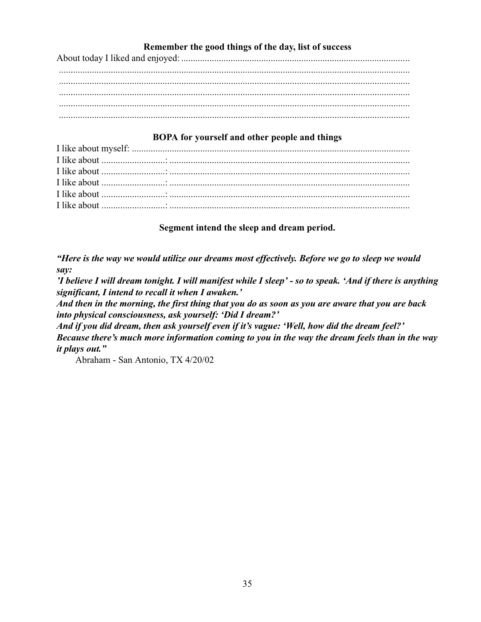#### Remember the good things of the day, list of success

#### BOPA for yourself and other people and things

Segment intend the sleep and dream period.

"Here is the way we would utilize our dreams most effectively. Before we go to sleep we would  $sav:$ 

'I believe I will dream tonight. I will manifest while I sleep' - so to speak. 'And if there is anything significant, I intend to recall it when I awaken.'

And then in the morning, the first thing that you do as soon as you are aware that you are back into physical consciousness, ask yourself: 'Did I dream?'

And if you did dream, then ask yourself even if it's vague: 'Well, how did the dream feel?' Because there's much more information coming to you in the way the dream feels than in the way *it plays out.*"

Abraham - San Antonio, TX 4/20/02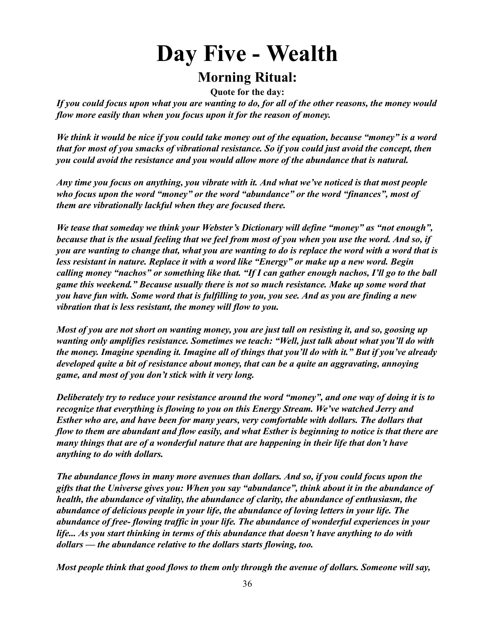## Day Five - Wealth

## Morning Ritual:

Quote for the day:

If you could focus upon what you are wanting to do, for all of the other reasons, the money would flow more easily than when you focus upon it for the reason of money.

We think it would be nice if you could take money out of the equation, because "money" is a word that for most of you smacks of vibrational resistance. So if you could just avoid the concept, then you could avoid the resistance and you would allow more of the abundance that is natural.

Any time you focus on anything, you vibrate with it. And what we've noticed is that most people who focus upon the word "money" or the word "abundance" or the word "finances", most of them are vibrationally lackful when they are focused there.

We tease that someday we think your Webster's Dictionary will define "money" as "not enough", because that is the usual feeling that we feel from most of you when you use the word. And so, if you are wanting to change that, what you are wanting to do is replace the word with a word that is less resistant in nature. Replace it with a word like "Energy" or make up a new word. Begin calling money "nachos" or something like that. "If I can gather enough nachos, I'll go to the ball game this weekend." Because usually there is not so much resistance. Make up some word that you have fun with. Some word that is fulfilling to you, you see. And as you are finding a new vibration that is less resistant, the money will flow to you.

Most of you are not short on wanting money, you are just tall on resisting it, and so, goosing up wanting only amplifies resistance. Sometimes we teach: "Well, just talk about what you'll do with the money. Imagine spending it. Imagine all of things that you'll do with it." But if you've already developed quite a bit of resistance about money, that can be a quite an aggravating, annoying game, and most of you don't stick with it very long.

Deliberately try to reduce your resistance around the word "money", and one way of doing it is to recognize that everything is flowing to you on this Energy Stream. We've watched Jerry and Esther who are, and have been for many years, very comfortable with dollars. The dollars that flow to them are abundant and flow easily, and what Esther is beginning to notice is that there are many things that are of a wonderful nature that are happening in their life that don't have anything to do with dollars.

The abundance flows in many more avenues than dollars. And so, if you could focus upon the gifts that the Universe gives you: When you say "abundance", think about it in the abundance of health, the abundance of vitality, the abundance of clarity, the abundance of enthusiasm, the abundance of delicious people in your life, the abundance of loving letters in your life. The abundance of free- flowing traffic in your life. The abundance of wonderful experiences in your life... As you start thinking in terms of this abundance that doesn't have anything to do with  $dollars$   $-$  the abundance relative to the dollars starts flowing, too.

Most people think that good flows to them only through the avenue of dollars. Someone will say,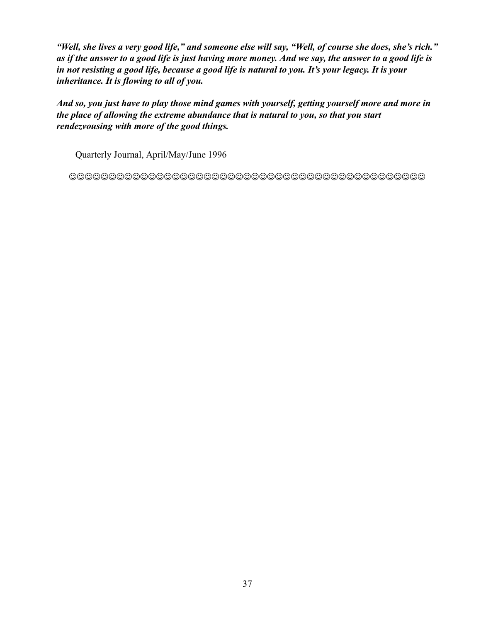"Well, she lives a very good life," and someone else will say, "Well, of course she does, she's rich." as if the answer to a good life is just having more money. And we say, the answer to a good life is in not resisting a good life, because a good life is natural to you. It's your legacy. It is your inheritance. It is flowing to all of you.

And so, you just have to play those mind games with yourself, getting yourself more and more in the place of allowing the extreme abundance that is natural to you, so that you start rendezvousing with more of the good things.

Quarterly Journal, April/May/June 1996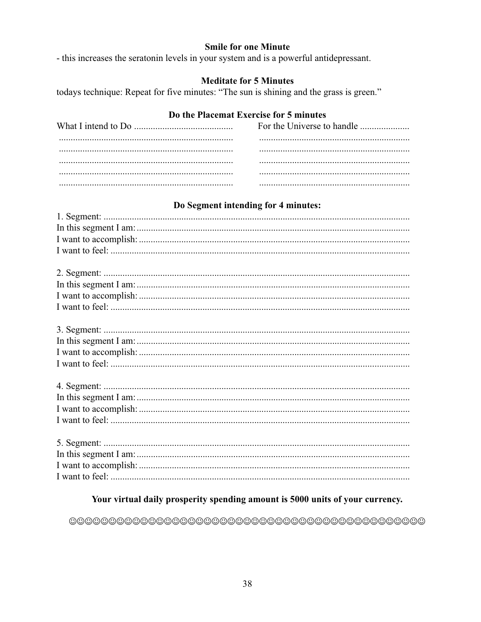### **Smile for one Minute**

- this increases the seratonin levels in your system and is a powerful antidepressant.

### **Meditate for 5 Minutes**

todays technique: Repeat for five minutes: "The sun is shining and the grass is green."

### Do the Placemat Exercise for 5 minutes

### Do Segment intending for 4 minutes:

### Your virtual daily prosperity spending amount is 5000 units of your currency.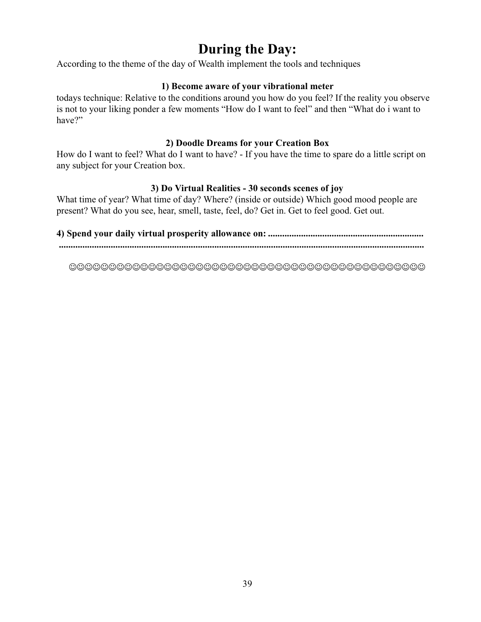## During the Day:

According to the theme of the day of Wealth implement the tools and techniques

### 1) Become aware of your vibrational meter

todays technique: Relative to the conditions around you how do you feel? If the reality you observe is not to your liking ponder a few moments "How do I want to feel" and then "What do i want to have?"

### 2) Doodle Dreams for your Creation Box

How do I want to feel? What do I want to have? - If you have the time to spare do a little script on any subject for your Creation box.

### 3) Do Virtual Realities - 30 seconds scenes of joy

What time of year? What time of day? Where? (inside or outside) Which good mood people are present? What do you see, hear, smell, taste, feel, do? Get in. Get to feel good. Get out.

4) Spend your daily virtual prosperity allowance on: .................................................................. ...........................................................................................................................................................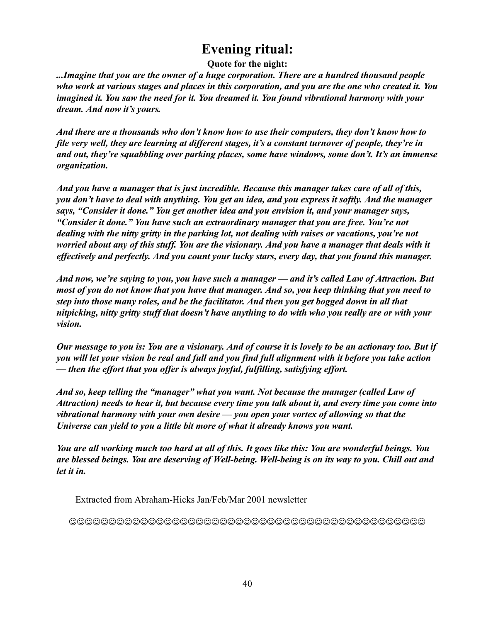## Evening ritual:

Quote for the night:

...Imagine that you are the owner of a huge corporation. There are a hundred thousand people who work at various stages and places in this corporation, and you are the one who created it. You imagined it. You saw the need for it. You dreamed it. You found vibrational harmony with your dream. And now it's yours.

And there are a thousands who don't know how to use their computers, they don't know how to file very well, they are learning at different stages, it's a constant turnover of people, they're in and out, they're squabbling over parking places, some have windows, some don't. It's an immense organization.

And you have a manager that is just incredible. Because this manager takes care of all of this, you don't have to deal with anything. You get an idea, and you express it softly. And the manager says, "Consider it done." You get another idea and you envision it, and your manager says, "Consider it done." You have such an extraordinary manager that you are free. You're not dealing with the nitty gritty in the parking lot, not dealing with raises or vacations, you're not worried about any of this stuff. You are the visionary. And you have a manager that deals with it effectively and perfectly. And you count your lucky stars, every day, that you found this manager.

And now, we're saying to you, you have such a manager — and it's called Law of Attraction. But most of you do not know that you have that manager. And so, you keep thinking that you need to step into those many roles, and be the facilitator. And then you get bogged down in all that nitpicking, nitty gritty stuff that doesn't have anything to do with who you really are or with your vision.

Our message to you is: You are a visionary. And of course it is lovely to be an actionary too. But if you will let your vision be real and full and you find full alignment with it before you take action  $t$  then the effort that you offer is always joyful, fulfilling, satisfying effort.

And so, keep telling the "manager" what you want. Not because the manager (called Law of Attraction) needs to hear it, but because every time you talk about it, and every time you come into vibrational harmony with your own desire  $\frac{1}{2}$  you open your vortex of allowing so that the Universe can yield to you a little bit more of what it already knows you want.

You are all working much too hard at all of this. It goes like this: You are wonderful beings. You are blessed beings. You are deserving of Well-being. Well-being is on its way to you. Chill out and let it in.

Extracted from Abraham-Hicks Jan/Feb/Mar 2001 newsletter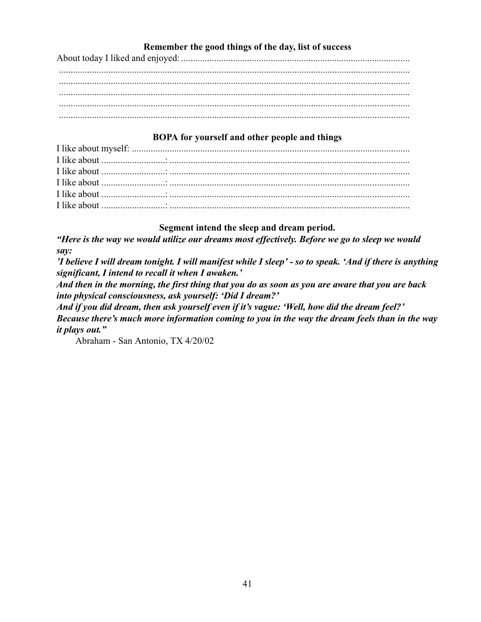### Remember the good things of the day, list of success

### BOPA for yourself and other people and things

Segment intend the sleep and dream period.

"Here is the way we would utilize our dreams most effectively. Before we go to sleep we would  $sav:$ 

'I believe I will dream tonight. I will manifest while I sleep' - so to speak. 'And if there is anything significant, I intend to recall it when I awaken.'

And then in the morning, the first thing that you do as soon as you are aware that you are back into physical consciousness, ask yourself: 'Did I dream?'

And if you did dream, then ask yourself even if it's vague: 'Well, how did the dream feel?' Because there's much more information coming to you in the way the dream feels than in the way it plays out."

Abraham - San Antonio, TX 4/20/02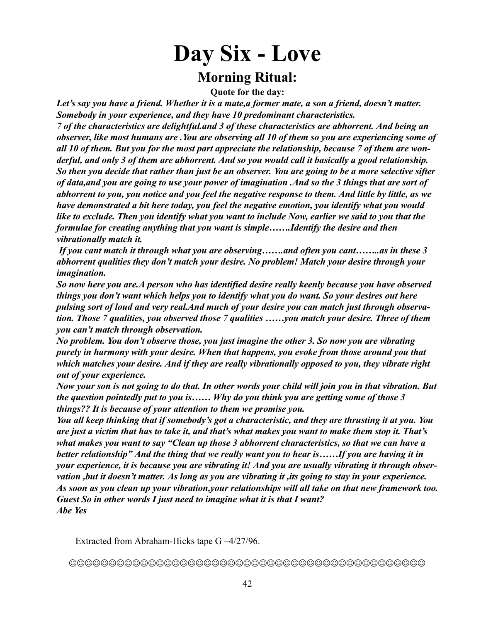## Day Six - Love Morning Ritual:

Quote for the day:

Let's say you have a friend. Whether it is a mate, a former mate, a son a friend, doesn't matter. Somebody in your experience, and they have 10 predominant characteristics. 7 of the characteristics are delightful.and 3 of these characteristics are abhorrent. And being an observer, like most humans are .You are observing all 10 of them so you are experiencing some of all 10 of them. But you for the most part appreciate the relationship, because 7 of them are wonderful, and only 3 of them are abhorrent. And so you would call it basically a good relationship. So then you decide that rather than just be an observer. You are going to be a more selective sifter of data,and you are going to use your power of imagination .And so the 3 things that are sort of abhorrent to you, you notice and you feel the negative response to them. And little by little, as we have demonstrated a bit here today, you feel the negative emotion, you identify what you would like to exclude. Then you identify what you want to include Now, earlier we said to you that the formulae for creating anything that you want is simple.......Identify the desire and then vibrationally match it.

If you cant match it through what you are observing......and often you cant.......as in these  $3$ abhorrent qualities they don't match your desire. No problem! Match your desire through your imagination.

So now here you are.A person who has identified desire really keenly because you have observed things you don't want which helps you to identify what you do want. So your desires out here pulsing sort of loud and very real.And much of your desire you can match just through observation. Those 7 qualities, you observed those 7 qualities  $\ldots$  you match your desire. Three of them you can't match through observation.

No problem. You don't observe those, you just imagine the other 3. So now you are vibrating purely in harmony with your desire. When that happens, you evoke from those around you that which matches your desire. And if they are really vibrationally opposed to you, they vibrate right out of your experience.

Now your son is not going to do that. In other words your child will join you in that vibration. But the question pointedly put to you is...... Why do you think you are getting some of those  $3$ things?? It is because of your attention to them we promise you.

You all keep thinking that if somebody's got a characteristic, and they are thrusting it at you. You are just a victim that has to take it, and that's what makes you want to make them stop it. That's what makes you want to say "Clean up those  $\lambda$  abhorrent characteristics, so that we can have a better relationship" And the thing that we really want you to hear is...... If you are having it in your experience, it is because you are vibrating it! And you are usually vibrating it through observation, but it doesn't matter. As long as you are vibrating it, its going to stay in your experience. As soon as you clean up your vibration,your relationships will all take on that new framework too. Guest So in other words I just need to imagine what it is that I want? Abe Yes

Extracted from Abraham-Hicks tape  $G -4/27/96$ .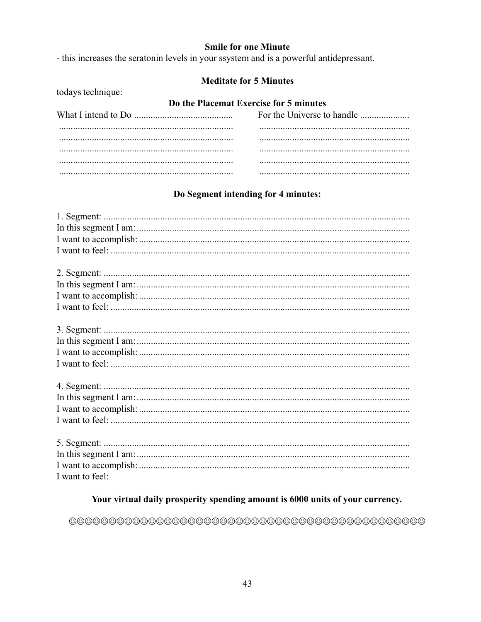#### **Smile for one Minute**

- this increases the seratonin levels in your ssystem and is a powerful antidepressant.

### **Meditate for 5 Minutes**

| todays technique:                      |  |  |  |
|----------------------------------------|--|--|--|
| Do the Placemat Exercise for 5 minutes |  |  |  |
|                                        |  |  |  |
|                                        |  |  |  |
|                                        |  |  |  |
|                                        |  |  |  |
|                                        |  |  |  |
|                                        |  |  |  |
|                                        |  |  |  |

### Do Segment intending for 4 minutes:

| I want to feel: |
|-----------------|

### Your virtual daily prosperity spending amount is 6000 units of your currency.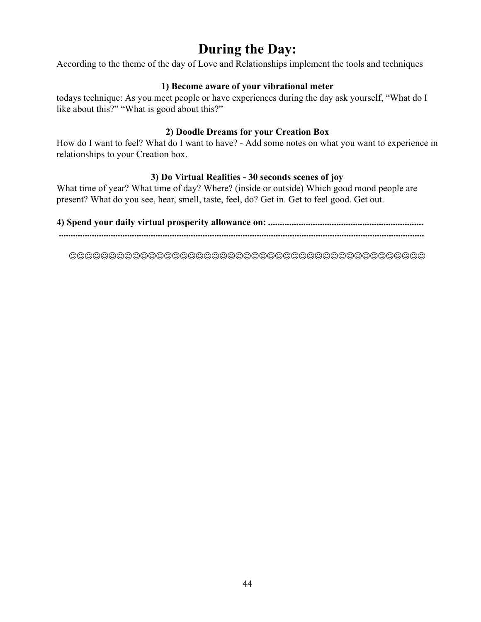## During the Day:

According to the theme of the day of Love and Relationships implement the tools and techniques

### 1) Become aware of your vibrational meter

todays technique: As you meet people or have experiences during the day ask yourself, What do I like about this?" "What is good about this?"

### 2) Doodle Dreams for your Creation Box

How do I want to feel? What do I want to have? - Add some notes on what you want to experience in relationships to your Creation box.

### 3) Do Virtual Realities - 30 seconds scenes of joy

What time of year? What time of day? Where? (inside or outside) Which good mood people are present? What do you see, hear, smell, taste, feel, do? Get in. Get to feel good. Get out.

4) Spend your daily virtual prosperity allowance on: ..................................................................

...........................................................................................................................................................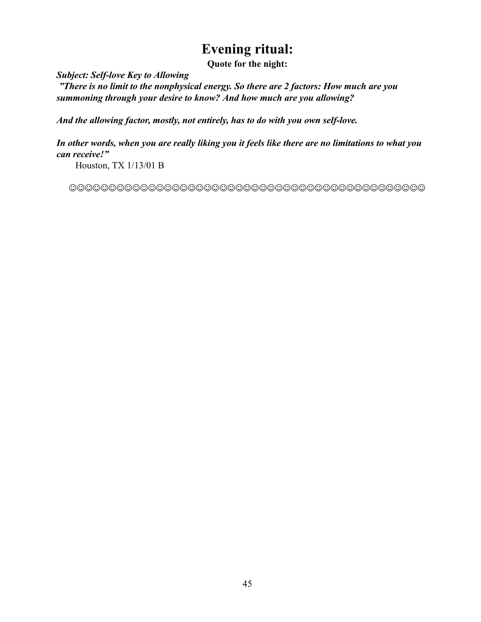## Evening ritual:

Quote for the night:

Subject: Self-love Key to Allowing

 There is no limit to the nonphysical energy. So there are 2 factors: How much are you summoning through your desire to know? And how much are you allowing?

And the allowing factor, mostly, not entirely, has to do with you own self-love.

In other words, when you are really liking you it feels like there are no limitations to what you can receive!"

Houston, TX 1/13/01 B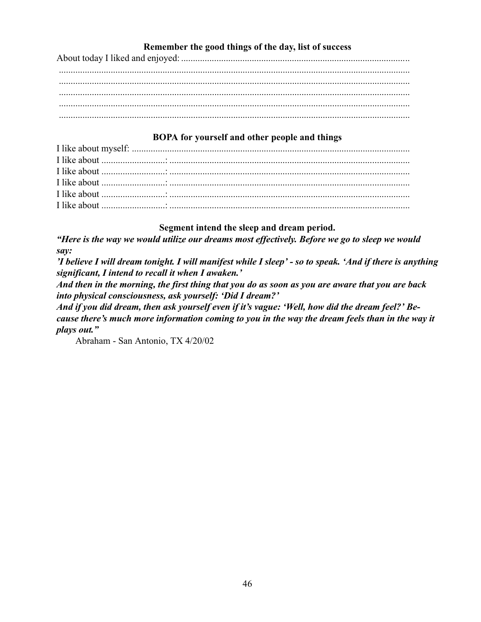### Remember the good things of the day, list of success

### BOPA for yourself and other people and things

Segment intend the sleep and dream period.

"Here is the way we would utilize our dreams most effectively. Before we go to sleep we would  $sav:$ 

'I believe I will dream tonight. I will manifest while I sleep' - so to speak. 'And if there is anything significant, I intend to recall it when I awaken.'

And then in the morning, the first thing that you do as soon as you are aware that you are back into physical consciousness, ask yourself: 'Did I dream?'

And if you did dream, then ask yourself even if it's vague: 'Well, how did the dream feel?' Because there's much more information coming to you in the way the dream feels than in the way it plays out."

Abraham - San Antonio, TX 4/20/02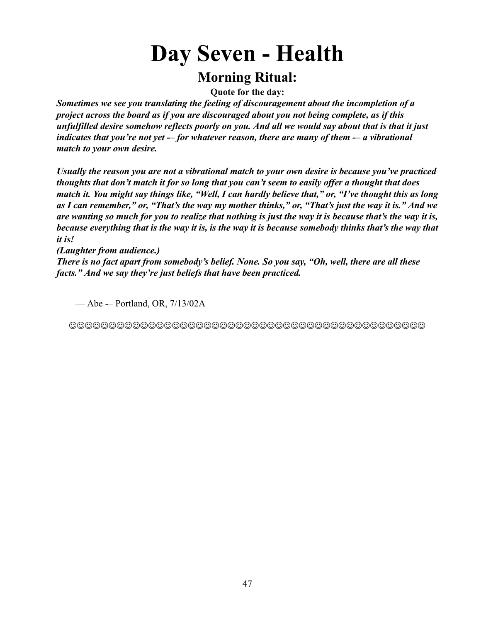## Day Seven - Health

## Morning Ritual:

Quote for the day:

Sometimes we see you translating the feeling of discouragement about the incompletion of a project across the board as if you are discouraged about you not being complete, as if this unfulfilled desire somehow reflects poorly on you. And all we would say about that is that it just indicates that you're not yet  $-$  for whatever reason, there are many of them  $-$  a vibrational match to your own desire.

Usually the reason you are not a vibrational match to your own desire is because you've practiced thoughts that don't match it for so long that you can't seem to easily offer a thought that does match it. You might say things like, "Well, I can hardly believe that," or, "I've thought this as long as I can remember," or, "That's the way my mother thinks," or, "That's just the way it is." And we are wanting so much for you to realize that nothing is just the way it is because that's the way it is, because everything that is the way it is, is the way it is because somebody thinks that's the way that it is!

(Laughter from audience.)

There is no fact apart from somebody's belief. None. So you say, "Oh, well, there are all these facts." And we say they're just beliefs that have been practiced.

 $-$  Abe  $-$  Portland, OR,  $7/13/02A$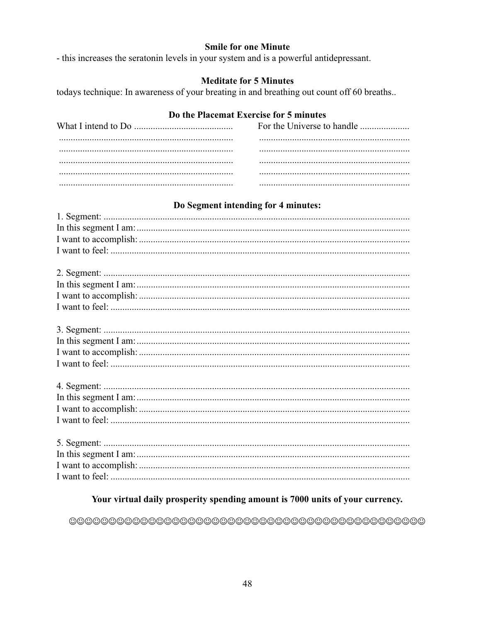### **Smile for one Minute**

- this increases the seratonin levels in your system and is a powerful antidepressant.

### **Meditate for 5 Minutes**

todays technique: In awareness of your breating in and breathing out count off 60 breaths..

### Do the Placemat Exercise for 5 minutes

### Do Segment intending for 4 minutes:

### Your virtual daily prosperity spending amount is 7000 units of your currency.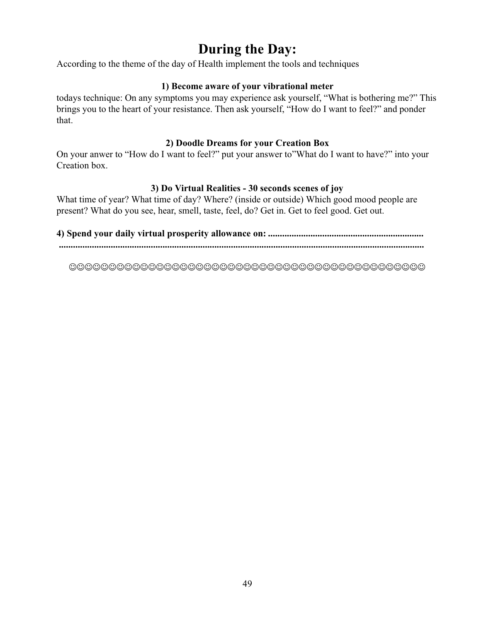## During the Day:

According to the theme of the day of Health implement the tools and techniques

### 1) Become aware of your vibrational meter

todays technique: On any symptoms you may experience ask yourself, "What is bothering me?" This brings you to the heart of your resistance. Then ask yourself, "How do I want to feel?" and ponder that.

### 2) Doodle Dreams for your Creation Box

On your anwer to "How do I want to feel?" put your answer to" What do I want to have?" into your Creation box.

### 3) Do Virtual Realities - 30 seconds scenes of joy

What time of year? What time of day? Where? (inside or outside) Which good mood people are present? What do you see, hear, smell, taste, feel, do? Get in. Get to feel good. Get out.

4) Spend your daily virtual prosperity allowance on: .................................................................. ...........................................................................................................................................................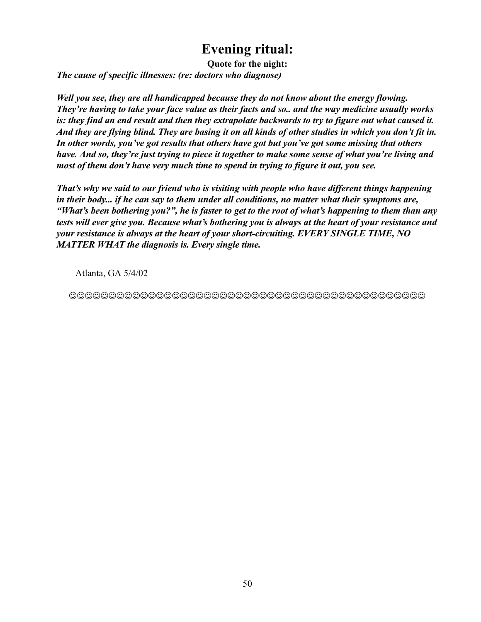## Evening ritual:

Quote for the night: The cause of specific illnesses: (re: doctors who diagnose)

Well you see, they are all handicapped because they do not know about the energy flowing. They're having to take your face value as their facts and so., and the way medicine usually works is: they find an end result and then they extrapolate backwards to try to figure out what caused it. And they are flying blind. They are basing it on all kinds of other studies in which you don't fit in. In other words, you've got results that others have got but you've got some missing that others have. And so, they're just trying to piece it together to make some sense of what you're living and most of them don't have very much time to spend in trying to figure it out, you see.

That's why we said to our friend who is visiting with people who have different things happening in their body... if he can say to them under all conditions, no matter what their symptoms are, "What's been bothering you?", he is faster to get to the root of what's happening to them than any tests will ever give you. Because what's bothering you is always at the heart of your resistance and your resistance is always at the heart of your short-circuiting. EVERY SINGLE TIME, NO MATTER WHAT the diagnosis is. Every single time.

Atlanta, GA 5/4/02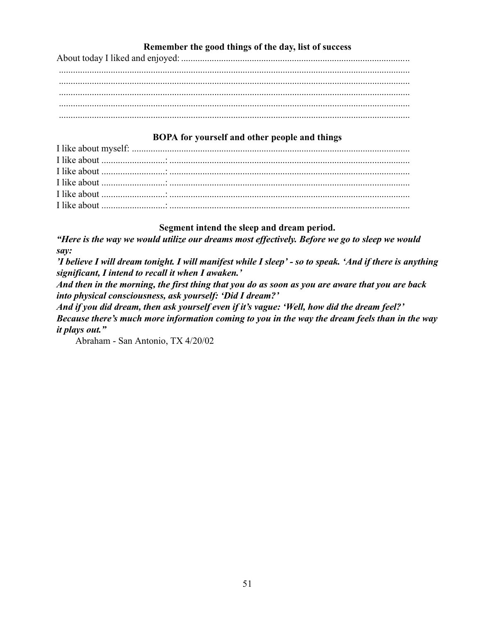### Remember the good things of the day, list of success

### BOPA for yourself and other people and things

Segment intend the sleep and dream period.

"Here is the way we would utilize our dreams most effectively. Before we go to sleep we would  $sav:$ 

'I believe I will dream tonight. I will manifest while I sleep' - so to speak. 'And if there is anything significant, I intend to recall it when I awaken.'

And then in the morning, the first thing that you do as soon as you are aware that you are back into physical consciousness, ask yourself: 'Did I dream?'

And if you did dream, then ask yourself even if it's vague: 'Well, how did the dream feel?' Because there's much more information coming to you in the way the dream feels than in the way it plays out."

Abraham - San Antonio, TX 4/20/02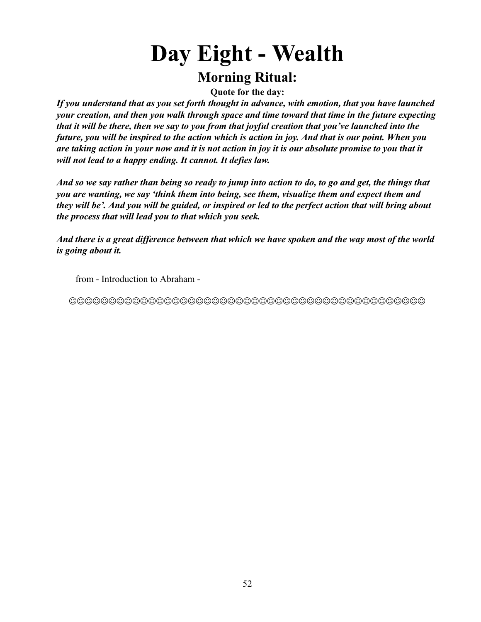# Day Eight - Wealth

## Morning Ritual:

Quote for the day:

If you understand that as you set forth thought in advance, with emotion, that you have launched your creation, and then you walk through space and time toward that time in the future expecting that it will be there, then we say to you from that joyful creation that you've launched into the future, you will be inspired to the action which is action in joy. And that is our point. When you are taking action in your now and it is not action in joy it is our absolute promise to you that it will not lead to a happy ending. It cannot. It defies law.

And so we say rather than being so ready to jump into action to do, to go and get, the things that you are wanting, we say think them into being, see them, visualize them and expect them and they will be'. And you will be guided, or inspired or led to the perfect action that will bring about the process that will lead you to that which you seek.

And there is a great difference between that which we have spoken and the way most of the world is going about it.

from - Introduction to Abraham -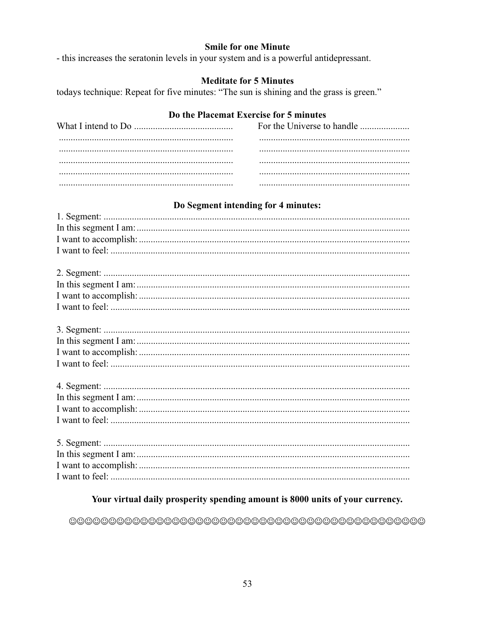### **Smile for one Minute**

- this increases the seratonin levels in your system and is a powerful antidepressant.

### **Meditate for 5 Minutes**

todays technique: Repeat for five minutes: "The sun is shining and the grass is green."

### Do the Placemat Exercise for 5 minutes

### Do Segment intending for 4 minutes:

### Your virtual daily prosperity spending amount is 8000 units of your currency.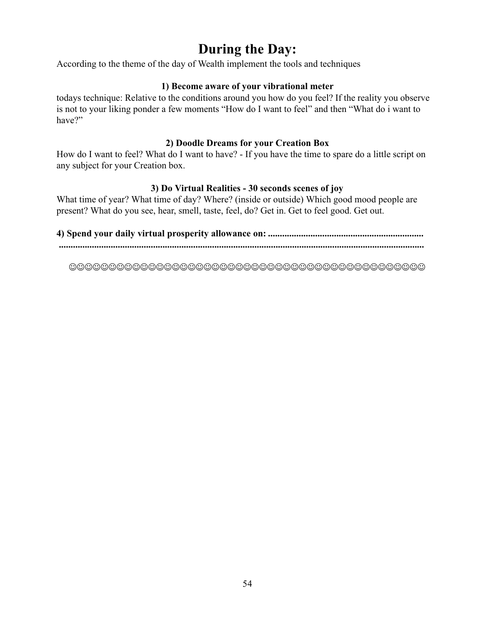## During the Day:

According to the theme of the day of Wealth implement the tools and techniques

### 1) Become aware of your vibrational meter

todays technique: Relative to the conditions around you how do you feel? If the reality you observe is not to your liking ponder a few moments "How do I want to feel" and then "What do i want to have?"

### 2) Doodle Dreams for your Creation Box

How do I want to feel? What do I want to have? - If you have the time to spare do a little script on any subject for your Creation box.

### 3) Do Virtual Realities - 30 seconds scenes of joy

What time of year? What time of day? Where? (inside or outside) Which good mood people are present? What do you see, hear, smell, taste, feel, do? Get in. Get to feel good. Get out.

4) Spend your daily virtual prosperity allowance on: .................................................................. ...........................................................................................................................................................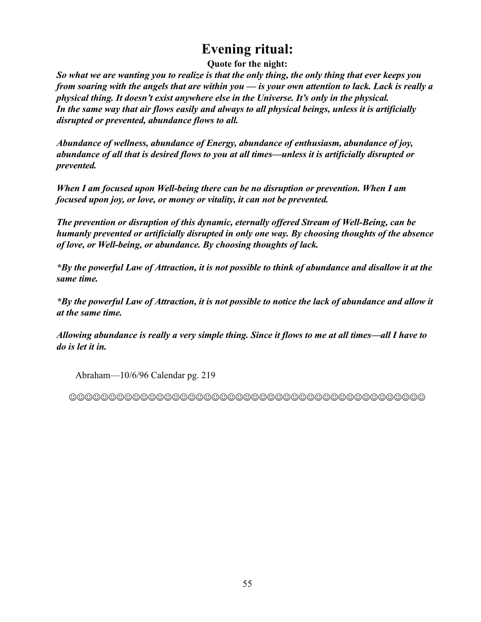## Evening ritual:

Quote for the night:

So what we are wanting you to realize is that the only thing, the only thing that ever keeps you from soaring with the angels that are within you  $-$  is your own attention to lack. Lack is really a physical thing. It doesn't exist anywhere else in the Universe. It's only in the physical. In the same way that air flows easily and always to all physical beings, unless it is artificially disrupted or prevented, abundance flows to all.

Abundance of wellness, abundance of Energy, abundance of enthusiasm, abundance of joy, abundance of all that is desired flows to you at all times—unless it is artificially disrupted or prevented.

When I am focused upon Well-being there can be no disruption or prevention. When I am focused upon joy, or love, or money or vitality, it can not be prevented.

The prevention or disruption of this dynamic, eternally offered Stream of Well-Being, can be humanly prevented or artificially disrupted in only one way. By choosing thoughts of the absence of love, or Well-being, or abundance. By choosing thoughts of lack.

\*By the powerful Law of Attraction, it is not possible to think of abundance and disallow it at the same time.

\*By the powerful Law of Attraction, it is not possible to notice the lack of abundance and allow it at the same time.

Allowing abundance is really a very simple thing. Since it flows to me at all times—all I have to do is let it in.

Abraham—10/6/96 Calendar pg. 219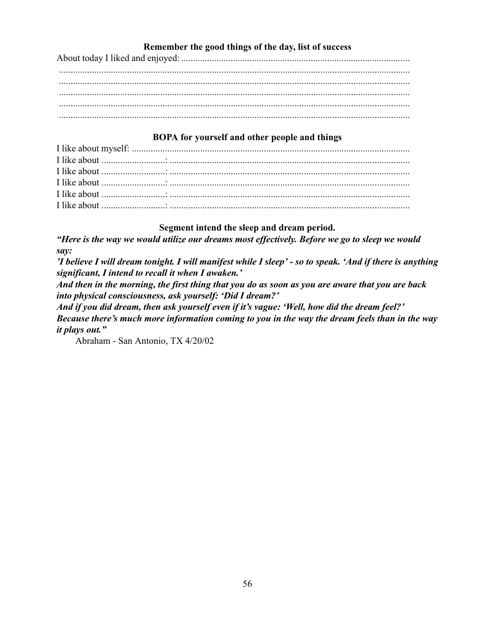### Remember the good things of the day, list of success

### BOPA for yourself and other people and things

Segment intend the sleep and dream period.

"Here is the way we would utilize our dreams most effectively. Before we go to sleep we would  $sav:$ 

'I believe I will dream tonight. I will manifest while I sleep' - so to speak. 'And if there is anything significant, I intend to recall it when I awaken.'

And then in the morning, the first thing that you do as soon as you are aware that you are back into physical consciousness, ask yourself: 'Did I dream?'

And if you did dream, then ask yourself even if it's vague: 'Well, how did the dream feel?' Because there's much more information coming to you in the way the dream feels than in the way it plays out."

Abraham - San Antonio, TX 4/20/02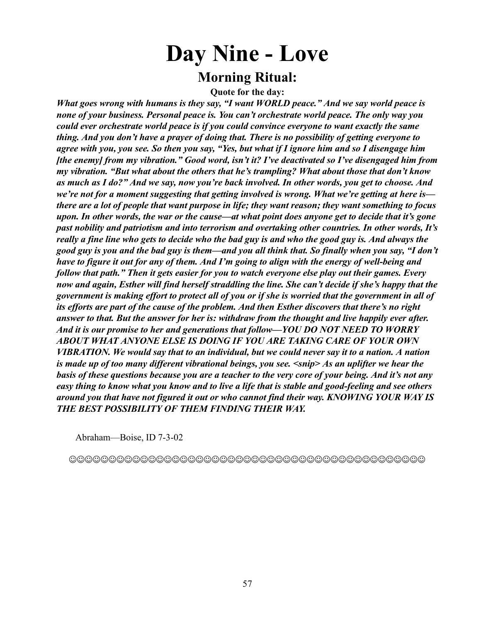## Day Nine - Love

### Morning Ritual:

Quote for the day:

What goes wrong with humans is they say, "I want WORLD peace." And we say world peace is none of your business. Personal peace is. You can't orchestrate world peace. The only way you could ever orchestrate world peace is if you could convince everyone to want exactly the same thing. And you don't have a prayer of doing that. There is no possibility of getting everyone to agree with you, you see. So then you say, "Yes, but what if I ignore him and so I disengage him [the enemy] from my vibration." Good word, isn't it? I've deactivated so I've disengaged him from my vibration. "But what about the others that he's trampling? What about those that don't know as much as I do?" And we say, now you're back involved. In other words, you get to choose. And we're not for a moment suggesting that getting involved is wrong. What we're getting at here is there are a lot of people that want purpose in life; they want reason; they want something to focus upon. In other words, the war or the cause—at what point does anyone get to decide that it's gone past nobility and patriotism and into terrorism and overtaking other countries. In other words, It's really a fine line who gets to decide who the bad guy is and who the good guy is. And always the good guy is you and the bad guy is them—and you all think that. So finally when you say, "I don't have to figure it out for any of them. And I'm going to align with the energy of well-being and follow that path." Then it gets easier for you to watch everyone else play out their games. Every now and again, Esther will find herself straddling the line. She can't decide if she's happy that the government is making effort to protect all of you or if she is worried that the government in all of its efforts are part of the cause of the problem. And then Esther discovers that there's no right answer to that. But the answer for her is: withdraw from the thought and live happily ever after. And it is our promise to her and generations that follow—YOU DO NOT NEED TO WORRY ABOUT WHAT ANYONE ELSE IS DOING IF YOU ARE TAKING CARE OF YOUR OWN VIBRATION. We would say that to an individual, but we could never say it to a nation. A nation is made up of too many different vibrational beings, you see. <snip> As an uplifter we hear the basis of these questions because you are a teacher to the very core of your being. And it's not any easy thing to know what you know and to live a life that is stable and good-feeling and see others around you that have not figured it out or who cannot find their way. KNOWING YOUR WAY IS THE BEST POSSIBILITY OF THEM FINDING THEIR WAY.

Abraham—Boise, ID 7-3-02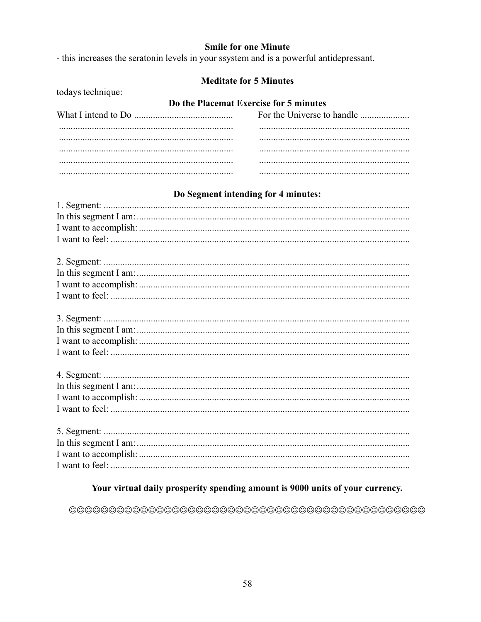#### **Smile for one Minute**

- this increases the seratonin levels in your ssystem and is a powerful antidepressant.

todays technique:

### **Meditate for 5 Minutes**

| Do the Placemat Exercise for 5 minutes |  |  |
|----------------------------------------|--|--|
|                                        |  |  |
|                                        |  |  |
|                                        |  |  |
|                                        |  |  |
|                                        |  |  |

### Do Segment intending for 4 minutes:

### Your virtual daily prosperity spending amount is 9000 units of your currency.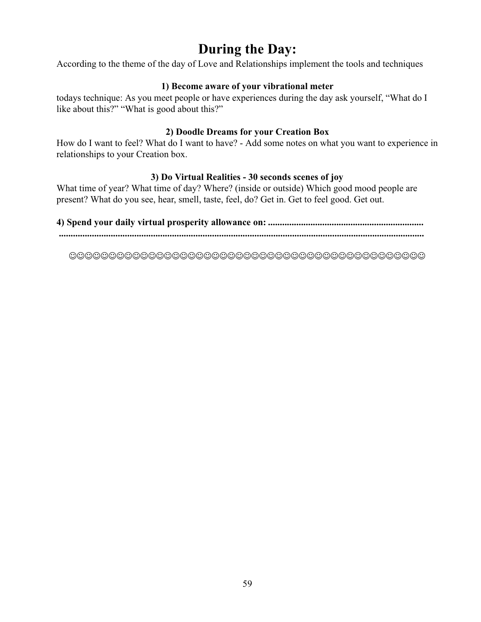## During the Day:

According to the theme of the day of Love and Relationships implement the tools and techniques

### 1) Become aware of your vibrational meter

todays technique: As you meet people or have experiences during the day ask yourself, What do I like about this?" "What is good about this?"

### 2) Doodle Dreams for your Creation Box

How do I want to feel? What do I want to have? - Add some notes on what you want to experience in relationships to your Creation box.

### 3) Do Virtual Realities - 30 seconds scenes of joy

What time of year? What time of day? Where? (inside or outside) Which good mood people are present? What do you see, hear, smell, taste, feel, do? Get in. Get to feel good. Get out.

4) Spend your daily virtual prosperity allowance on: ..................................................................

...........................................................................................................................................................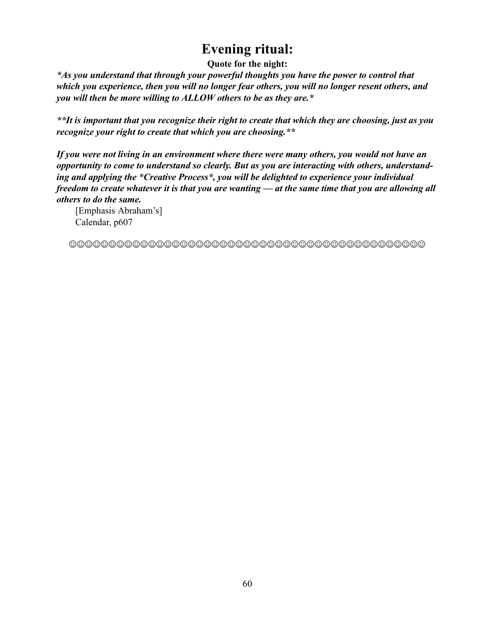## Evening ritual:

Quote for the night:

\*As you understand that through your powerful thoughts you have the power to control that which you experience, then you will no longer fear others, you will no longer resent others, and you will then be more willing to ALLOW others to be as they are.\*

\*\*It is important that you recognize their right to create that which they are choosing, just as you recognize your right to create that which you are choosing.\*\*

If you were not living in an environment where there were many others, you would not have an opportunity to come to understand so clearly. But as you are interacting with others, understanding and applying the \*Creative Process\*, you will be delighted to experience your individual freedom to create whatever it is that you are wanting  $-$  at the same time that you are allowing all others to do the same.

[Emphasis Abraham's] Calendar, p607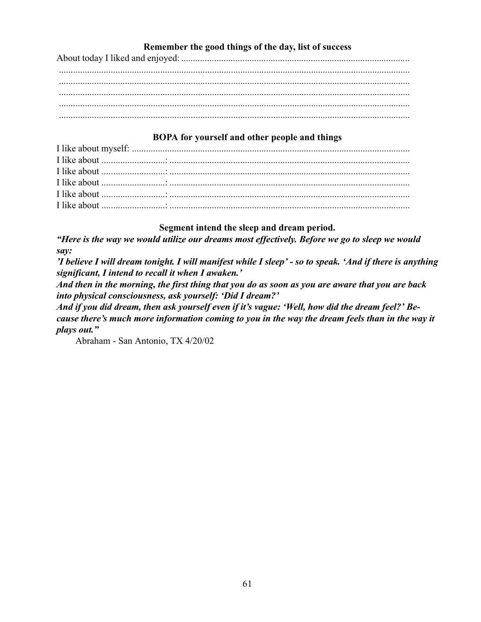### Remember the good things of the day, list of success

### BOPA for yourself and other people and things

Segment intend the sleep and dream period.

"Here is the way we would utilize our dreams most effectively. Before we go to sleep we would  $sav:$ 

'I believe I will dream tonight. I will manifest while I sleep' - so to speak. 'And if there is anything significant, I intend to recall it when I awaken.'

And then in the morning, the first thing that you do as soon as you are aware that you are back into physical consciousness, ask yourself: 'Did I dream?'

And if you did dream, then ask yourself even if it's vague: 'Well, how did the dream feel?' Because there's much more information coming to you in the way the dream feels than in the way it plays out."

Abraham - San Antonio, TX 4/20/02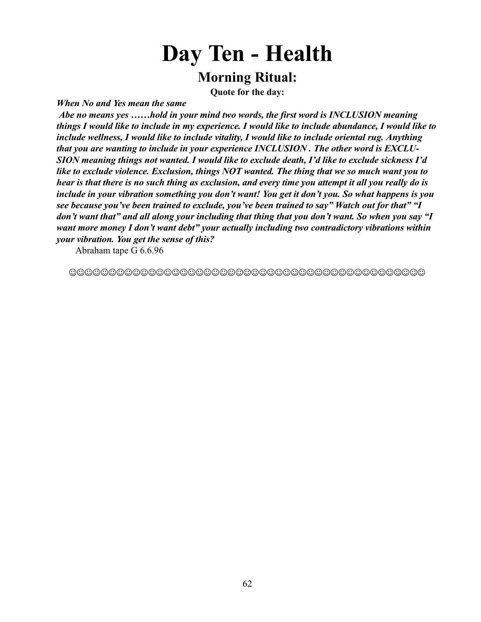## Day Ten - Health

### Morning Ritual:

Quote for the day:

### When No and Yes mean the same

Abe no means yes ......hold in your mind two words, the first word is INCLUSION meaning things I would like to include in my experience. I would like to include abundance, I would like to include wellness, I would like to include vitality, I would like to include oriental rug. Anything that you are wanting to include in your experience INCLUSION . The other word is EXCLU- $SION$  meaning things not wanted. I would like to exclude death, I'd like to exclude sickness I'd like to exclude violence. Exclusion, things NOT wanted. The thing that we so much want you to hear is that there is no such thing as exclusion, and every time you attempt it all you really do is include in your vibration something you don't want! You get it don't you. So what happens is you see because you've been trained to exclude, you've been trained to say" Watch out for that" "I don't want that" and all along your including that thing that you don't want. So when you say "I want more money I don't want debt" your actually including two contradictory vibrations within your vibration. You get the sense of this?

Abraham tape G 6.6.96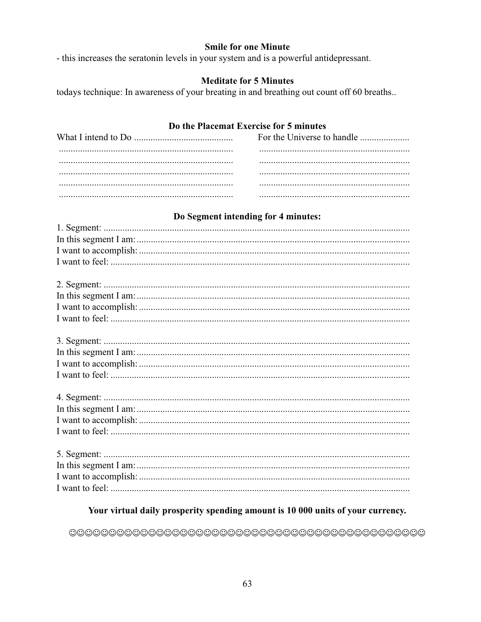### **Smile for one Minute**

- this increases the seratonin levels in your system and is a powerful antidepressant.

### **Meditate for 5 Minutes**

todays technique: In awareness of your breating in and breathing out count off 60 breaths..

### Do the Placemat Exercise for 5 minutes

### Do Segment intending for 4 minutes:

### Your virtual daily prosperity spending amount is 10 000 units of your currency.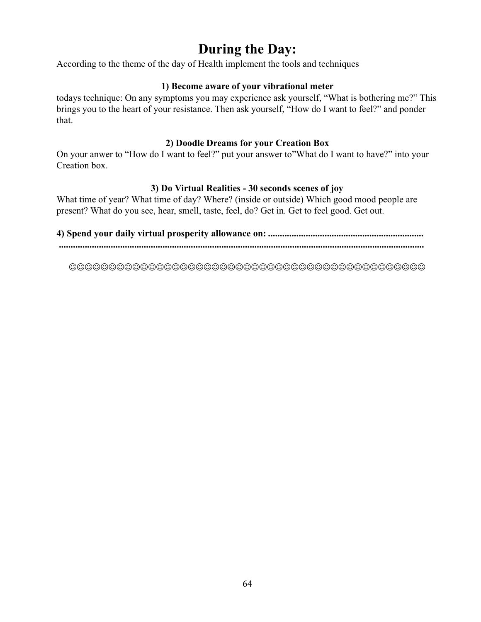## During the Day:

According to the theme of the day of Health implement the tools and techniques

### 1) Become aware of your vibrational meter

todays technique: On any symptoms you may experience ask yourself, "What is bothering me?" This brings you to the heart of your resistance. Then ask yourself, "How do I want to feel?" and ponder that.

### 2) Doodle Dreams for your Creation Box

On your anwer to "How do I want to feel?" put your answer to" What do I want to have?" into your Creation box.

### 3) Do Virtual Realities - 30 seconds scenes of joy

What time of year? What time of day? Where? (inside or outside) Which good mood people are present? What do you see, hear, smell, taste, feel, do? Get in. Get to feel good. Get out.

4) Spend your daily virtual prosperity allowance on: .................................................................. ...........................................................................................................................................................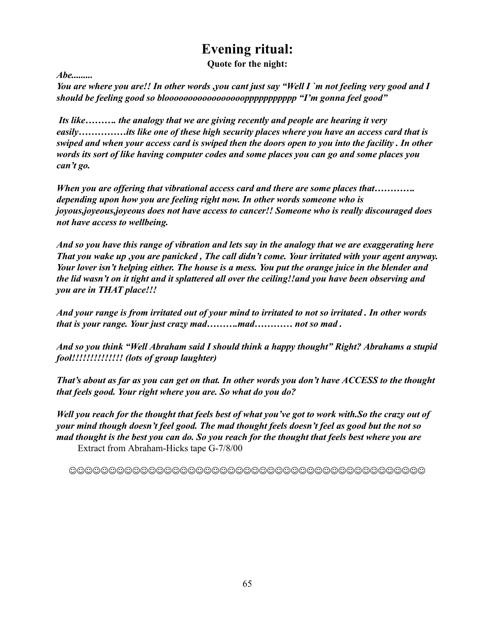## Evening ritual:

Quote for the night:

Abe.........

You are where you are!! In other words ,you cant just say "Well I `m not feeling very good and I should be feeling good so bloooooooooooooooooopppppppppppp "I'm gonna feel good"

Its like.... $\ldots$  the analogy that we are giving recently and people are hearing it very easily...............its like one of these high security places where you have an access card that is swiped and when your access card is swiped then the doors open to you into the facility . In other words its sort of like having computer codes and some places you can go and some places you  $can't go.$ 

When you are offering that vibrational access card and there are some places that............. depending upon how you are feeling right now. In other words someone who is joyous,joyeous,joyeous does not have access to cancer!! Someone who is really discouraged does not have access to wellbeing.

And so you have this range of vibration and lets say in the analogy that we are exaggerating here That you wake up , you are panicked, The call didn't come. Your irritated with your agent anyway. Your lover isn't helping either. The house is a mess. You put the orange juice in the blender and the lid wasn't on it tight and it splattered all over the ceiling!! and you have been observing and you are in THAT place!!!

And your range is from irritated out of your mind to irritated to not so irritated . In other words that is your range. Your just crazy mad..........mad............. not so mad.

And so you think "Well Abraham said I should think a happy thought" Right? Abrahams a stupid fool!!!!!!!!!!!!!! (lots of group laughter)

That's about as far as you can get on that. In other words you don't have ACCESS to the thought that feels good. Your right where you are. So what do you do?

Well you reach for the thought that feels best of what you've got to work with.So the crazy out of your mind though doesn't feel good. The mad thought feels doesn't feel as good but the not so mad thought is the best you can do. So you reach for the thought that feels best where you are Extract from Abraham-Hicks tape G-7/8/00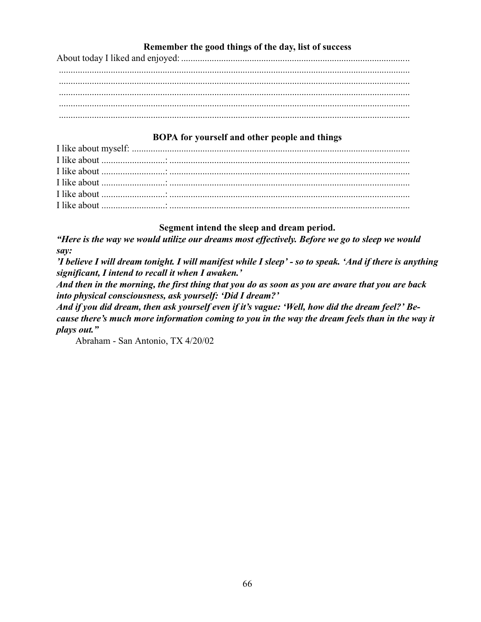### Remember the good things of the day, list of success

### BOPA for yourself and other people and things

Segment intend the sleep and dream period.

"Here is the way we would utilize our dreams most effectively. Before we go to sleep we would  $sav:$ 

'I believe I will dream tonight. I will manifest while I sleep' - so to speak. 'And if there is anything significant, I intend to recall it when I awaken.'

And then in the morning, the first thing that you do as soon as you are aware that you are back into physical consciousness, ask yourself: 'Did I dream?'

And if you did dream, then ask yourself even if it's vague: 'Well, how did the dream feel?' Because there's much more information coming to you in the way the dream feels than in the way it plays out."

Abraham - San Antonio, TX 4/20/02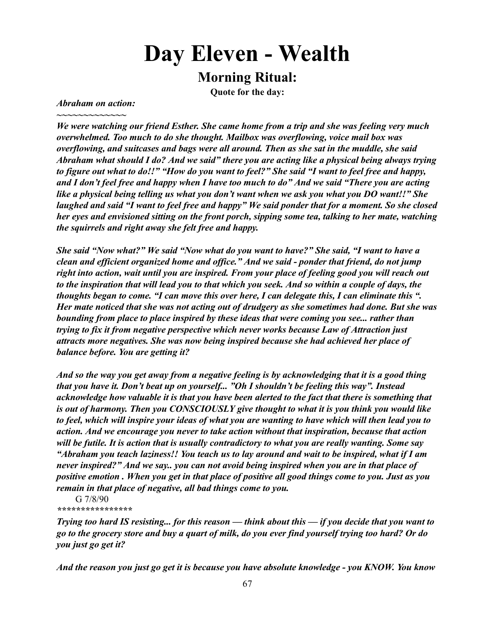## Day Eleven - Wealth

### Morning Ritual:

Quote for the day:

#### Abraham on action:

~~~~~~~~~~~~~ We were watching our friend Esther. She came home from a trip and she was feeling very much overwhelmed. Too much to do she thought. Mailbox was overflowing, voice mail box was overflowing, and suitcases and bags were all around. Then as she sat in the muddle, she said Abraham what should I do? And we said" there you are acting like a physical being always trying to figure out what to do!!" "How do you want to feel?" She said "I want to feel free and happy, and I don't feel free and happy when I have too much to do" And we said "There you are acting like a physical being telling us what you don't want when we ask you what you  $DO$  want!!" She laughed and said "I want to feel free and happy" We said ponder that for a moment. So she closed her eyes and envisioned sitting on the front porch, sipping some tea, talking to her mate, watching the squirrels and right away she felt free and happy.

She said "Now what?" We said "Now what do you want to have?" She said, "I want to have a clean and efficient organized home and office." And we said - ponder that friend, do not jump right into action, wait until you are inspired. From your place of feeling good you will reach out to the inspiration that will lead you to that which you seek. And so within a couple of days, the thoughts began to come. "I can move this over here, I can delegate this, I can eliminate this ". Her mate noticed that she was not acting out of drudgery as she sometimes had done. But she was bounding from place to place inspired by these ideas that were coming you see... rather than trying to fix it from negative perspective which never works because Law of Attraction just attracts more negatives. She was now being inspired because she had achieved her place of balance before. You are getting it?

And so the way you get away from a negative feeling is by acknowledging that it is a good thing that you have it. Don't beat up on yourself... "Oh I shouldn't be feeling this way". Instead acknowledge how valuable it is that you have been alerted to the fact that there is something that is out of harmony. Then you CONSCIOUSLY give thought to what it is you think you would like to feel, which will inspire your ideas of what you are wanting to have which will then lead you to action. And we encourage you never to take action without that inspiration, because that action will be futile. It is action that is usually contradictory to what you are really wanting. Some say "Abraham you teach laziness!! You teach us to lay around and wait to be inspired, what if I am never inspired?" And we say.. you can not avoid being inspired when you are in that place of positive emotion . When you get in that place of positive all good things come to you. Just as you remain in that place of negative, all bad things come to you.

G 7/8/90 \*\*\*\*\*\*\*\*\*\*\*\*\*\*\*\*

Trying too hard IS resisting... for this reason  $-$  think about this  $-$  if you decide that you want to go to the grocery store and buy a quart of milk, do you ever find yourself trying too hard? Or do you just go get it?

And the reason you just go get it is because you have absolute knowledge - you KNOW. You know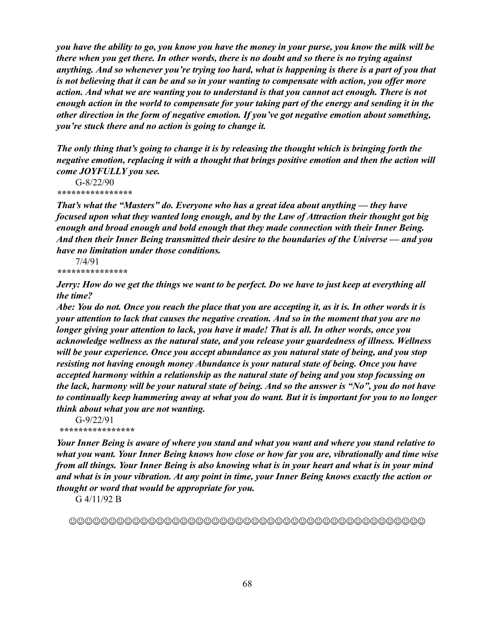you have the ability to go, you know you have the money in your purse, you know the milk will be there when you get there. In other words, there is no doubt and so there is no trying against anything. And so whenever you're trying too hard, what is happening is there is a part of you that is not believing that it can be and so in your wanting to compensate with action, you offer more action. And what we are wanting you to understand is that you cannot act enough. There is not enough action in the world to compensate for your taking part of the energy and sending it in the other direction in the form of negative emotion. If you've got negative emotion about something, you're stuck there and no action is going to change it.

The only thing that's going to change it is by releasing the thought which is bringing forth the negative emotion, replacing it with a thought that brings positive emotion and then the action will come JOYFULLY you see.

G-8/22/90 \*\*\*\*\*\*\*\*\*\*\*\*\*\*\*\*

That's what the "Masters" do. Everyone who has a great idea about anything — they have focused upon what they wanted long enough, and by the Law of Attraction their thought got big enough and broad enough and bold enough that they made connection with their Inner Being. And then their Inner Being transmitted their desire to the boundaries of the Universe — and you have no limitation under those conditions.

7/4/91 \*\*\*\*\*\*\*\*\*\*\*\*\*\*\*

Jerry: How do we get the things we want to be perfect. Do we have to just keep at everything all the time?

Abe: You do not. Once you reach the place that you are accepting it, as it is. In other words it is your attention to lack that causes the negative creation. And so in the moment that you are no longer giving your attention to lack, you have it made! That is all. In other words, once you acknowledge wellness as the natural state, and you release your guardedness of illness. Wellness will be your experience. Once you accept abundance as you natural state of being, and you stop resisting not having enough money Abundance is your natural state of being. Once you have accepted harmony within a relationship as the natural state of being and you stop focussing on the lack, harmony will be your natural state of being. And so the answer is "No", you do not have to continually keep hammering away at what you do want. But it is important for you to no longer think about what you are not wanting.

G-9/22/91 \*\*\*\*\*\*\*\*\*\*\*\*\*\*\*\*

Your Inner Being is aware of where you stand and what you want and where you stand relative to what you want. Your Inner Being knows how close or how far you are, vibrationally and time wise from all things. Your Inner Being is also knowing what is in your heart and what is in your mind and what is in your vibration. At any point in time, your Inner Being knows exactly the action or thought or word that would be appropriate for you.

G 4/11/92 B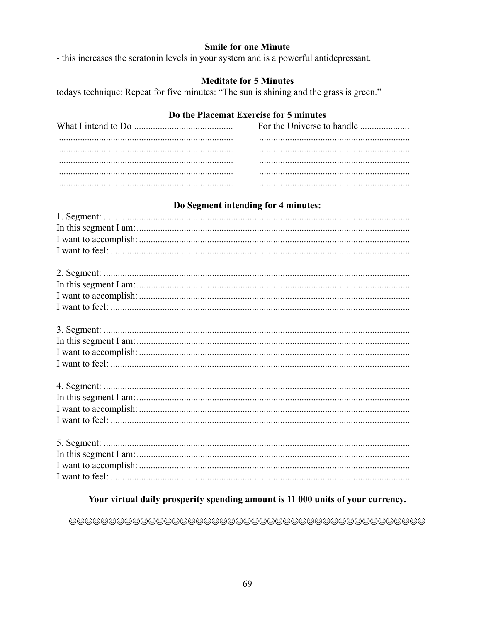### **Smile for one Minute**

- this increases the seratonin levels in your system and is a powerful antidepressant.

### **Meditate for 5 Minutes**

todays technique: Repeat for five minutes: "The sun is shining and the grass is green."

### Do the Placemat Exercise for 5 minutes

### Do Segment intending for 4 minutes:

### Your virtual daily prosperity spending amount is 11 000 units of your currency.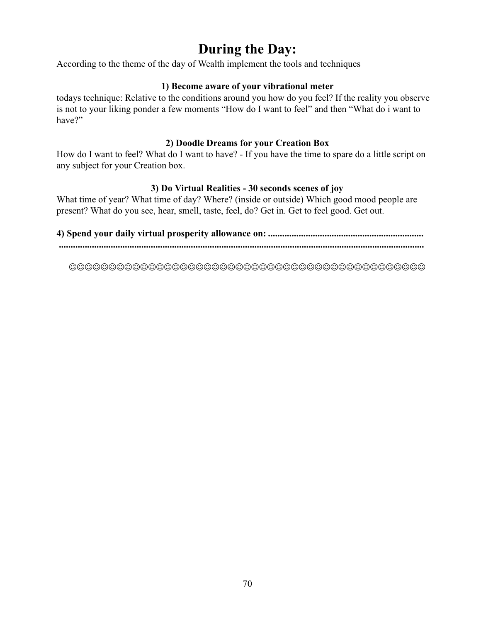## During the Day:

According to the theme of the day of Wealth implement the tools and techniques

### 1) Become aware of your vibrational meter

todays technique: Relative to the conditions around you how do you feel? If the reality you observe is not to your liking ponder a few moments "How do I want to feel" and then "What do i want to have?"

### 2) Doodle Dreams for your Creation Box

How do I want to feel? What do I want to have? - If you have the time to spare do a little script on any subject for your Creation box.

### 3) Do Virtual Realities - 30 seconds scenes of joy

What time of year? What time of day? Where? (inside or outside) Which good mood people are present? What do you see, hear, smell, taste, feel, do? Get in. Get to feel good. Get out.

4) Spend your daily virtual prosperity allowance on: .................................................................. ...........................................................................................................................................................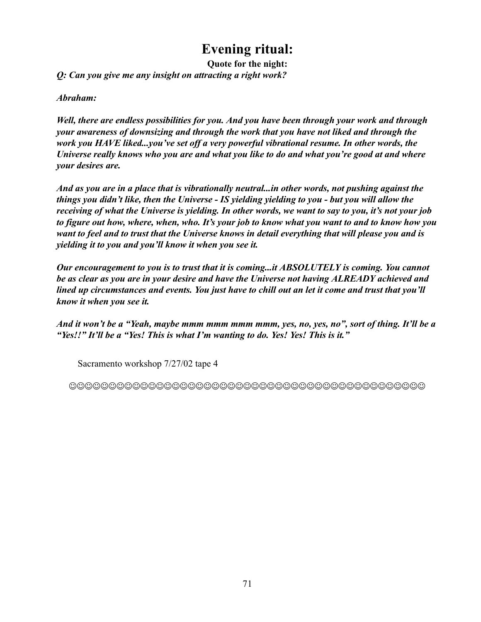## Evening ritual:

Quote for the night: Q: Can you give me any insight on attracting a right work?

Abraham:

Well, there are endless possibilities for you. And you have been through your work and through your awareness of downsizing and through the work that you have not liked and through the work you HAVE liked...you've set off a very powerful vibrational resume. In other words, the Universe really knows who you are and what you like to do and what you're good at and where your desires are.

And as you are in a place that is vibrationally neutral...in other words, not pushing against the things you didn't like, then the Universe  $-$  IS yielding yielding to you - but you will allow the receiving of what the Universe is yielding. In other words, we want to say to you, it's not your job to figure out how, where, when, who. It's your job to know what you want to and to know how you want to feel and to trust that the Universe knows in detail everything that will please you and is yielding it to you and you'll know it when you see it.

Our encouragement to you is to trust that it is coming...it ABSOLUTELY is coming. You cannot be as clear as you are in your desire and have the Universe not having ALREADY achieved and lined up circumstances and events. You just have to chill out an let it come and trust that you'll know it when you see it.

And it won't be a "Yeah, maybe mmm mmm mmm mmm, yes, no, yes, no", sort of thing. It'll be a "Yes!!" It'll be a "Yes! This is what I'm wanting to do. Yes! Yes! This is it."

Sacramento workshop 7/27/02 tape 4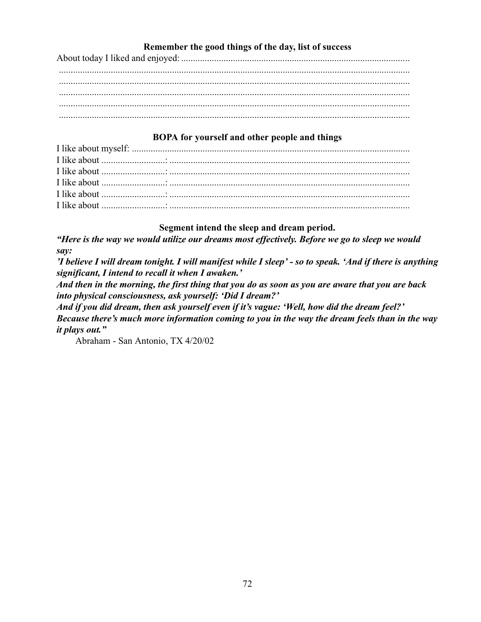### Remember the good things of the day, list of success

### BOPA for yourself and other people and things

Segment intend the sleep and dream period.

"Here is the way we would utilize our dreams most effectively. Before we go to sleep we would  $sav:$ 

'I believe I will dream tonight. I will manifest while I sleep' - so to speak. 'And if there is anything significant, I intend to recall it when I awaken.'

And then in the morning, the first thing that you do as soon as you are aware that you are back into physical consciousness, ask yourself: 'Did I dream?'

And if you did dream, then ask yourself even if it's vague: 'Well, how did the dream feel?' Because there's much more information coming to you in the way the dream feels than in the way it plays out."

Abraham - San Antonio, TX 4/20/02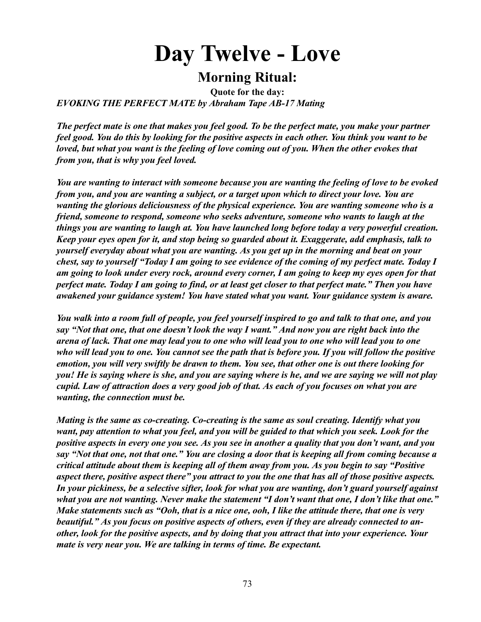## Day Twelve - Love

### Morning Ritual:

Quote for the day:

EVOKING THE PERFECT MATE by Abraham Tape AB-17 Mating

The perfect mate is one that makes you feel good. To be the perfect mate, you make your partner feel good. You do this by looking for the positive aspects in each other. You think you want to be loved, but what you want is the feeling of love coming out of you. When the other evokes that from you, that is why you feel loved.

You are wanting to interact with someone because you are wanting the feeling of love to be evoked from you, and you are wanting a subject, or a target upon which to direct your love. You are wanting the glorious deliciousness of the physical experience. You are wanting someone who is a friend, someone to respond, someone who seeks adventure, someone who wants to laugh at the things you are wanting to laugh at. You have launched long before today a very powerful creation. Keep your eyes open for it, and stop being so guarded about it. Exaggerate, add emphasis, talk to yourself everyday about what you are wanting. As you get up in the morning and beat on your chest, say to yourself "Today I am going to see evidence of the coming of my perfect mate. Today I am going to look under every rock, around every corner, I am going to keep my eyes open for that perfect mate. Today I am going to find, or at least get closer to that perfect mate." Then you have awakened your guidance system! You have stated what you want. Your guidance system is aware.

You walk into a room full of people, you feel yourself inspired to go and talk to that one, and you say "Not that one, that one doesn't look the way I want." And now you are right back into the arena of lack. That one may lead you to one who will lead you to one who will lead you to one who will lead you to one. You cannot see the path that is before you. If you will follow the positive emotion, you will very swiftly be drawn to them. You see, that other one is out there looking for you! He is saying where is she, and you are saying where is he, and we are saying we will not play cupid. Law of attraction does a very good job of that. As each of you focuses on what you are wanting, the connection must be.

Mating is the same as co-creating. Co-creating is the same as soul creating. Identify what you want, pay attention to what you feel, and you will be guided to that which you seek. Look for the positive aspects in every one you see. As you see in another a quality that you don't want, and you say "Not that one, not that one." You are closing a door that is keeping all from coming because a critical attitude about them is keeping all of them away from you. As you begin to say "Positive aspect there, positive aspect there" you attract to you the one that has all of those positive aspects. In your pickiness, be a selective sifter, look for what you are wanting, don't guard yourself against what you are not wanting. Never make the statement "I don't want that one, I don't like that one." Make statements such as "Ooh, that is a nice one, ooh, I like the attitude there, that one is very beautiful." As you focus on positive aspects of others, even if they are already connected to another, look for the positive aspects, and by doing that you attract that into your experience. Your mate is very near you. We are talking in terms of time. Be expectant.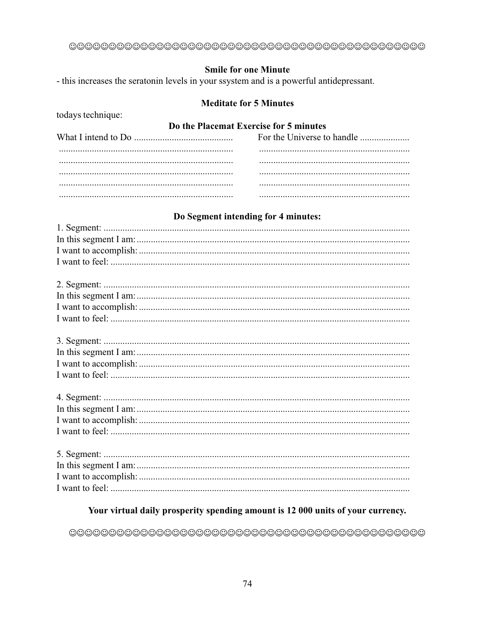#### **Smile for one Minute**

- this increases the seratonin levels in your ssystem and is a powerful antidepressant.

| <b>Meditate for 5 Minutes</b> |                                        |  |  |  |
|-------------------------------|----------------------------------------|--|--|--|
| todays technique:             |                                        |  |  |  |
|                               | Do the Placemat Exercise for 5 minutes |  |  |  |
|                               |                                        |  |  |  |
|                               |                                        |  |  |  |
|                               |                                        |  |  |  |
|                               |                                        |  |  |  |
|                               |                                        |  |  |  |
|                               |                                        |  |  |  |

#### Do Segment intending for 4 minutes:

#### Your virtual daily prosperity spending amount is 12 000 units of your currency.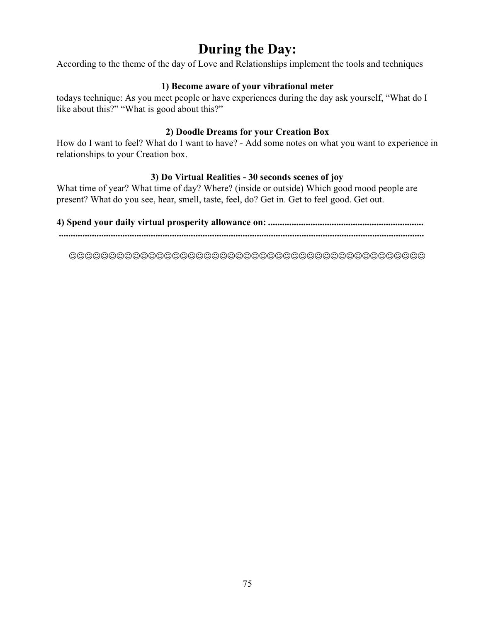## During the Day:

According to the theme of the day of Love and Relationships implement the tools and techniques

#### 1) Become aware of your vibrational meter

todays technique: As you meet people or have experiences during the day ask yourself, What do I like about this?" "What is good about this?"

#### 2) Doodle Dreams for your Creation Box

How do I want to feel? What do I want to have? - Add some notes on what you want to experience in relationships to your Creation box.

#### 3) Do Virtual Realities - 30 seconds scenes of joy

What time of year? What time of day? Where? (inside or outside) Which good mood people are present? What do you see, hear, smell, taste, feel, do? Get in. Get to feel good. Get out.

4) Spend your daily virtual prosperity allowance on: ..................................................................

...........................................................................................................................................................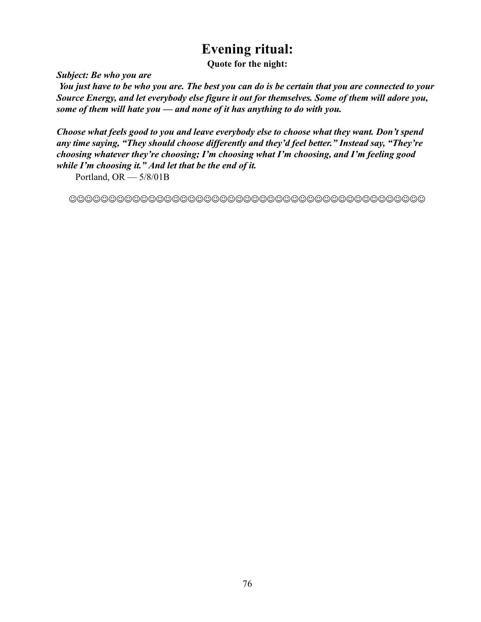## Evening ritual:

Quote for the night:

Subject: Be who you are

 You just have to be who you are. The best you can do is be certain that you are connected to your Source Energy, and let everybody else figure it out for themselves. Some of them will adore you, some of them will hate you  $\frac{d}{dx}$  and none of it has anything to do with you.

Choose what feels good to you and leave everybody else to choose what they want. Don't spend any time saying, "They should choose differently and they'd feel better." Instead say, "They're choosing whatever they're choosing; I'm choosing what I'm choosing, and I'm feeling good while  $I'm$  choosing it." And let that be the end of it.

Portland, OR  $-$  5/8/01B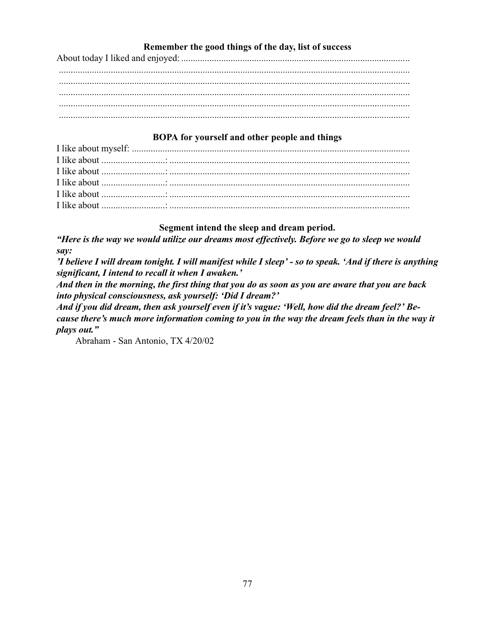#### Remember the good things of the day, list of success

#### BOPA for yourself and other people and things

Segment intend the sleep and dream period.

"Here is the way we would utilize our dreams most effectively. Before we go to sleep we would  $sav:$ 

'I believe I will dream tonight. I will manifest while I sleep' - so to speak. 'And if there is anything significant, I intend to recall it when I awaken.'

And then in the morning, the first thing that you do as soon as you are aware that you are back into physical consciousness, ask yourself: 'Did I dream?'

And if you did dream, then ask yourself even if it's vague: 'Well, how did the dream feel?' Because there's much more information coming to you in the way the dream feels than in the way it plays out."

Abraham - San Antonio, TX 4/20/02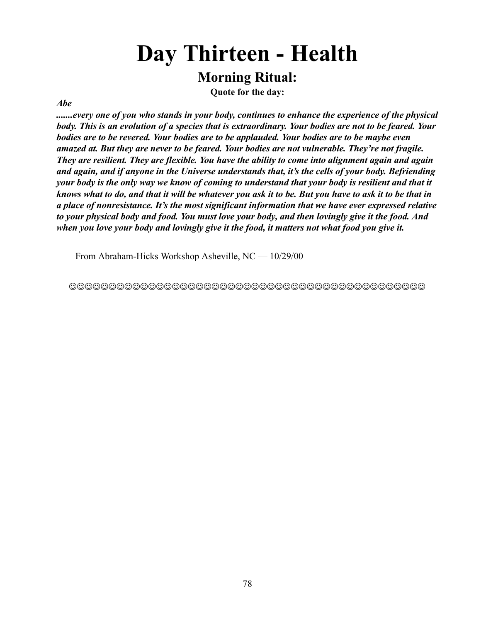# Day Thirteen - Health

### Morning Ritual:

Quote for the day:

#### Abe

.......every one of you who stands in your body, continues to enhance the experience of the physical body. This is an evolution of a species that is extraordinary. Your bodies are not to be feared. Your bodies are to be revered. Your bodies are to be applauded. Your bodies are to be maybe even amazed at. But they are never to be feared. Your bodies are not vulnerable. They're not fragile. They are resilient. They are flexible. You have the ability to come into alignment again and again and again, and if anyone in the Universe understands that, it's the cells of your body. Befriending your body is the only way we know of coming to understand that your body is resilient and that it knows what to do, and that it will be whatever you ask it to be. But you have to ask it to be that in a place of nonresistance. It's the most significant information that we have ever expressed relative to your physical body and food. You must love your body, and then lovingly give it the food. And when you love your body and lovingly give it the food, it matters not what food you give it.

From Abraham-Hicks Workshop Asheville,  $NC - 10/29/00$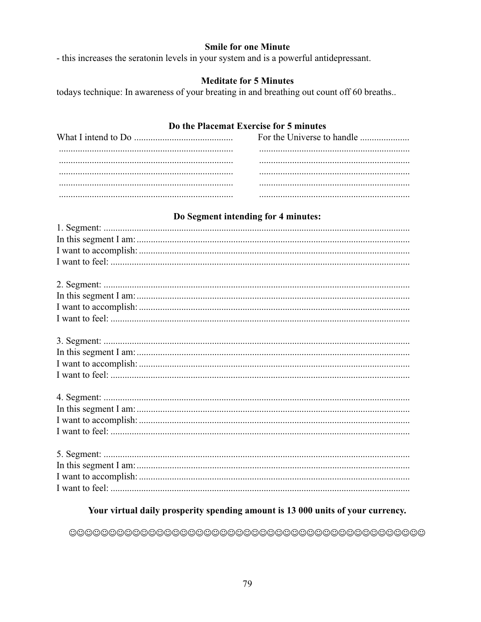#### **Smile for one Minute**

- this increases the seratonin levels in your system and is a powerful antidepressant.

### **Meditate for 5 Minutes**

todays technique: In awareness of your breating in and breathing out count off 60 breaths..

#### Do the Placemat Exercise for 5 minutes

#### Do Segment intending for 4 minutes:

#### Your virtual daily prosperity spending amount is 13 000 units of your currency.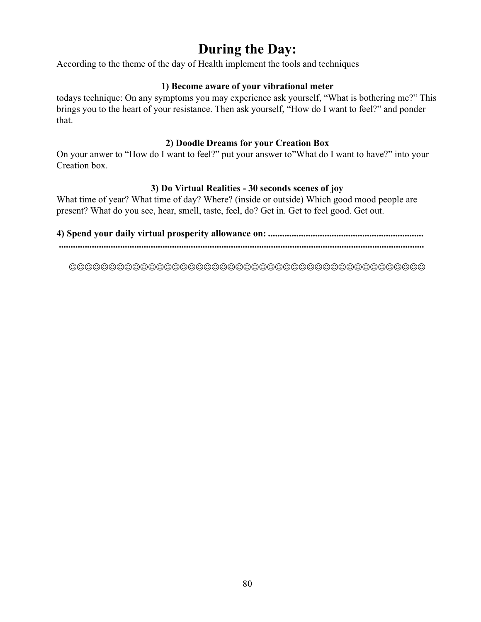## During the Day:

According to the theme of the day of Health implement the tools and techniques

#### 1) Become aware of your vibrational meter

todays technique: On any symptoms you may experience ask yourself, "What is bothering me?" This brings you to the heart of your resistance. Then ask yourself, "How do I want to feel?" and ponder that.

#### 2) Doodle Dreams for your Creation Box

On your anwer to "How do I want to feel?" put your answer to" What do I want to have?" into your Creation box.

#### 3) Do Virtual Realities - 30 seconds scenes of joy

What time of year? What time of day? Where? (inside or outside) Which good mood people are present? What do you see, hear, smell, taste, feel, do? Get in. Get to feel good. Get out.

4) Spend your daily virtual prosperity allowance on: .................................................................. ...........................................................................................................................................................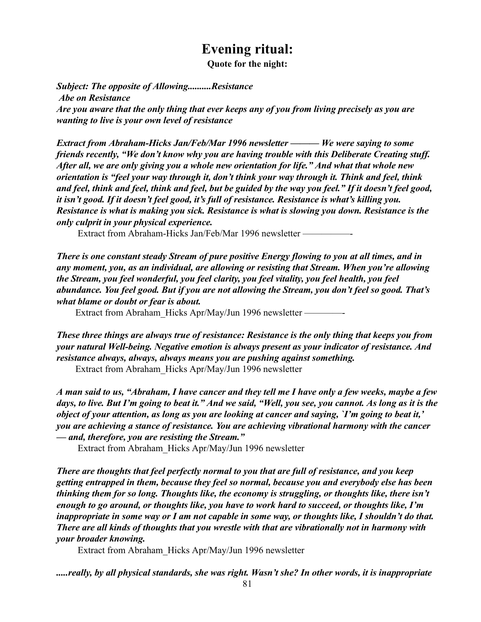### Evening ritual:

Quote for the night:

Subject: The opposite of Allowing..........Resistance Abe on Resistance Are you aware that the only thing that ever keeps any of you from living precisely as you are wanting to live is your own level of resistance

Extract from Abraham-Hicks Jan/Feb/Mar 1996 newsletter ——— We were saying to some friends recently, "We don't know why you are having trouble with this Deliberate Creating stuff. After all, we are only giving you a whole new orientation for life." And what that whole new orientation is "feel your way through it, don't think your way through it. Think and feel, think and feel, think and feel, think and feel, but be guided by the way you feel." If it doesn't feel good, it isn't good. If it doesn't feel good, it's full of resistance. Resistance is what's killing you. Resistance is what is making you sick. Resistance is what is slowing you down. Resistance is the only culprit in your physical experience.

Extract from Abraham-Hicks Jan/Feb/Mar 1996 newsletter -

There is one constant steady Stream of pure positive Energy flowing to you at all times, and in any moment, you, as an individual, are allowing or resisting that Stream. When you're allowing the Stream, you feel wonderful, you feel clarity, you feel vitality, you feel health, you feel abundance. You feel good. But if you are not allowing the Stream, you don't feel so good. That's what blame or doubt or fear is about.

Extract from Abraham Hicks Apr/May/Jun 1996 newsletter -

These three things are always true of resistance: Resistance is the only thing that keeps you from your natural Well-being. Negative emotion is always present as your indicator of resistance. And resistance always, always, always means you are pushing against something. Extract from Abraham\_Hicks Apr/May/Jun 1996 newsletter

A man said to us, "Abraham, I have cancer and they tell me I have only a few weeks, maybe a few days, to live. But I'm going to beat it." And we said, "Well, you see, you cannot. As long as it is the object of your attention, as long as you are looking at cancer and saying, 'I'm going to beat it,' you are achieving a stance of resistance. You are achieving vibrational harmony with the cancer  $-$  and, therefore, you are resisting the Stream."

Extract from Abraham\_Hicks Apr/May/Jun 1996 newsletter

There are thoughts that feel perfectly normal to you that are full of resistance, and you keep getting entrapped in them, because they feel so normal, because you and everybody else has been thinking them for so long. Thoughts like, the economy is struggling, or thoughts like, there isn't enough to go around, or thoughts like, you have to work hard to succeed, or thoughts like, I'm inappropriate in some way or  $I$  am not capable in some way, or thoughts like,  $I$  shouldn't do that. There are all kinds of thoughts that you wrestle with that are vibrationally not in harmony with your broader knowing.

Extract from Abraham\_Hicks Apr/May/Jun 1996 newsletter

.....really, by all physical standards, she was right. Wasn't she? In other words, it is inappropriate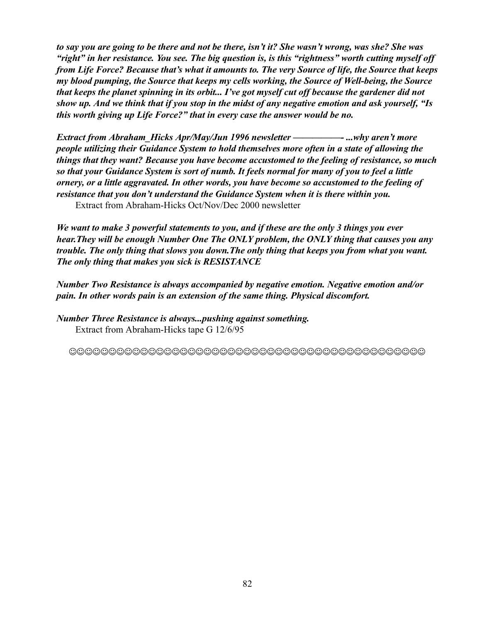to say you are going to be there and not be there, isn't it? She wasn't wrong, was she? She was "right" in her resistance. You see. The big question is, is this "rightness" worth cutting myself off from Life Force? Because that's what it amounts to. The very Source of life, the Source that keeps my blood pumping, the Source that keeps my cells working, the Source of Well-being, the Source that keeps the planet spinning in its orbit... I've got myself cut off because the gardener did not show up. And we think that if you stop in the midst of any negative emotion and ask yourself, "Is this worth giving up Life Force?" that in every case the answer would be no.

Extract from Abraham\_Hicks Apr/May/Jun 1996 newsletter - ...why arent more people utilizing their Guidance System to hold themselves more often in a state of allowing the things that they want? Because you have become accustomed to the feeling of resistance, so much so that your Guidance System is sort of numb. It feels normal for many of you to feel a little ornery, or a little aggravated. In other words, you have become so accustomed to the feeling of resistance that you don't understand the Guidance System when it is there within you.

Extract from Abraham-Hicks Oct/Nov/Dec 2000 newsletter

We want to make 3 powerful statements to you, and if these are the only 3 things you ever hear. They will be enough Number One The ONLY problem, the ONLY thing that causes you any trouble. The only thing that slows you down.The only thing that keeps you from what you want. The only thing that makes you sick is RESISTANCE

Number Two Resistance is always accompanied by negative emotion. Negative emotion and/or pain. In other words pain is an extension of the same thing. Physical discomfort.

Number Three Resistance is always...pushing against something. Extract from Abraham-Hicks tape G 12/6/95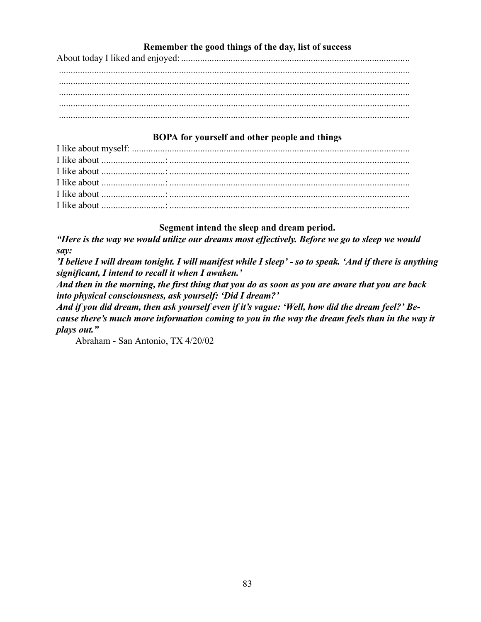#### Remember the good things of the day, list of success

#### BOPA for yourself and other people and things

Segment intend the sleep and dream period.

"Here is the way we would utilize our dreams most effectively. Before we go to sleep we would  $sav:$ 

'I believe I will dream tonight. I will manifest while I sleep' - so to speak. 'And if there is anything significant, I intend to recall it when I awaken.'

And then in the morning, the first thing that you do as soon as you are aware that you are back into physical consciousness, ask yourself: 'Did I dream?'

And if you did dream, then ask yourself even if it's vague: 'Well, how did the dream feel?' Because there's much more information coming to you in the way the dream feels than in the way it plays out."

Abraham - San Antonio, TX 4/20/02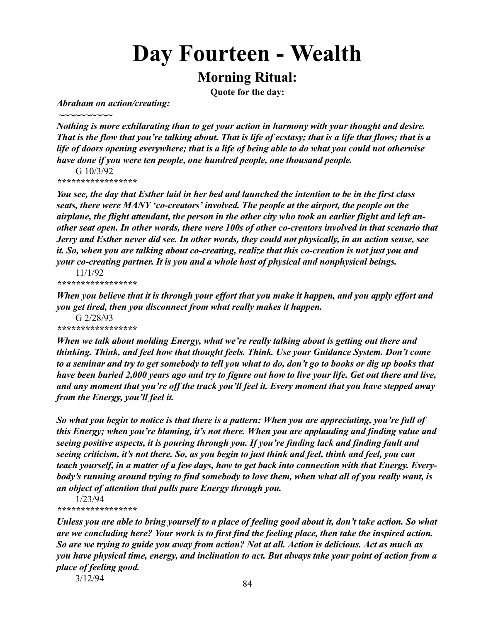## Day Fourteen - Wealth

### Morning Ritual:

Quote for the day:

Abraham on action/creating:

 $\sim$   $\sim$   $\sim$   $\sim$   $\sim$   $\sim$   $\sim$ Nothing is more exhilarating than to get your action in harmony with your thought and desire. That is the flow that you're talking about. That is life of ecstasy; that is a life that flows; that is a life of doors opening everywhere; that is a life of being able to do what you could not otherwise have done if you were ten people, one hundred people, one thousand people.

G 10/3/92

\*\*\*\*\*\*\*\*\*\*\*\*\*\*\*\*\*

You see, the day that Esther laid in her bed and launched the intention to be in the first class seats, there were MANY 'co-creators' involved. The people at the airport, the people on the airplane, the flight attendant, the person in the other city who took an earlier flight and left another seat open. In other words, there were 100s of other co-creators involved in that scenario that Jerry and Esther never did see. In other words, they could not physically, in an action sense, see it. So, when you are talking about co-creating, realize that this co-creation is not just you and your co-creating partner. It is you and a whole host of physical and nonphysical beings.

11/1/92 \*\*\*\*\*\*\*\*\*\*\*\*\*\*\*\*\*

When you believe that it is through your effort that you make it happen, and you apply effort and you get tired, then you disconnect from what really makes it happen.

G 2/28/93 \*\*\*\*\*\*\*\*\*\*\*\*\*\*\*\*\*

When we talk about molding Energy, what we're really talking about is getting out there and thinking. Think, and feel how that thought feels. Think. Use your Guidance System. Don't come to a seminar and try to get somebody to tell you what to do, don't go to books or dig up books that have been buried 2,000 years ago and try to figure out how to live your life. Get out there and live, and any moment that you're off the track you'll feel it. Every moment that you have stepped away from the Energy, you'll feel it.

So what you begin to notice is that there is a pattern: When you are appreciating, you're full of this Energy; when you're blaming, it's not there. When you are applauding and finding value and seeing positive aspects, it is pouring through you. If you're finding lack and finding fault and seeing criticism, it's not there. So, as you begin to just think and feel, think and feel, you can teach yourself, in a matter of a few days, how to get back into connection with that Energy. Everybody's running around trying to find somebody to love them, when what all of you really want, is an object of attention that pulls pure Energy through you.

1/23/94 \*\*\*\*\*\*\*\*\*\*\*\*\*\*\*\*\*

Unless you are able to bring yourself to a place of feeling good about it, don't take action. So what are we concluding here? Your work is to first find the feeling place, then take the inspired action. So are we trying to guide you away from action? Not at all. Action is delicious. Act as much as you have physical time, energy, and inclination to act. But always take your point of action from a place of feeling good.

3/12/94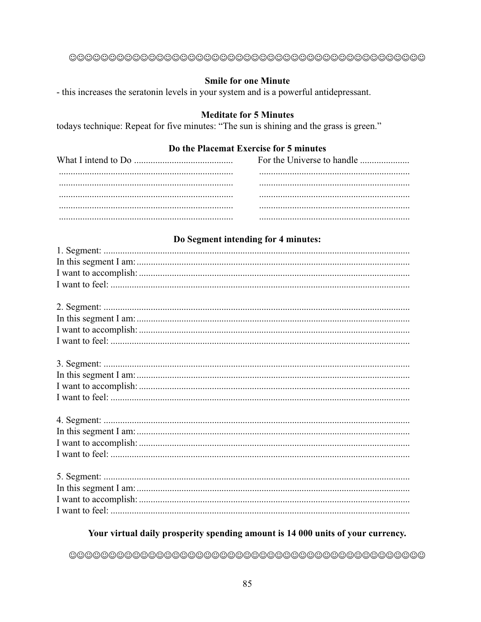#### **Smile for one Minute**

- this increases the seraton in levels in your system and is a powerful antidepressant.

#### **Meditate for 5 Minutes**

todays technique: Repeat for five minutes: "The sun is shining and the grass is green."

#### Do the Placemat Exercise for 5 minutes

#### Do Segment intending for 4 minutes:

#### Your virtual daily prosperity spending amount is 14 000 units of your currency.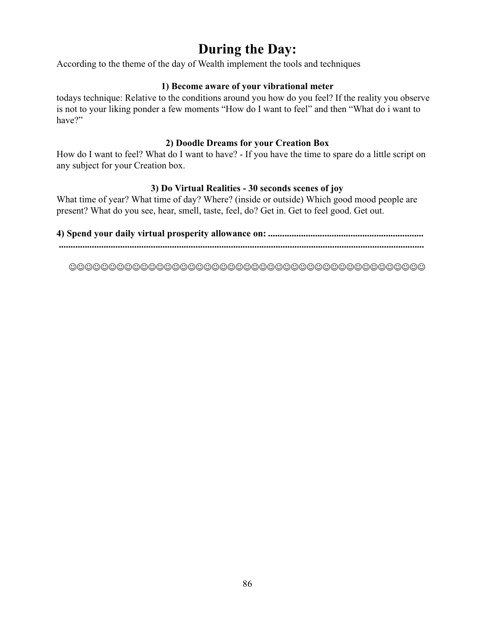## During the Day:

According to the theme of the day of Wealth implement the tools and techniques

#### 1) Become aware of your vibrational meter

todays technique: Relative to the conditions around you how do you feel? If the reality you observe is not to your liking ponder a few moments "How do I want to feel" and then "What do i want to have?"

#### 2) Doodle Dreams for your Creation Box

How do I want to feel? What do I want to have? - If you have the time to spare do a little script on any subject for your Creation box.

#### 3) Do Virtual Realities - 30 seconds scenes of joy

What time of year? What time of day? Where? (inside or outside) Which good mood people are present? What do you see, hear, smell, taste, feel, do? Get in. Get to feel good. Get out.

4) Spend your daily virtual prosperity allowance on: .................................................................. ...........................................................................................................................................................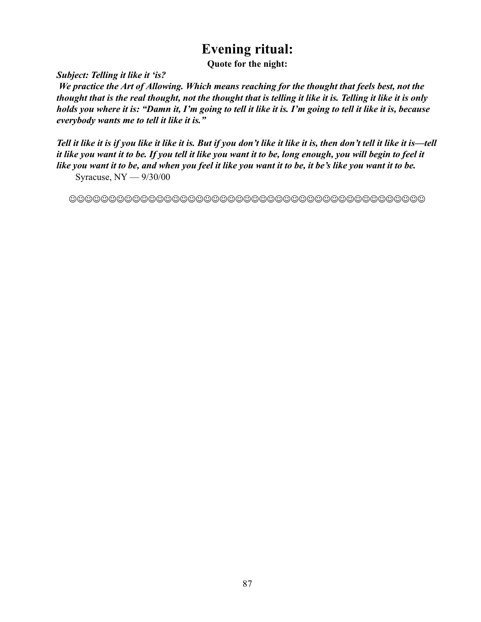## Evening ritual:

Quote for the night:

Subject: Telling it like it 'is?

We practice the Art of Allowing. Which means reaching for the thought that feels best, not the thought that is the real thought, not the thought that is telling it like it is. Telling it like it is only holds you where it is: "Damn it, I'm going to tell it like it is. I'm going to tell it like it is, because everybody wants me to tell it like it is."

Tell it like it is if you like it like it is. But if you don't like it like it is, then don't tell it like it is—tell it like you want it to be. If you tell it like you want it to be, long enough, you will begin to feel it like you want it to be, and when you feel it like you want it to be, it be's like you want it to be.

Syracuse,  $NY - 9/30/00$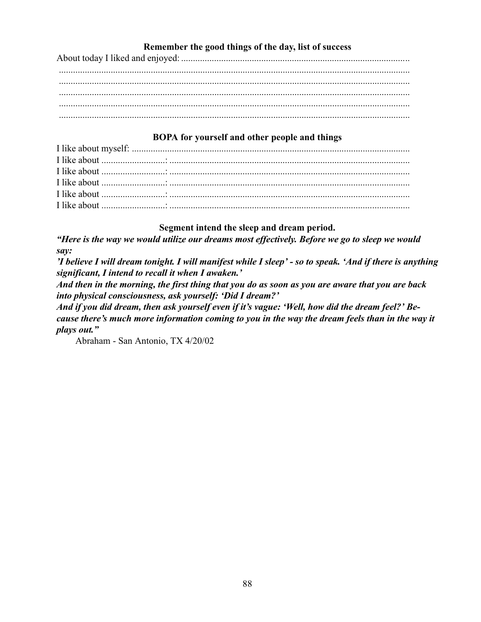#### Remember the good things of the day, list of success

#### BOPA for yourself and other people and things

Segment intend the sleep and dream period.

"Here is the way we would utilize our dreams most effectively. Before we go to sleep we would  $sav:$ 

'I believe I will dream tonight. I will manifest while I sleep' - so to speak. 'And if there is anything significant, I intend to recall it when I awaken.'

And then in the morning, the first thing that you do as soon as you are aware that you are back into physical consciousness, ask yourself: 'Did I dream?'

And if you did dream, then ask yourself even if it's vague: 'Well, how did the dream feel?' Because there's much more information coming to you in the way the dream feels than in the way it plays out."

Abraham - San Antonio, TX 4/20/02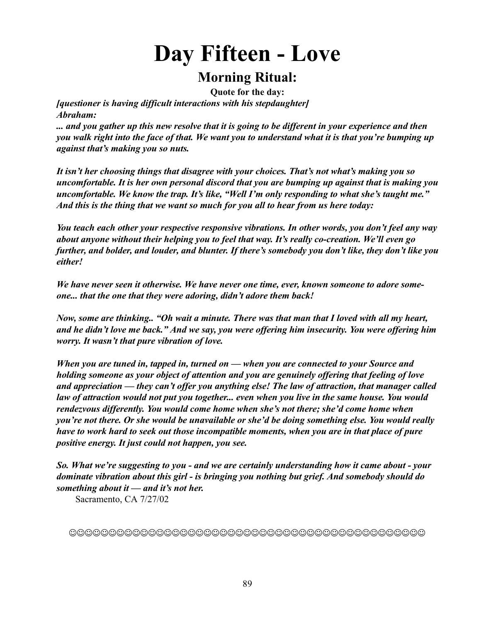# Day Fifteen - Love

### Morning Ritual:

Quote for the day:

[questioner is having difficult interactions with his stepdaughter] Abraham:

... and you gather up this new resolve that it is going to be different in your experience and then you walk right into the face of that. We want you to understand what it is that you're bumping up against that's making you so nuts.

It isn't her choosing things that disagree with your choices. That's not what's making you so uncomfortable. It is her own personal discord that you are bumping up against that is making you uncomfortable. We know the trap. It's like, "Well I'm only responding to what she's taught me." And this is the thing that we want so much for you all to hear from us here today:

You teach each other your respective responsive vibrations. In other words, you don't feel any way about anyone without their helping you to feel that way. It's really co-creation. We'll even go further, and bolder, and louder, and blunter. If there's somebody you don't like, they don't like you either!

We have never seen it otherwise. We have never one time, ever, known someone to adore someone... that the one that they were adoring, didn't adore them back!

Now, some are thinking.. "Oh wait a minute. There was that man that I loved with all my heart, and he didn't love me back." And we say, you were offering him insecurity. You were offering him worry. It wasn't that pure vibration of love.

When you are tuned in, tapped in, turned on  $-$  when you are connected to your Source and holding someone as your object of attention and you are genuinely offering that feeling of love and appreciation  $-$  they can't offer you anything else! The law of attraction, that manager called law of attraction would not put you together... even when you live in the same house. You would rendezvous differently. You would come home when she's not there; she'd come home when you're not there. Or she would be unavailable or she'd be doing something else. You would really have to work hard to seek out those incompatible moments, when you are in that place of pure positive energy. It just could not happen, you see.

So. What we're suggesting to you - and we are certainly understanding how it came about - your dominate vibration about this girl - is bringing you nothing but grief. And somebody should do something about it  $-$  and it's not her.

Sacramento, CA 7/27/02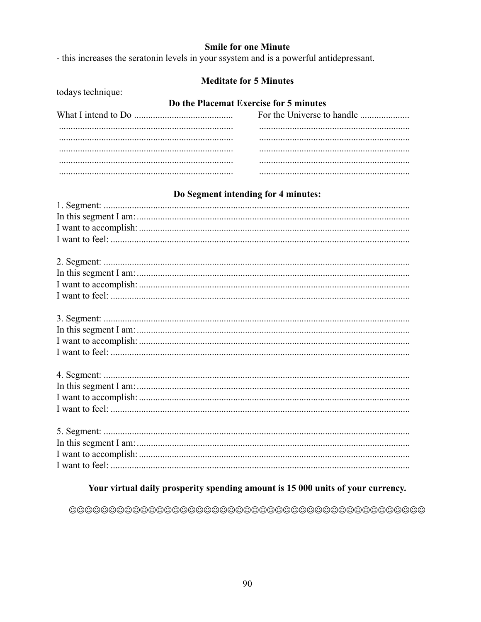#### **Smile for one Minute**

- this increases the seratonin levels in your ssystem and is a powerful antidepressant.

#### **Meditate for 5 Minutes**

| todays technique:                      |  |  |  |  |  |
|----------------------------------------|--|--|--|--|--|
| Do the Placemat Exercise for 5 minutes |  |  |  |  |  |
|                                        |  |  |  |  |  |
|                                        |  |  |  |  |  |
|                                        |  |  |  |  |  |
|                                        |  |  |  |  |  |
|                                        |  |  |  |  |  |
|                                        |  |  |  |  |  |
|                                        |  |  |  |  |  |

#### Do Segment intending for 4 minutes:

#### Your virtual daily prosperity spending amount is 15 000 units of your currency.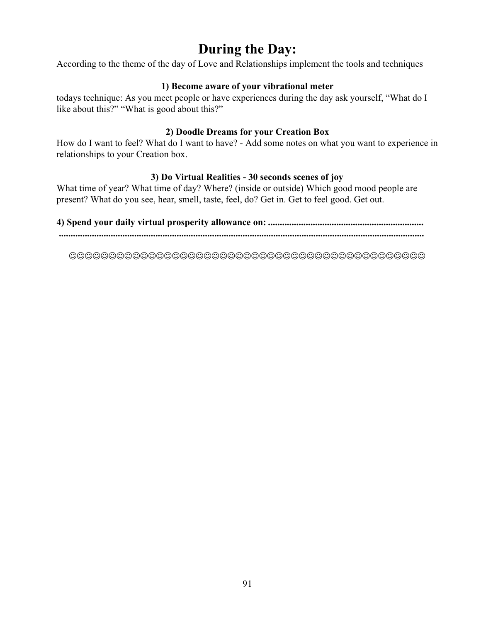## During the Day:

According to the theme of the day of Love and Relationships implement the tools and techniques

#### 1) Become aware of your vibrational meter

todays technique: As you meet people or have experiences during the day ask yourself, What do I like about this?" "What is good about this?"

#### 2) Doodle Dreams for your Creation Box

How do I want to feel? What do I want to have? - Add some notes on what you want to experience in relationships to your Creation box.

#### 3) Do Virtual Realities - 30 seconds scenes of joy

What time of year? What time of day? Where? (inside or outside) Which good mood people are present? What do you see, hear, smell, taste, feel, do? Get in. Get to feel good. Get out.

4) Spend your daily virtual prosperity allowance on: ..................................................................

...........................................................................................................................................................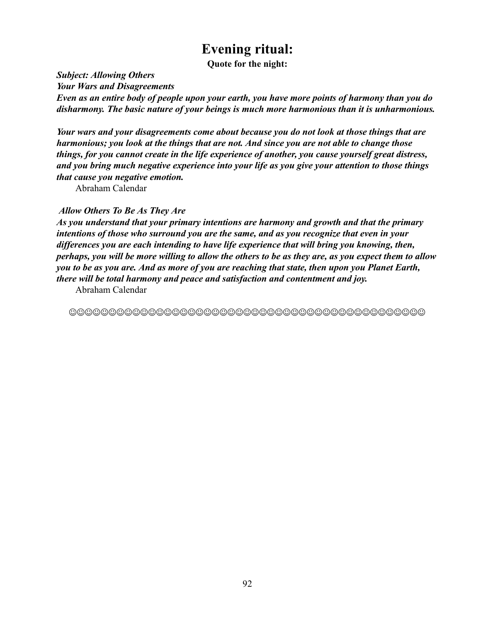## Evening ritual:

Quote for the night:

Subject: Allowing Others Your Wars and Disagreements Even as an entire body of people upon your earth, you have more points of harmony than you do disharmony. The basic nature of your beings is much more harmonious than it is unharmonious.

Your wars and your disagreements come about because you do not look at those things that are harmonious; you look at the things that are not. And since you are not able to change those things, for you cannot create in the life experience of another, you cause yourself great distress, and you bring much negative experience into your life as you give your attention to those things that cause you negative emotion.

Abraham Calendar

#### Allow Others To Be As They Are

As you understand that your primary intentions are harmony and growth and that the primary intentions of those who surround you are the same, and as you recognize that even in your differences you are each intending to have life experience that will bring you knowing, then, perhaps, you will be more willing to allow the others to be as they are, as you expect them to allow you to be as you are. And as more of you are reaching that state, then upon you Planet Earth, there will be total harmony and peace and satisfaction and contentment and joy.

Abraham Calendar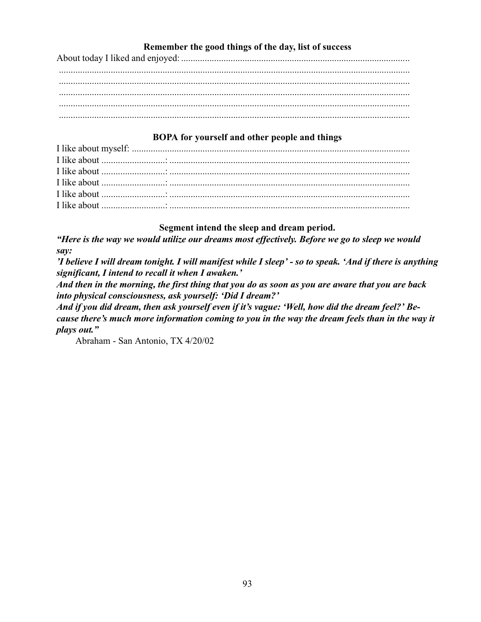#### Remember the good things of the day, list of success

#### BOPA for yourself and other people and things

Segment intend the sleep and dream period.

"Here is the way we would utilize our dreams most effectively. Before we go to sleep we would  $sav:$ 

'I believe I will dream tonight. I will manifest while I sleep' - so to speak. 'And if there is anything significant, I intend to recall it when I awaken.'

And then in the morning, the first thing that you do as soon as you are aware that you are back into physical consciousness, ask yourself: 'Did I dream?'

And if you did dream, then ask yourself even if it's vague: 'Well, how did the dream feel?' Because there's much more information coming to you in the way the dream feels than in the way it plays out."

Abraham - San Antonio, TX 4/20/02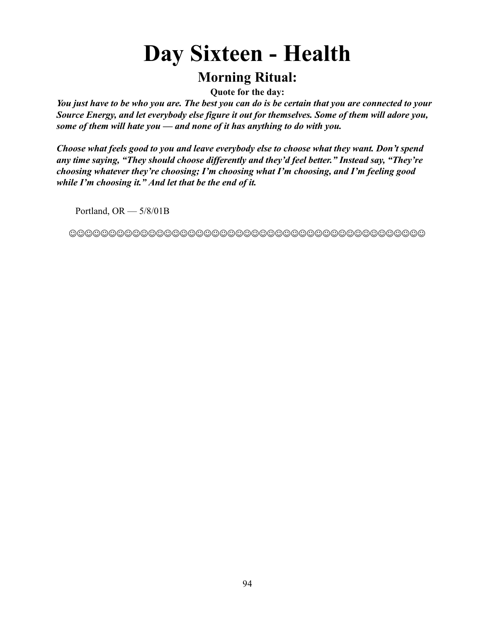# Day Sixteen - Health

## Morning Ritual:

Quote for the day:

You just have to be who you are. The best you can do is be certain that you are connected to your Source Energy, and let everybody else figure it out for themselves. Some of them will adore you, some of them will hate you  $-$  and none of it has anything to do with you.

Choose what feels good to you and leave everybody else to choose what they want. Don't spend any time saying, "They should choose differently and they'd feel better." Instead say, "They're choosing whatever they're choosing; I'm choosing what I'm choosing, and I'm feeling good while  $\Gamma$ 'm choosing it." And let that be the end of it.

Portland,  $OR - 5/8/01B$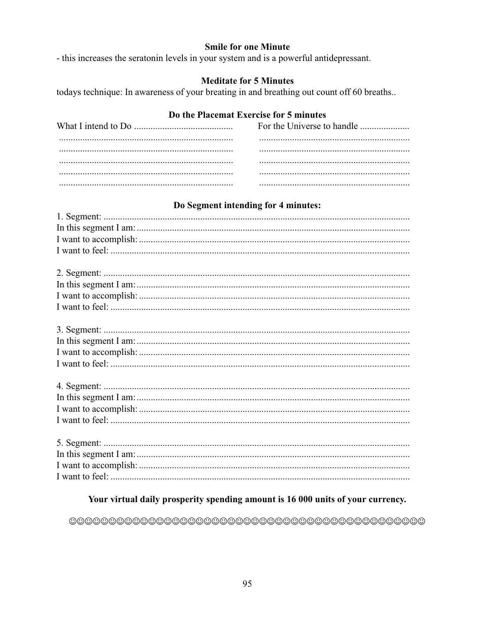#### **Smile for one Minute**

- this increases the seratonin levels in your system and is a powerful antidepressant.

#### **Meditate for 5 Minutes**

todays technique: In awareness of your breating in and breathing out count off 60 breaths..

#### Do the Placemat Exercise for 5 minutes

#### Do Segment intending for 4 minutes:

#### Your virtual daily prosperity spending amount is 16 000 units of your currency.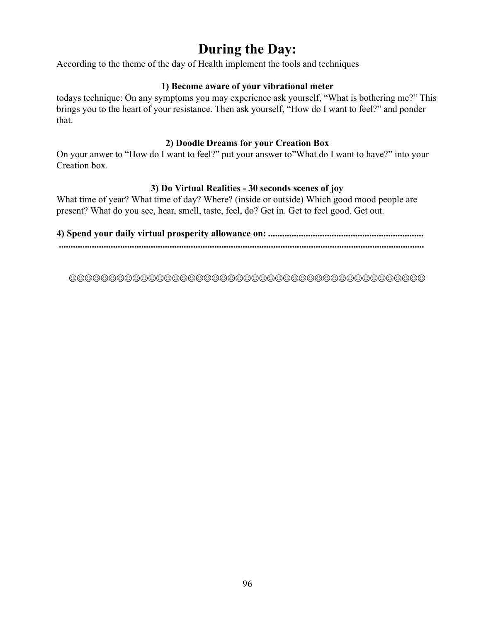## During the Day:

According to the theme of the day of Health implement the tools and techniques

#### 1) Become aware of your vibrational meter

todays technique: On any symptoms you may experience ask yourself, "What is bothering me?" This brings you to the heart of your resistance. Then ask yourself, "How do I want to feel?" and ponder that.

#### 2) Doodle Dreams for your Creation Box

On your anwer to "How do I want to feel?" put your answer to" What do I want to have?" into your Creation box.

#### 3) Do Virtual Realities - 30 seconds scenes of joy

What time of year? What time of day? Where? (inside or outside) Which good mood people are present? What do you see, hear, smell, taste, feel, do? Get in. Get to feel good. Get out.

4) Spend your daily virtual prosperity allowance on: .................................................................. ...........................................................................................................................................................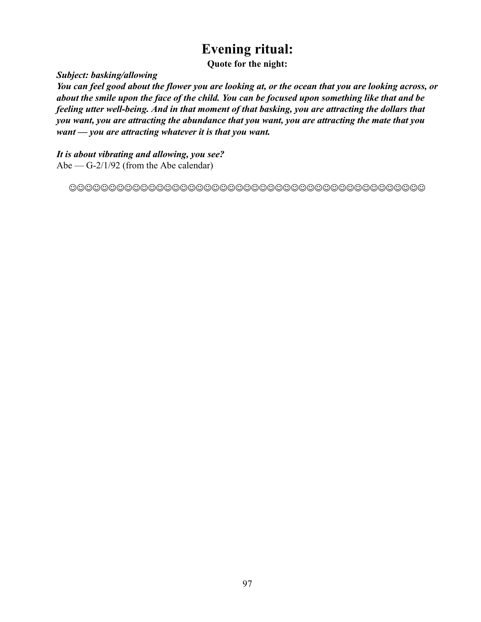## Evening ritual:

Quote for the night:

Subject: basking/allowing

You can feel good about the flower you are looking at, or the ocean that you are looking across, or about the smile upon the face of the child. You can be focused upon something like that and be feeling utter well-being. And in that moment of that basking, you are attracting the dollars that you want, you are attracting the abundance that you want, you are attracting the mate that you want  $-$  you are attracting whatever it is that you want.

It is about vibrating and allowing, you see? Abe  $-G-2/1/92$  (from the Abe calendar)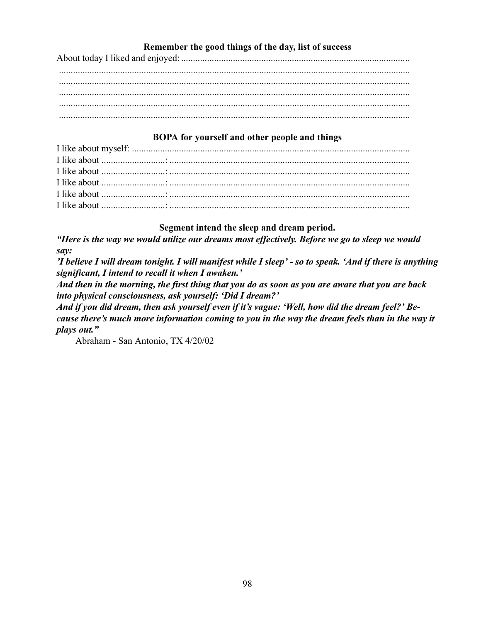#### Remember the good things of the day, list of success

#### BOPA for yourself and other people and things

Segment intend the sleep and dream period.

"Here is the way we would utilize our dreams most effectively. Before we go to sleep we would  $sav:$ 

'I believe I will dream tonight. I will manifest while I sleep' - so to speak. 'And if there is anything significant, I intend to recall it when I awaken.'

And then in the morning, the first thing that you do as soon as you are aware that you are back into physical consciousness, ask yourself: 'Did I dream?'

And if you did dream, then ask yourself even if it's vague: 'Well, how did the dream feel?' Because there's much more information coming to you in the way the dream feels than in the way it plays out."

Abraham - San Antonio, TX 4/20/02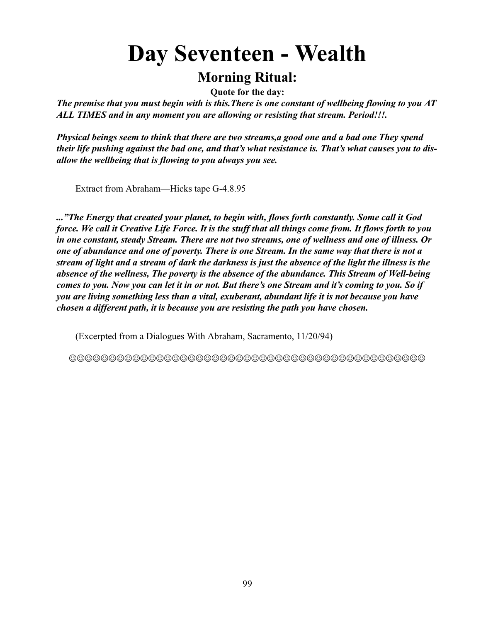# Day Seventeen - Wealth

## Morning Ritual:

Quote for the day:

The premise that you must begin with is this.There is one constant of wellbeing flowing to you AT ALL TIMES and in any moment you are allowing or resisting that stream. Period!!!.

Physical beings seem to think that there are two streams,a good one and a bad one They spend their life pushing against the bad one, and that's what resistance is. That's what causes you to disallow the wellbeing that is flowing to you always you see.

Extract from Abraham—Hicks tape G-4.8.95

...The Energy that created your planet, to begin with, flows forth constantly. Some call it God force. We call it Creative Life Force. It is the stuff that all things come from. It flows forth to you in one constant, steady Stream. There are not two streams, one of wellness and one of illness. Or one of abundance and one of poverty. There is one Stream. In the same way that there is not a stream of light and a stream of dark the darkness is just the absence of the light the illness is the absence of the wellness, The poverty is the absence of the abundance. This Stream of Well-being comes to you. Now you can let it in or not. But there's one Stream and it's coming to you. So if you are living something less than a vital, exuberant, abundant life it is not because you have chosen a different path, it is because you are resisting the path you have chosen.

(Excerpted from a Dialogues With Abraham, Sacramento, 11/20/94)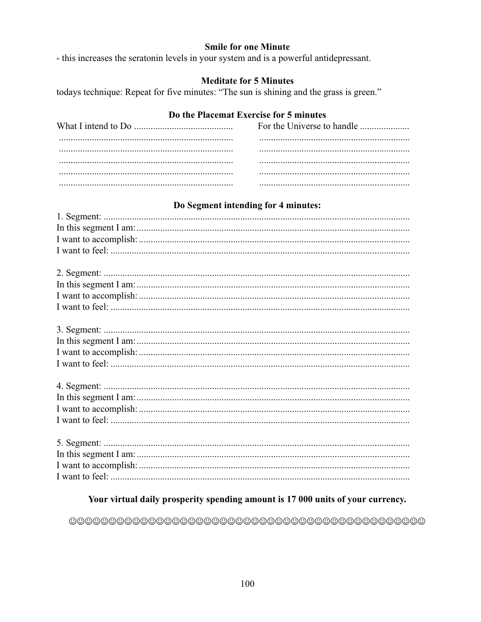#### **Smile for one Minute**

- this increases the seratonin levels in your system and is a powerful antidepressant.

#### **Meditate for 5 Minutes**

todays technique: Repeat for five minutes: "The sun is shining and the grass is green."

#### Do the Placemat Exercise for 5 minutes

#### Do Segment intending for 4 minutes:

#### Your virtual daily prosperity spending amount is 17 000 units of your currency.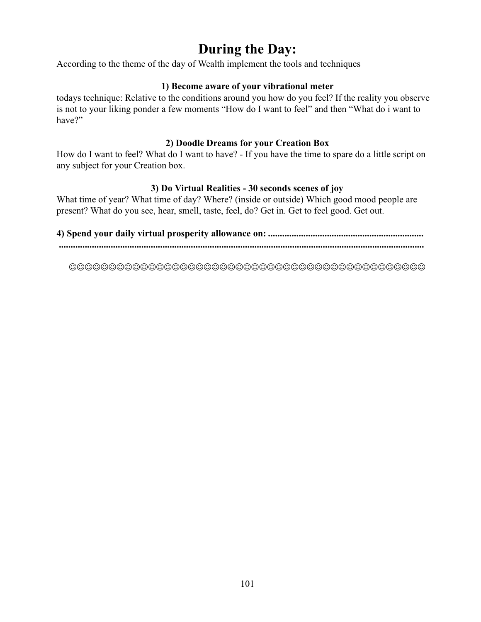## During the Day:

According to the theme of the day of Wealth implement the tools and techniques

#### 1) Become aware of your vibrational meter

todays technique: Relative to the conditions around you how do you feel? If the reality you observe is not to your liking ponder a few moments "How do I want to feel" and then "What do i want to have?"

#### 2) Doodle Dreams for your Creation Box

How do I want to feel? What do I want to have? - If you have the time to spare do a little script on any subject for your Creation box.

#### 3) Do Virtual Realities - 30 seconds scenes of joy

What time of year? What time of day? Where? (inside or outside) Which good mood people are present? What do you see, hear, smell, taste, feel, do? Get in. Get to feel good. Get out.

4) Spend your daily virtual prosperity allowance on: .................................................................. ...........................................................................................................................................................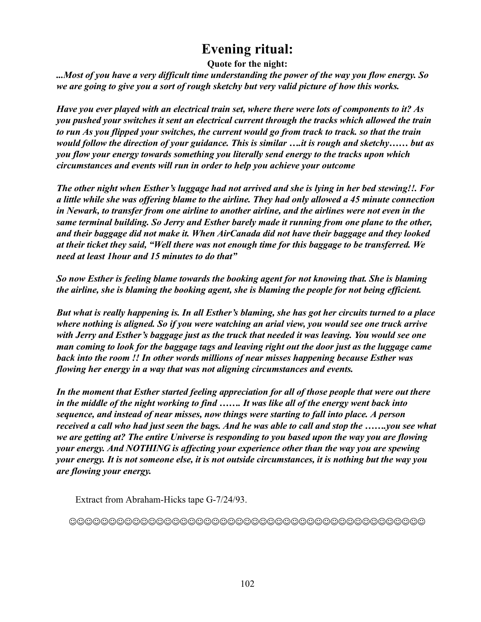## Evening ritual:

Quote for the night:

...Most of you have a very difficult time understanding the power of the way you flow energy. So we are going to give you a sort of rough sketchy but very valid picture of how this works.

Have you ever played with an electrical train set, where there were lots of components to it? As you pushed your switches it sent an electrical current through the tracks which allowed the train to run As you flipped your switches, the current would go from track to track. so that the train would follow the direction of your guidance. This is similar  $\ldots$  it is rough and sketchy  $\ldots$  but as you flow your energy towards something you literally send energy to the tracks upon which circumstances and events will run in order to help you achieve your outcome

The other night when Esther's luggage had not arrived and she is lying in her bed stewing!!. For a little while she was offering blame to the airline. They had only allowed a 45 minute connection in Newark, to transfer from one airline to another airline, and the airlines were not even in the same terminal building. So Jerry and Esther barely made it running from one plane to the other, and their baggage did not make it. When AirCanada did not have their baggage and they looked at their ticket they said, Well there was not enough time for this baggage to be transferred. We need at least 1hour and 15 minutes to do that

So now Esther is feeling blame towards the booking agent for not knowing that. She is blaming the airline, she is blaming the booking agent, she is blaming the people for not being efficient.

But what is really happening is. In all Esther's blaming, she has got her circuits turned to a place where nothing is aligned. So if you were watching an arial view, you would see one truck arrive with Jerry and Esther's baggage just as the truck that needed it was leaving. You would see one man coming to look for the baggage tags and leaving right out the door just as the luggage came back into the room !! In other words millions of near misses happening because Esther was flowing her energy in a way that was not aligning circumstances and events.

In the moment that Esther started feeling appreciation for all of those people that were out there in the middle of the night working to find  $\ldots$ . It was like all of the energy went back into sequence, and instead of near misses, now things were starting to fall into place. A person received a call who had just seen the bags. And he was able to call and stop the ......you see what we are getting at? The entire Universe is responding to you based upon the way you are flowing your energy. And NOTHING is affecting your experience other than the way you are spewing your energy. It is not someone else, it is not outside circumstances, it is nothing but the way you are flowing your energy.

Extract from Abraham-Hicks tape G-7/24/93.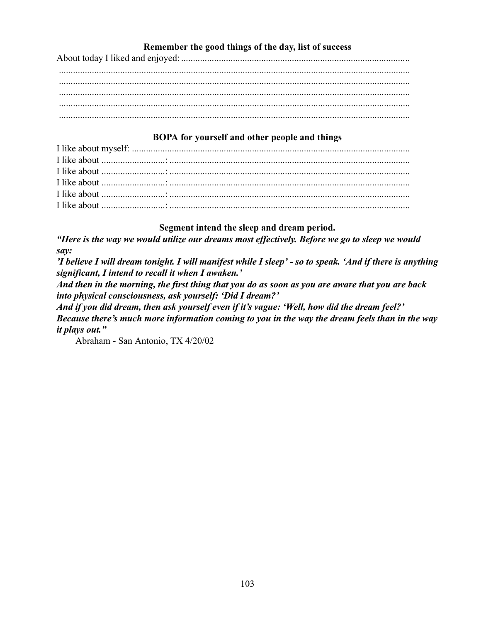#### Remember the good things of the day, list of success

#### BOPA for yourself and other people and things

Segment intend the sleep and dream period.

"Here is the way we would utilize our dreams most effectively. Before we go to sleep we would  $sav:$ 

'I believe I will dream tonight. I will manifest while I sleep' - so to speak. 'And if there is anything significant, I intend to recall it when I awaken.'

And then in the morning, the first thing that you do as soon as you are aware that you are back into physical consciousness, ask yourself: 'Did I dream?'

And if you did dream, then ask yourself even if it's vague: 'Well, how did the dream feel?' Because there's much more information coming to you in the way the dream feels than in the way *it plays out.*"

Abraham - San Antonio, TX 4/20/02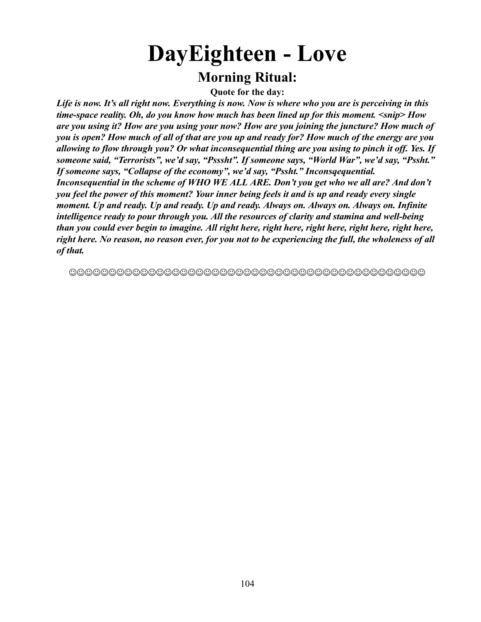# DayEighteen - Love

## Morning Ritual:

Quote for the day:

Life is now. It's all right now. Everything is now. Now is where who you are is perceiving in this time-space reality. Oh, do you know how much has been lined up for this moment. <snip> How are you using it? How are you using your now? How are you joining the juncture? How much of you is open? How much of all of that are you up and ready for? How much of the energy are you allowing to flow through you? Or what inconsequential thing are you using to pinch it off. Yes. If someone said, "Terrorists", we'd say, "Psssht". If someone says, "World War", we'd say, "Pssht." If someone says, "Collapse of the economy", we'd say, "Pssht." Inconsqequential. Inconsequential in the scheme of WHO WE ALL ARE. Don't you get who we all are? And don't you feel the power of this moment? Your inner being feels it and is up and ready every single moment. Up and ready. Up and ready. Up and ready. Always on. Always on. Always on. Infinite intelligence ready to pour through you. All the resources of clarity and stamina and well-being than you could ever begin to imagine. All right here, right here, right here, right here, right here, right here. No reason, no reason ever, for you not to be experiencing the full, the wholeness of all of that.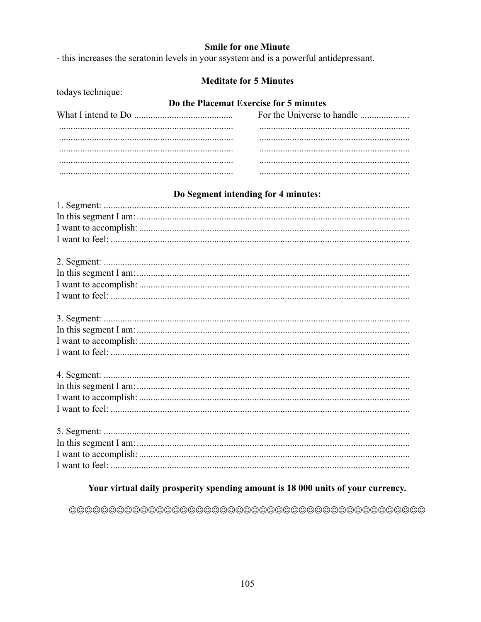#### **Smile for one Minute**

- this increases the seratonin levels in your ssystem and is a powerful antidepressant.

todays technique:

#### **Meditate for 5 Minutes**

| Do the Placemat Exercise for 5 minutes |  |  |  |  |  |
|----------------------------------------|--|--|--|--|--|
|                                        |  |  |  |  |  |
|                                        |  |  |  |  |  |
|                                        |  |  |  |  |  |
|                                        |  |  |  |  |  |
|                                        |  |  |  |  |  |

#### Do Segment intending for 4 minutes:

#### Your virtual daily prosperity spending amount is 18 000 units of your currency.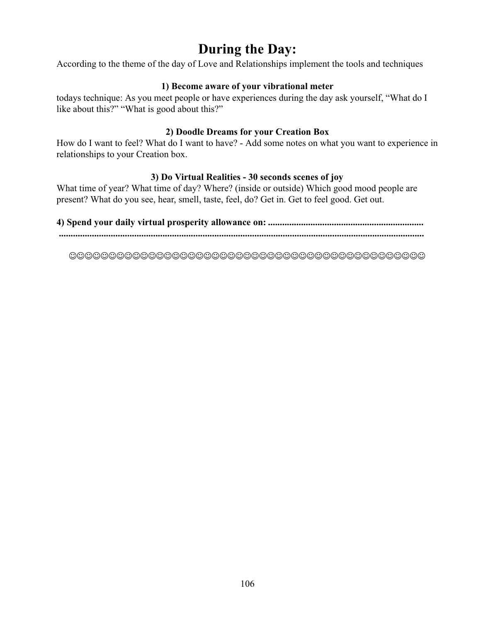## During the Day:

According to the theme of the day of Love and Relationships implement the tools and techniques

#### 1) Become aware of your vibrational meter

todays technique: As you meet people or have experiences during the day ask yourself, What do I like about this?" "What is good about this?"

#### 2) Doodle Dreams for your Creation Box

How do I want to feel? What do I want to have? - Add some notes on what you want to experience in relationships to your Creation box.

#### 3) Do Virtual Realities - 30 seconds scenes of joy

What time of year? What time of day? Where? (inside or outside) Which good mood people are present? What do you see, hear, smell, taste, feel, do? Get in. Get to feel good. Get out.

4) Spend your daily virtual prosperity allowance on: ..................................................................

...........................................................................................................................................................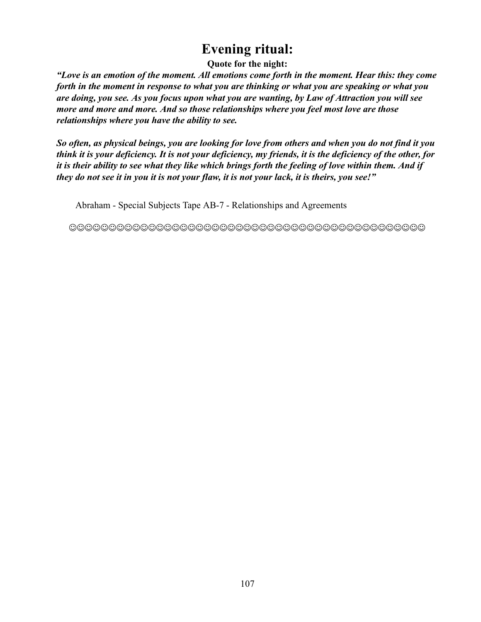## Evening ritual:

Quote for the night:

Love is an emotion of the moment. All emotions come forth in the moment. Hear this: they come forth in the moment in response to what you are thinking or what you are speaking or what you are doing, you see. As you focus upon what you are wanting, by Law of Attraction you will see more and more and more. And so those relationships where you feel most love are those relationships where you have the ability to see.

So often, as physical beings, you are looking for love from others and when you do not find it you think it is your deficiency. It is not your deficiency, my friends, it is the deficiency of the other, for it is their ability to see what they like which brings forth the feeling of love within them. And if they do not see it in you it is not your flaw, it is not your lack, it is theirs, you see!"

Abraham - Special Subjects Tape AB-7 - Relationships and Agreements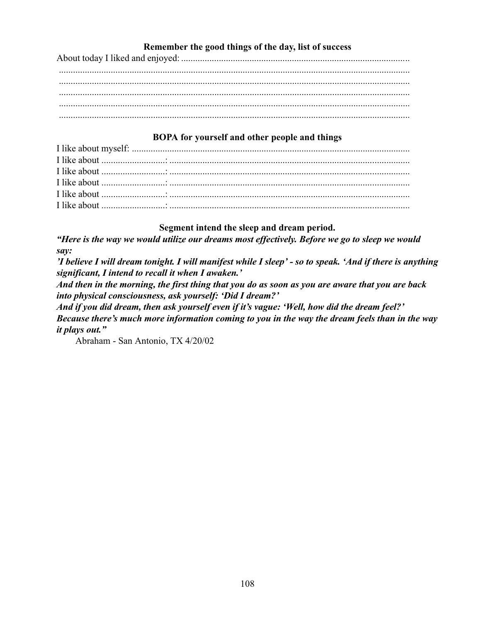#### Remember the good things of the day, list of success

#### BOPA for yourself and other people and things

Segment intend the sleep and dream period.

"Here is the way we would utilize our dreams most effectively. Before we go to sleep we would  $sav:$ 

'I believe I will dream tonight. I will manifest while I sleep' - so to speak. 'And if there is anything significant, I intend to recall it when I awaken.'

And then in the morning, the first thing that you do as soon as you are aware that you are back into physical consciousness, ask yourself: 'Did I dream?'

And if you did dream, then ask yourself even if it's vague: 'Well, how did the dream feel?' Because there's much more information coming to you in the way the dream feels than in the way *it plays out.*"

Abraham - San Antonio, TX 4/20/02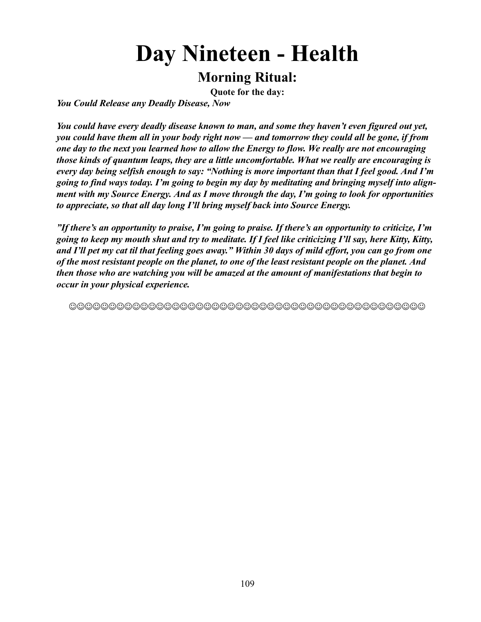# Day Nineteen - Health

## Morning Ritual:

Quote for the day:

You Could Release any Deadly Disease, Now

You could have every deadly disease known to man, and some they haven't even figured out yet, you could have them all in your body right now — and tomorrow they could all be gone, if from one day to the next you learned how to allow the Energy to flow. We really are not encouraging those kinds of quantum leaps, they are a little uncomfortable. What we really are encouraging is every day being selfish enough to say: "Nothing is more important than that I feel good. And I'm going to find ways today. I'm going to begin my day by meditating and bringing myself into alignment with my Source Energy. And as I move through the day, I'm going to look for opportunities to appreciate, so that all day long Ill bring myself back into Source Energy.

"If there's an opportunity to praise, I'm going to praise. If there's an opportunity to criticize, I'm going to keep my mouth shut and try to meditate. If I feel like criticizing I'll say, here Kitty, Kitty, and I'll pet my cat til that feeling goes away." Within 30 days of mild effort, you can go from one of the most resistant people on the planet, to one of the least resistant people on the planet. And then those who are watching you will be amazed at the amount of manifestations that begin to occur in your physical experience.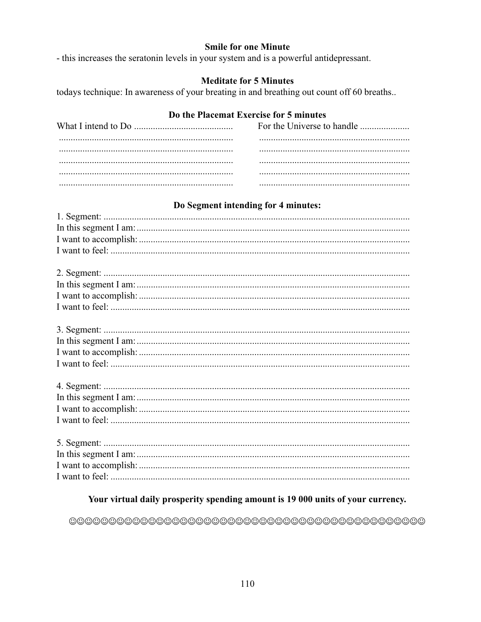#### **Smile for one Minute**

- this increases the seratonin levels in your system and is a powerful antidepressant.

## **Meditate for 5 Minutes**

todays technique: In awareness of your breating in and breathing out count off 60 breaths..

## Do the Placemat Exercise for 5 minutes

#### Do Segment intending for 4 minutes:

## Your virtual daily prosperity spending amount is 19 000 units of your currency.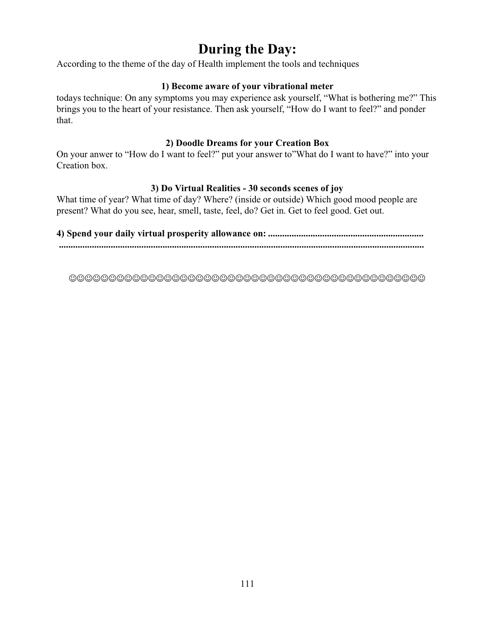# During the Day:

According to the theme of the day of Health implement the tools and techniques

#### 1) Become aware of your vibrational meter

todays technique: On any symptoms you may experience ask yourself, "What is bothering me?" This brings you to the heart of your resistance. Then ask yourself, "How do I want to feel?" and ponder that.

#### 2) Doodle Dreams for your Creation Box

On your anwer to "How do I want to feel?" put your answer to"What do I want to have?" into your Creation box.

#### 3) Do Virtual Realities - 30 seconds scenes of joy

What time of year? What time of day? Where? (inside or outside) Which good mood people are present? What do you see, hear, smell, taste, feel, do? Get in. Get to feel good. Get out.

4) Spend your daily virtual prosperity allowance on: .................................................................. ...........................................................................................................................................................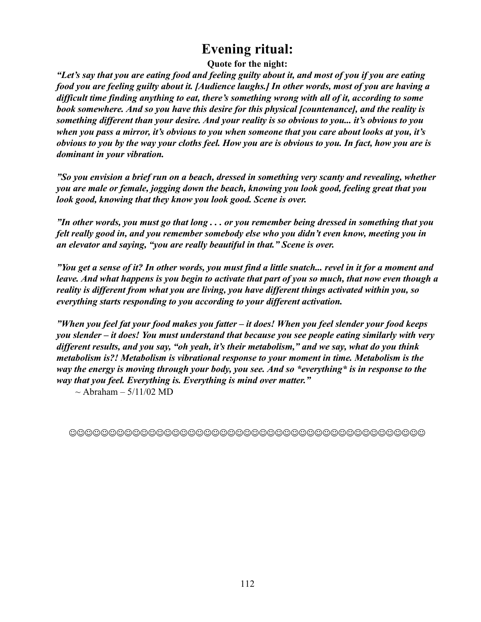## Evening ritual:

Quote for the night:

"Let's say that you are eating food and feeling guilty about it, and most of you if you are eating food you are feeling guilty about it. [Audience laughs.] In other words, most of you are having a difficult time finding anything to eat, there's something wrong with all of it, according to some book somewhere. And so you have this desire for this physical [countenance], and the reality is something different than your desire. And your reality is so obvious to you... it's obvious to you when you pass a mirror, it's obvious to you when someone that you care about looks at you, it's obvious to you by the way your cloths feel. How you are is obvious to you. In fact, how you are is dominant in your vibration.

So you envision a brief run on a beach, dressed in something very scanty and revealing, whether you are male or female, jogging down the beach, knowing you look good, feeling great that you look good, knowing that they know you look good. Scene is over.

 $\eta$  other words, you must go that long  $\ldots$  or you remember being dressed in something that you felt really good in, and you remember somebody else who you didn't even know, meeting you in an elevator and saying, "you are really beautiful in that." Scene is over.

You get a sense of it? In other words, you must find a little snatch... revel in it for a moment and leave. And what happens is you begin to activate that part of you so much, that now even though a reality is different from what you are living, you have different things activated within you, so everything starts responding to you according to your different activation.

"When you feel fat your food makes you fatter – it does! When you feel slender your food keeps you slender – it does! You must understand that because you see people eating similarly with very different results, and you say, "oh yeah, it's their metabolism," and we say, what do you think metabolism is?! Metabolism is vibrational response to your moment in time. Metabolism is the way the energy is moving through your body, you see. And so \*everything\* is in response to the way that you feel. Everything is. Everything is mind over matter."

 $\sim$  Abraham  $-5/11/02$  MD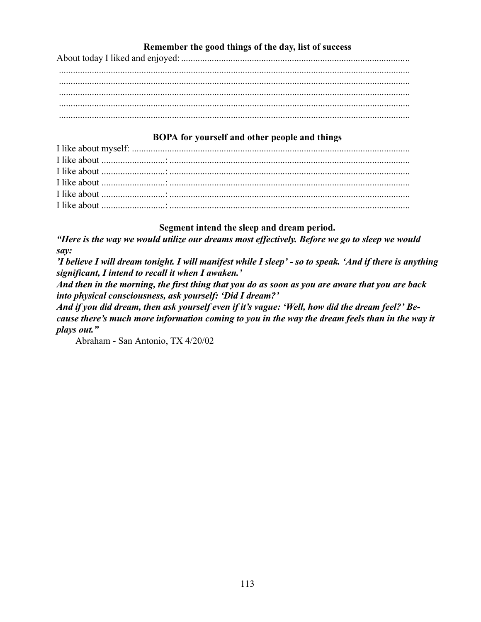#### Remember the good things of the day, list of success

## BOPA for yourself and other people and things

Segment intend the sleep and dream period.

"Here is the way we would utilize our dreams most effectively. Before we go to sleep we would  $sav:$ 

'I believe I will dream tonight. I will manifest while I sleep' - so to speak. 'And if there is anything significant, I intend to recall it when I awaken.'

And then in the morning, the first thing that you do as soon as you are aware that you are back into physical consciousness, ask yourself: 'Did I dream?'

And if you did dream, then ask yourself even if it's vague: 'Well, how did the dream feel?' Because there's much more information coming to you in the way the dream feels than in the way it plays out."

Abraham - San Antonio, TX 4/20/02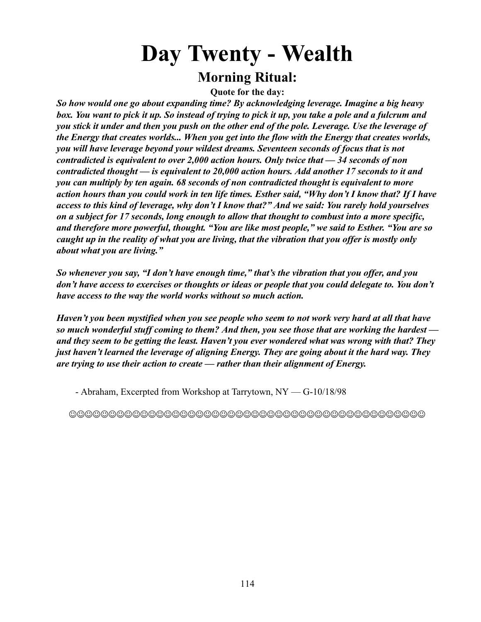# Day Twenty - Wealth

# Morning Ritual:

Quote for the day:

So how would one go about expanding time? By acknowledging leverage. Imagine a big heavy box. You want to pick it up. So instead of trying to pick it up, you take a pole and a fulcrum and you stick it under and then you push on the other end of the pole. Leverage. Use the leverage of the Energy that creates worlds... When you get into the flow with the Energy that creates worlds, you will have leverage beyond your wildest dreams. Seventeen seconds of focus that is not contradicted is equivalent to over 2,000 action hours. Only twice that  $-$  34 seconds of non contradicted thought  $\frac{1}{s}$  is equivalent to 20,000 action hours. Add another 17 seconds to it and you can multiply by ten again. 68 seconds of non contradicted thought is equivalent to more action hours than you could work in ten life times. Esther said, "Why don't I know that? If I have access to this kind of leverage, why don't I know that?" And we said: You rarely hold yourselves on a subject for 17 seconds, long enough to allow that thought to combust into a more specific, and therefore more powerful, thought. "You are like most people," we said to Esther. "You are so caught up in the reality of what you are living, that the vibration that you offer is mostly only about what you are living.

So whenever you say, "I don't have enough time," that's the vibration that you offer, and you don't have access to exercises or thoughts or ideas or people that you could delegate to. You don't have access to the way the world works without so much action.

Haven't you been mystified when you see people who seem to not work very hard at all that have so much wonderful stuff coming to them? And then, you see those that are working the hardest and they seem to be getting the least. Haven't you ever wondered what was wrong with that? They just haven't learned the leverage of aligning Energy. They are going about it the hard way. They are trying to use their action to create  $-$  rather than their alignment of Energy.

- Abraham, Excerpted from Workshop at Tarrytown, NY - G-10/18/98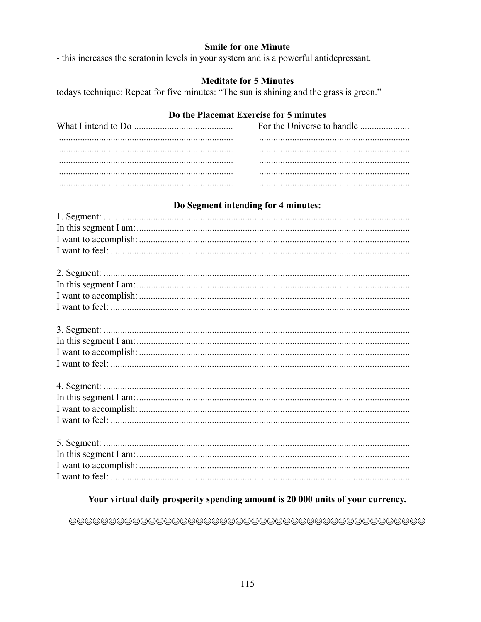#### **Smile for one Minute**

- this increases the seratonin levels in your system and is a powerful antidepressant.

## **Meditate for 5 Minutes**

todays technique: Repeat for five minutes: "The sun is shining and the grass is green."

## Do the Placemat Exercise for 5 minutes

#### Do Segment intending for 4 minutes:

## Your virtual daily prosperity spending amount is 20 000 units of your currency.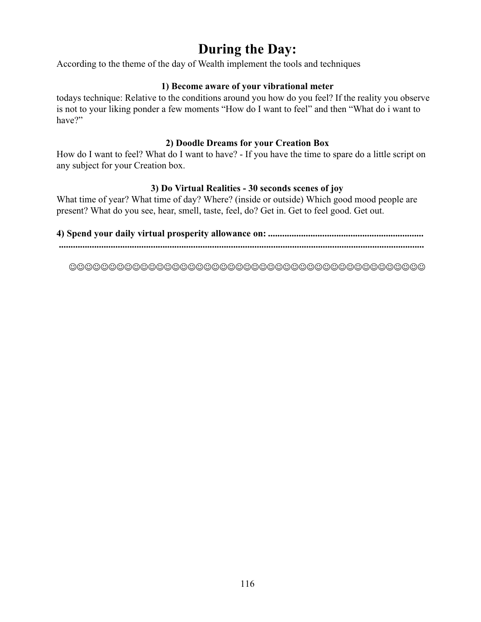# During the Day:

According to the theme of the day of Wealth implement the tools and techniques

#### 1) Become aware of your vibrational meter

todays technique: Relative to the conditions around you how do you feel? If the reality you observe is not to your liking ponder a few moments "How do I want to feel" and then "What do i want to have?"

#### 2) Doodle Dreams for your Creation Box

How do I want to feel? What do I want to have? - If you have the time to spare do a little script on any subject for your Creation box.

#### 3) Do Virtual Realities - 30 seconds scenes of joy

What time of year? What time of day? Where? (inside or outside) Which good mood people are present? What do you see, hear, smell, taste, feel, do? Get in. Get to feel good. Get out.

4) Spend your daily virtual prosperity allowance on: .................................................................. ...........................................................................................................................................................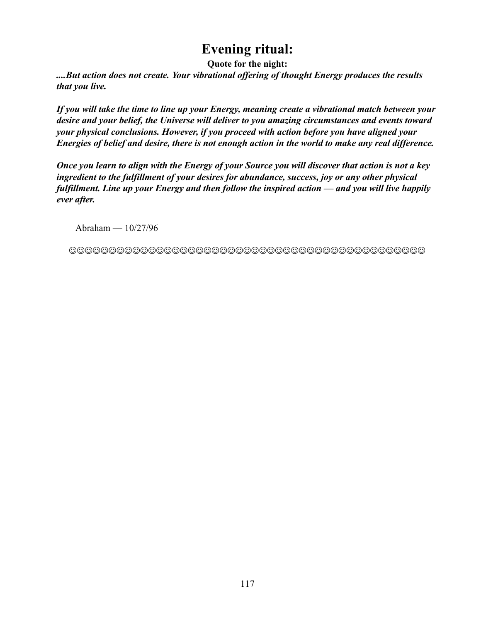# Evening ritual:

Quote for the night:

....But action does not create. Your vibrational offering of thought Energy produces the results that you live.

If you will take the time to line up your Energy, meaning create a vibrational match between your desire and your belief, the Universe will deliver to you amazing circumstances and events toward your physical conclusions. However, if you proceed with action before you have aligned your Energies of belief and desire, there is not enough action in the world to make any real difference.

Once you learn to align with the Energy of your Source you will discover that action is not a key ingredient to the fulfillment of your desires for abundance, success, joy or any other physical fulfillment. Line up your Energy and then follow the inspired action  $-$  and you will live happily ever after.

Abraham  $-10/27/96$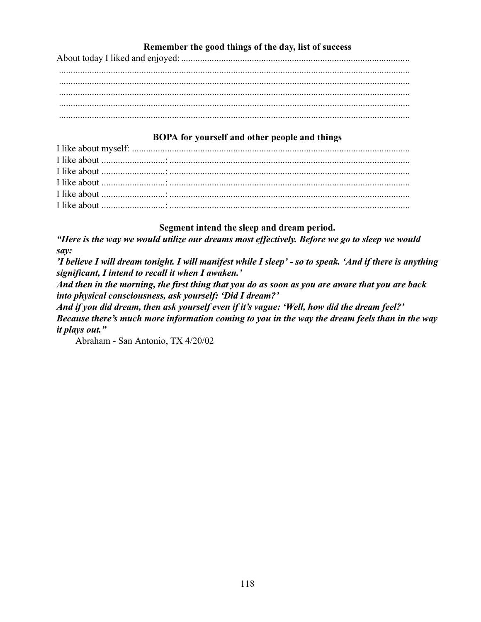#### Remember the good things of the day, list of success

## BOPA for yourself and other people and things

Segment intend the sleep and dream period.

"Here is the way we would utilize our dreams most effectively. Before we go to sleep we would  $sav:$ 

'I believe I will dream tonight. I will manifest while I sleep' - so to speak. 'And if there is anything significant, I intend to recall it when I awaken.'

And then in the morning, the first thing that you do as soon as you are aware that you are back into physical consciousness, ask yourself: 'Did I dream?'

And if you did dream, then ask yourself even if it's vague: 'Well, how did the dream feel?' Because there's much more information coming to you in the way the dream feels than in the way *it plays out.*"

Abraham - San Antonio, TX 4/20/02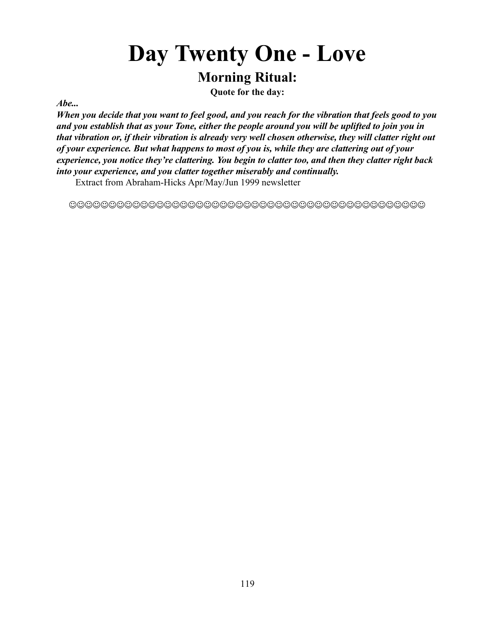# Day Twenty One - Love

## Morning Ritual:

Quote for the day:

Abe...

When you decide that you want to feel good, and you reach for the vibration that feels good to you and you establish that as your Tone, either the people around you will be uplifted to join you in that vibration or, if their vibration is already very well chosen otherwise, they will clatter right out of your experience. But what happens to most of you is, while they are clattering out of your experience, you notice they're clattering. You begin to clatter too, and then they clatter right back into your experience, and you clatter together miserably and continually.

Extract from Abraham-Hicks Apr/May/Jun 1999 newsletter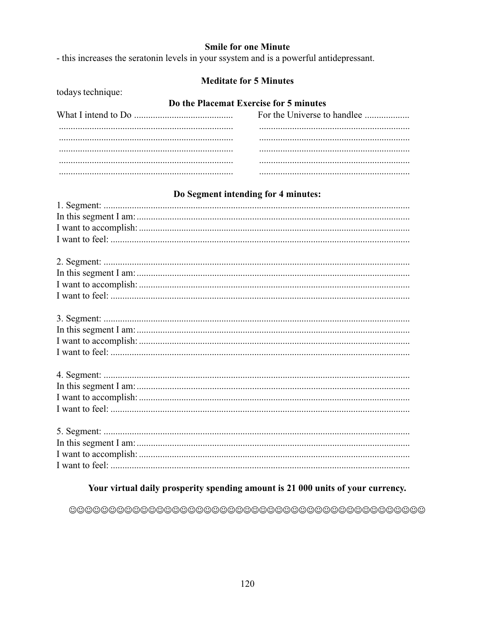#### **Smile for one Minute**

- this increases the seratonin levels in your ssystem and is a powerful antidepressant.

todays technique:

#### **Meditate for 5 Minutes**

| Do the Placemat Exercise for 5 minutes |                             |  |  |  |
|----------------------------------------|-----------------------------|--|--|--|
|                                        | For the Universe to handlee |  |  |  |
|                                        |                             |  |  |  |
|                                        |                             |  |  |  |
|                                        |                             |  |  |  |
|                                        |                             |  |  |  |
|                                        |                             |  |  |  |

#### Do Segment intending for 4 minutes:

## Your virtual daily prosperity spending amount is 21 000 units of your currency.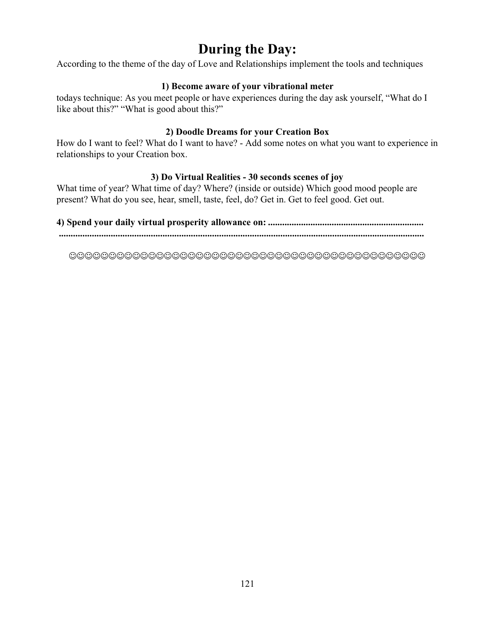# During the Day:

According to the theme of the day of Love and Relationships implement the tools and techniques

#### 1) Become aware of your vibrational meter

todays technique: As you meet people or have experiences during the day ask yourself, What do I like about this?" "What is good about this?"

#### 2) Doodle Dreams for your Creation Box

How do I want to feel? What do I want to have? - Add some notes on what you want to experience in relationships to your Creation box.

#### 3) Do Virtual Realities - 30 seconds scenes of joy

What time of year? What time of day? Where? (inside or outside) Which good mood people are present? What do you see, hear, smell, taste, feel, do? Get in. Get to feel good. Get out.

4) Spend your daily virtual prosperity allowance on: ..................................................................

...........................................................................................................................................................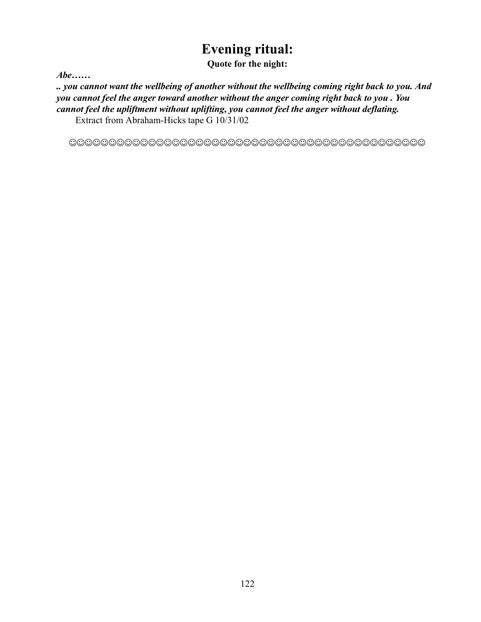# Evening ritual:

Quote for the night:

Abe

.. you cannot want the wellbeing of another without the wellbeing coming right back to you. And you cannot feel the anger toward another without the anger coming right back to you . You cannot feel the upliftment without uplifting, you cannot feel the anger without deflating. Extract from Abraham-Hicks tape G 10/31/02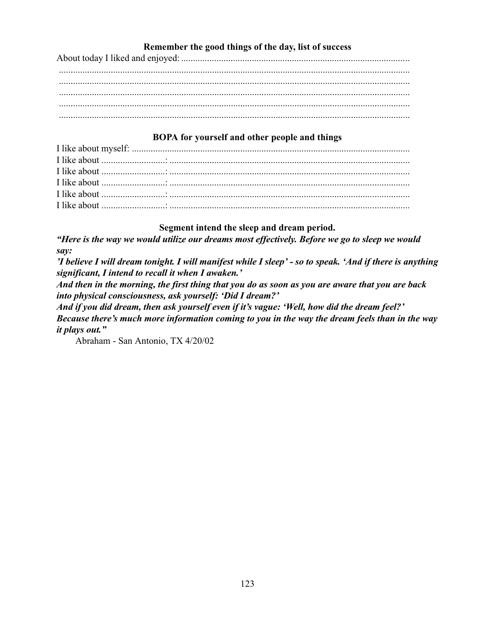#### Remember the good things of the day, list of success

## BOPA for yourself and other people and things

Segment intend the sleep and dream period.

"Here is the way we would utilize our dreams most effectively. Before we go to sleep we would  $sav:$ 

'I believe I will dream tonight. I will manifest while I sleep' - so to speak. 'And if there is anything significant, I intend to recall it when I awaken.'

And then in the morning, the first thing that you do as soon as you are aware that you are back into physical consciousness, ask yourself: 'Did I dream?'

And if you did dream, then ask yourself even if it's vague: 'Well, how did the dream feel?' Because there's much more information coming to you in the way the dream feels than in the way *it plays out.*"

Abraham - San Antonio, TX 4/20/02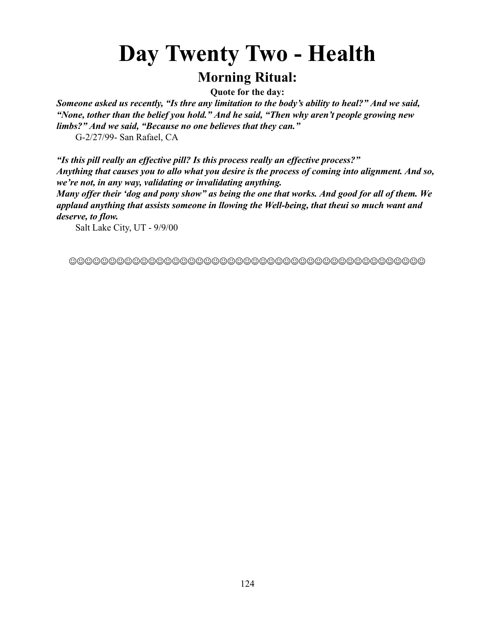# Day Twenty Two - Health

# Morning Ritual:

Quote for the day:

Someone asked us recently, "Is thre any limitation to the body's ability to heal?" And we said, "None, tother than the belief you hold." And he said, "Then why aren't people growing new limbs?" And we said, "Because no one believes that they can."

G-2/27/99- San Rafael, CA

"Is this pill really an effective pill? Is this process really an effective process?" Anything that causes you to allo what you desire is the process of coming into alignment. And so, we're not, in any way, validating or invalidating anything.

Many offer their 'dog and pony show" as being the one that works. And good for all of them. We applaud anything that assists someone in llowing the Well-being, that theui so much want and deserve, to flow.

Salt Lake City, UT - 9/9/00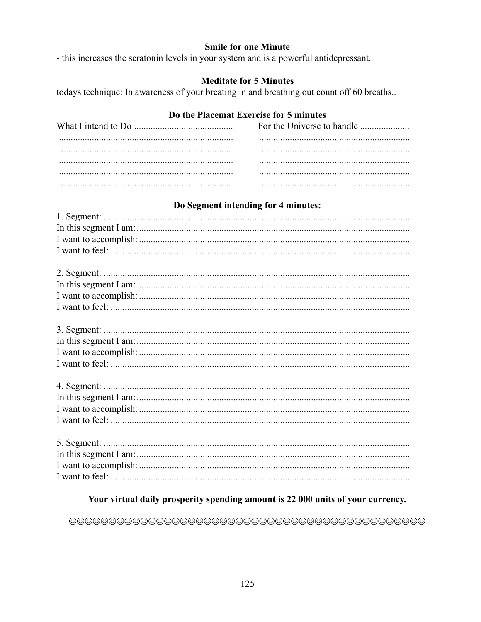#### **Smile for one Minute**

- this increases the seratonin levels in your system and is a powerful antidepressant.

## **Meditate for 5 Minutes**

todays technique: In awareness of your breating in and breathing out count off 60 breaths..

## Do the Placemat Exercise for 5 minutes

#### Do Segment intending for 4 minutes:

## Your virtual daily prosperity spending amount is 22 000 units of your currency.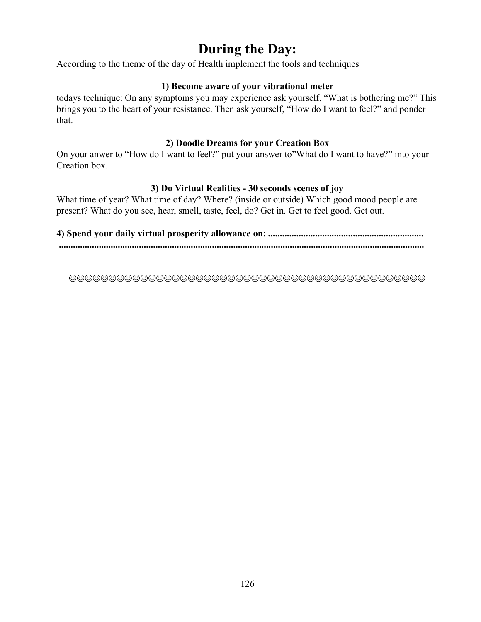# During the Day:

According to the theme of the day of Health implement the tools and techniques

#### 1) Become aware of your vibrational meter

todays technique: On any symptoms you may experience ask yourself, "What is bothering me?" This brings you to the heart of your resistance. Then ask yourself, "How do I want to feel?" and ponder that.

#### 2) Doodle Dreams for your Creation Box

On your anwer to "How do I want to feel?" put your answer to"What do I want to have?" into your Creation box.

#### 3) Do Virtual Realities - 30 seconds scenes of joy

What time of year? What time of day? Where? (inside or outside) Which good mood people are present? What do you see, hear, smell, taste, feel, do? Get in. Get to feel good. Get out.

4) Spend your daily virtual prosperity allowance on: .................................................................. ...........................................................................................................................................................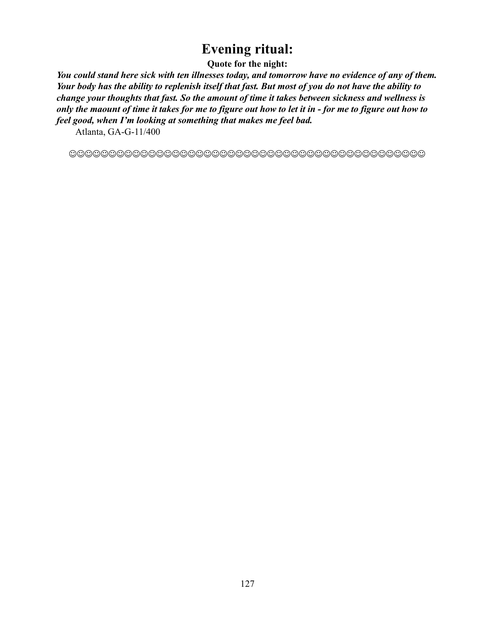# Evening ritual:

Quote for the night:

You could stand here sick with ten illnesses today, and tomorrow have no evidence of any of them. Your body has the ability to replenish itself that fast. But most of you do not have the ability to change your thoughts that fast. So the amount of time it takes between sickness and wellness is only the maount of time it takes for me to figure out how to let it in - for me to figure out how to feel good, when I'm looking at something that makes me feel bad.

Atlanta, GA-G-11/400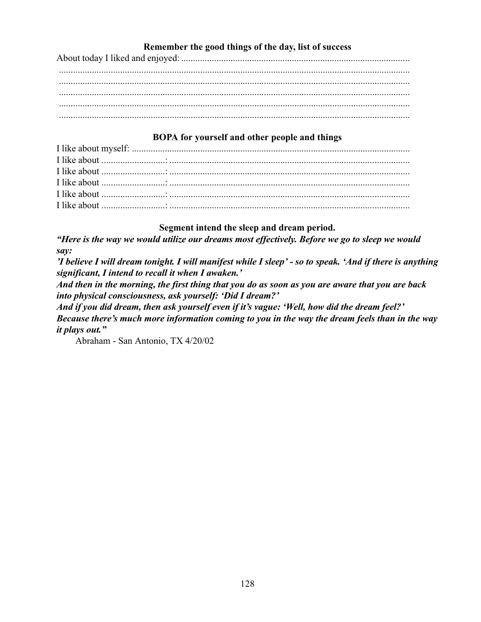#### Remember the good things of the day, list of success

## BOPA for yourself and other people and things

Segment intend the sleep and dream period.

"Here is the way we would utilize our dreams most effectively. Before we go to sleep we would  $sav:$ 

'I believe I will dream tonight. I will manifest while I sleep' - so to speak. 'And if there is anything significant, I intend to recall it when I awaken.'

And then in the morning, the first thing that you do as soon as you are aware that you are back into physical consciousness, ask yourself: 'Did I dream?'

And if you did dream, then ask yourself even if it's vague: 'Well, how did the dream feel?' Because there's much more information coming to you in the way the dream feels than in the way *it plays out.*"

Abraham - San Antonio, TX 4/20/02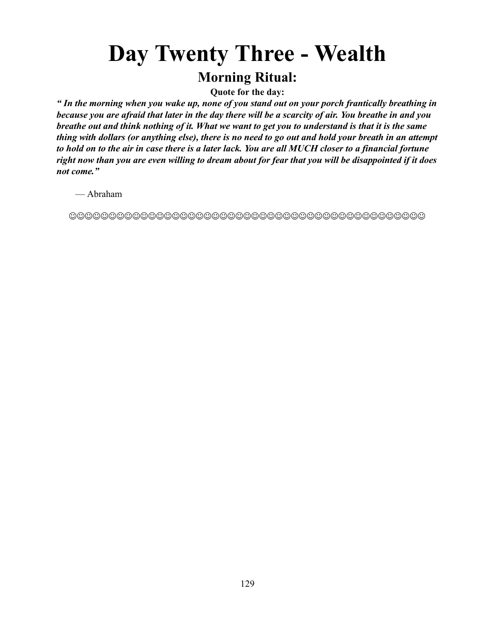# Day Twenty Three - Wealth

# Morning Ritual:

Quote for the day:

 In the morning when you wake up, none of you stand out on your porch frantically breathing in because you are afraid that later in the day there will be a scarcity of air. You breathe in and you breathe out and think nothing of it. What we want to get you to understand is that it is the same thing with dollars (or anything else), there is no need to go out and hold your breath in an attempt to hold on to the air in case there is a later lack. You are all MUCH closer to a financial fortune right now than you are even willing to dream about for fear that you will be disappointed if it does not come.

Abraham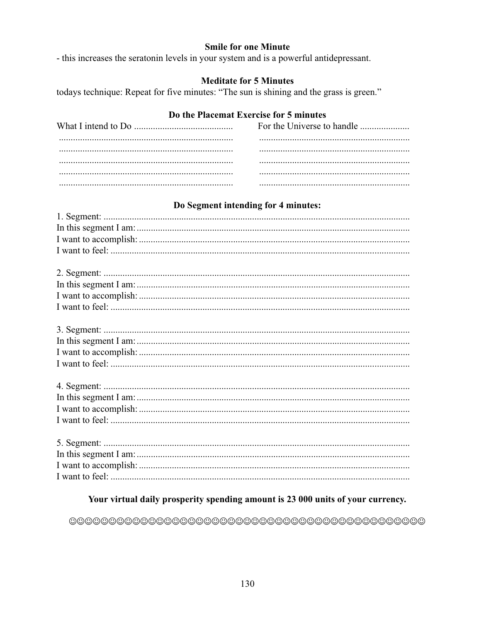#### **Smile for one Minute**

- this increases the seratonin levels in your system and is a powerful antidepressant.

## **Meditate for 5 Minutes**

todays technique: Repeat for five minutes: "The sun is shining and the grass is green."

## Do the Placemat Exercise for 5 minutes

#### Do Segment intending for 4 minutes:

## Your virtual daily prosperity spending amount is 23 000 units of your currency.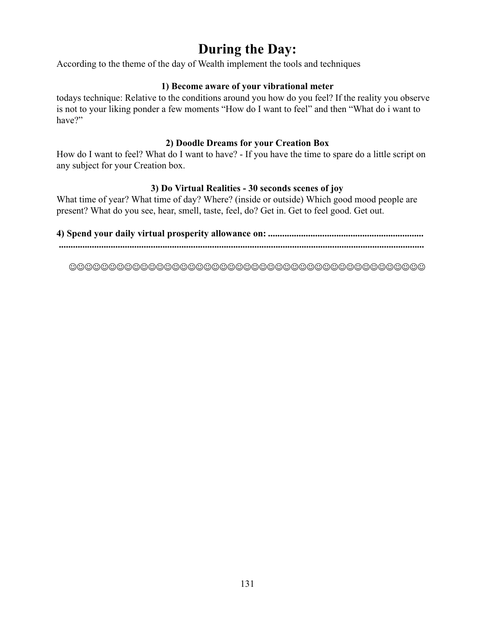# During the Day:

According to the theme of the day of Wealth implement the tools and techniques

#### 1) Become aware of your vibrational meter

todays technique: Relative to the conditions around you how do you feel? If the reality you observe is not to your liking ponder a few moments "How do I want to feel" and then "What do i want to have?"

#### 2) Doodle Dreams for your Creation Box

How do I want to feel? What do I want to have? - If you have the time to spare do a little script on any subject for your Creation box.

#### 3) Do Virtual Realities - 30 seconds scenes of joy

What time of year? What time of day? Where? (inside or outside) Which good mood people are present? What do you see, hear, smell, taste, feel, do? Get in. Get to feel good. Get out.

4) Spend your daily virtual prosperity allowance on: .................................................................. ...........................................................................................................................................................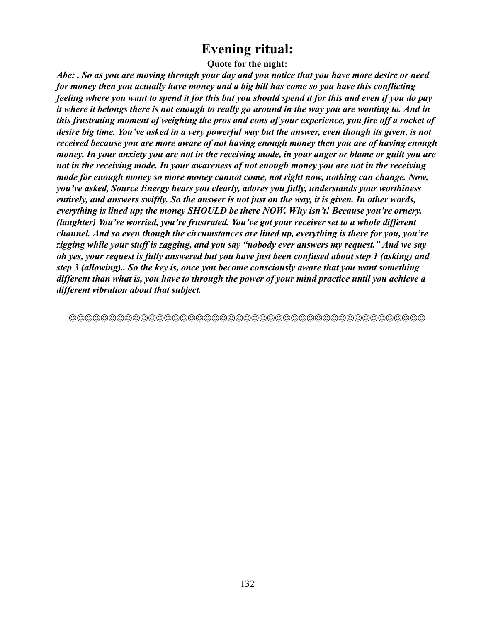# Evening ritual:

Quote for the night:

Abe: . So as you are moving through your day and you notice that you have more desire or need for money then you actually have money and a big bill has come so you have this conflicting feeling where you want to spend it for this but you should spend it for this and even if you do pay it where it belongs there is not enough to really go around in the way you are wanting to. And in this frustrating moment of weighing the pros and cons of your experience, you fire off a rocket of desire big time. You've asked in a very powerful way but the answer, even though its given, is not received because you are more aware of not having enough money then you are of having enough money. In your anxiety you are not in the receiving mode, in your anger or blame or guilt you are not in the receiving mode. In your awareness of not enough money you are not in the receiving mode for enough money so more money cannot come, not right now, nothing can change. Now, you've asked, Source Energy hears you clearly, adores you fully, understands your worthiness entirely, and answers swiftly. So the answer is not just on the way, it is given. In other words, everything is lined up; the money SHOULD be there NOW. Why isn't! Because you're ornery. (laughter) You're worried, you're frustrated. You've got your receiver set to a whole different channel. And so even though the circumstances are lined up, everything is there for you, you're zigging while your stuff is zagging, and you say "nobody ever answers my request." And we say oh yes, your request is fully answered but you have just been confused about step 1 (asking) and step 3 (allowing).. So the key is, once you become consciously aware that you want something different than what is, you have to through the power of your mind practice until you achieve a different vibration about that subject.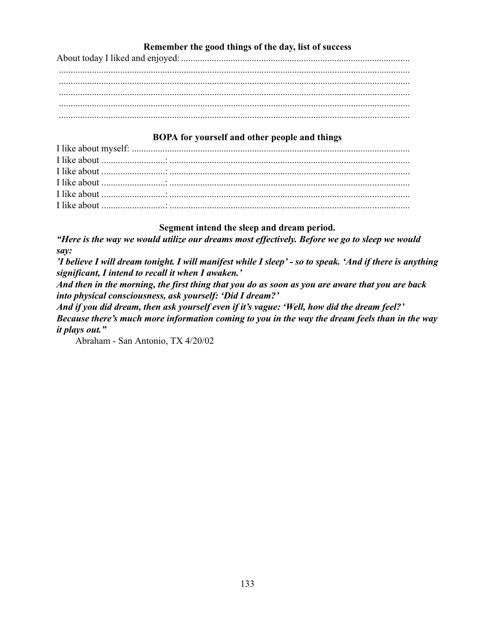#### Remember the good things of the day, list of success

## BOPA for yourself and other people and things

Segment intend the sleep and dream period.

"Here is the way we would utilize our dreams most effectively. Before we go to sleep we would  $sav:$ 

'I believe I will dream tonight. I will manifest while I sleep' - so to speak. 'And if there is anything significant, I intend to recall it when I awaken.'

And then in the morning, the first thing that you do as soon as you are aware that you are back into physical consciousness, ask yourself: 'Did I dream?'

And if you did dream, then ask yourself even if it's vague: 'Well, how did the dream feel?' Because there's much more information coming to you in the way the dream feels than in the way *it plays out.*"

Abraham - San Antonio, TX 4/20/02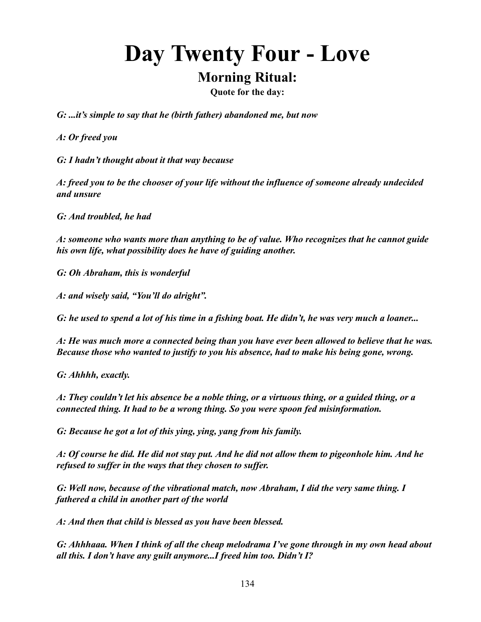# Day Twenty Four - Love

## Morning Ritual:

Quote for the day:

 $G: ...$  it's simple to say that he (birth father) abandoned me, but now

A: Or freed you

 $G: I$  hadn't thought about it that way because

A: freed you to be the chooser of your life without the influence of someone already undecided and unsure

G: And troubled, he had

A: someone who wants more than anything to be of value. Who recognizes that he cannot guide his own life, what possibility does he have of guiding another.

G: Oh Abraham, this is wonderful

A: and wisely said, "You'll do alright".

 $G:$  he used to spend a lot of his time in a fishing boat. He didn't, he was very much a loaner...

A: He was much more a connected being than you have ever been allowed to believe that he was. Because those who wanted to justify to you his absence, had to make his being gone, wrong.

G: Ahhhh, exactly.

 $A$ : They couldn't let his absence be a noble thing, or a virtuous thing, or a guided thing, or a connected thing. It had to be a wrong thing. So you were spoon fed misinformation.

G: Because he got a lot of this ying, ying, yang from his family.

A: Of course he did. He did not stay put. And he did not allow them to pigeonhole him. And he refused to suffer in the ways that they chosen to suffer.

G: Well now, because of the vibrational match, now Abraham, I did the very same thing. I fathered a child in another part of the world

A: And then that child is blessed as you have been blessed.

G: Ahhhaaa. When I think of all the cheap melodrama Ive gone through in my own head about all this. I don't have any guilt anymore...I freed him too. Didn't  $I$ ?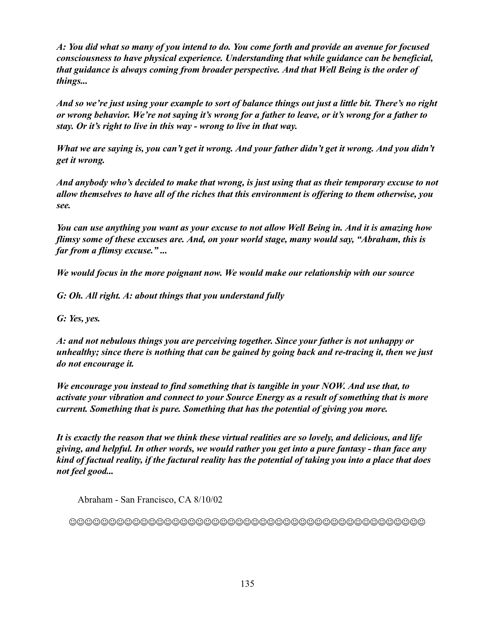A: You did what so many of you intend to do. You come forth and provide an avenue for focused consciousness to have physical experience. Understanding that while guidance can be beneficial, that guidance is always coming from broader perspective. And that Well Being is the order of things...

And so we're just using your example to sort of balance things out just a little bit. There's no right or wrong behavior. We're not saying it's wrong for a father to leave, or it's wrong for a father to stay. Or it's right to live in this way - wrong to live in that way.

What we are saying is, you can't get it wrong. And your father didn't get it wrong. And you didn't get it wrong.

And anybody who's decided to make that wrong, is just using that as their temporary excuse to not allow themselves to have all of the riches that this environment is offering to them otherwise, you see.

You can use anything you want as your excuse to not allow Well Being in. And it is amazing how flimsy some of these excuses are. And, on your world stage, many would say, "Abraham, this is far from a flimsy excuse." $\ldots$ 

We would focus in the more poignant now. We would make our relationship with our source

G: Oh. All right. A: about things that you understand fully

G: Yes, yes.

A: and not nebulous things you are perceiving together. Since your father is not unhappy or unhealthy; since there is nothing that can be gained by going back and re-tracing it, then we just do not encourage it.

We encourage you instead to find something that is tangible in your NOW. And use that, to activate your vibration and connect to your Source Energy as a result of something that is more current. Something that is pure. Something that has the potential of giving you more.

It is exactly the reason that we think these virtual realities are so lovely, and delicious, and life giving, and helpful. In other words, we would rather you get into a pure fantasy - than face any kind of factual reality, if the factural reality has the potential of taking you into a place that does not feel good...

Abraham - San Francisco, CA 8/10/02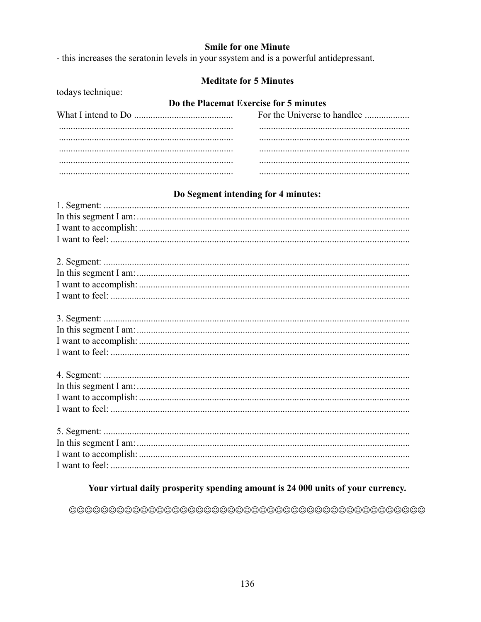#### **Smile for one Minute**

- this increases the seratonin levels in your ssystem and is a powerful antidepressant.

todays technique:

#### **Meditate for 5 Minutes**

| Do the Placemat Exercise for 5 minutes |                             |  |
|----------------------------------------|-----------------------------|--|
|                                        | For the Universe to handlee |  |
|                                        |                             |  |
|                                        |                             |  |
|                                        |                             |  |
|                                        |                             |  |
|                                        |                             |  |

#### Do Segment intending for 4 minutes:

## Your virtual daily prosperity spending amount is 24 000 units of your currency.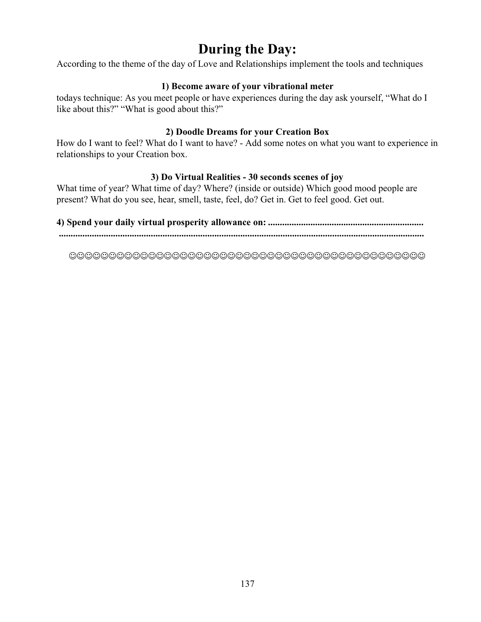# During the Day:

According to the theme of the day of Love and Relationships implement the tools and techniques

#### 1) Become aware of your vibrational meter

todays technique: As you meet people or have experiences during the day ask yourself, What do I like about this?" "What is good about this?"

#### 2) Doodle Dreams for your Creation Box

How do I want to feel? What do I want to have? - Add some notes on what you want to experience in relationships to your Creation box.

#### 3) Do Virtual Realities - 30 seconds scenes of joy

What time of year? What time of day? Where? (inside or outside) Which good mood people are present? What do you see, hear, smell, taste, feel, do? Get in. Get to feel good. Get out.

4) Spend your daily virtual prosperity allowance on: ..................................................................

...........................................................................................................................................................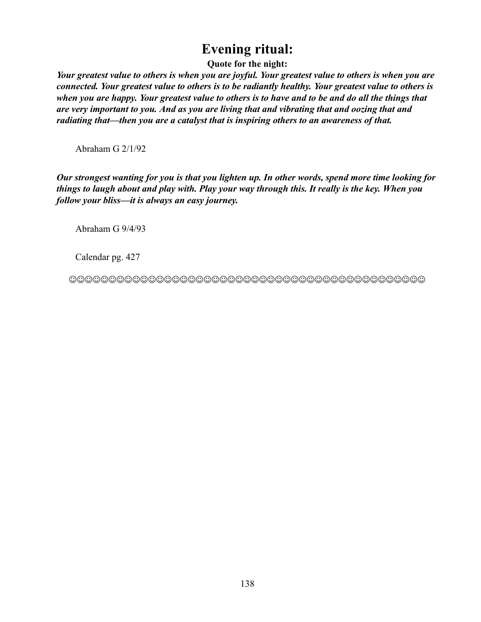# Evening ritual:

Quote for the night:

Your greatest value to others is when you are joyful. Your greatest value to others is when you are connected. Your greatest value to others is to be radiantly healthy. Your greatest value to others is when you are happy. Your greatest value to others is to have and to be and do all the things that are very important to you. And as you are living that and vibrating that and oozing that and radiating that—then you are a catalyst that is inspiring others to an awareness of that.

Abraham G 2/1/92

Our strongest wanting for you is that you lighten up. In other words, spend more time looking for things to laugh about and play with. Play your way through this. It really is the key. When you  $follow your \, bliss\$  is always an easy journey.

Abraham G 9/4/93

Calendar pg. 427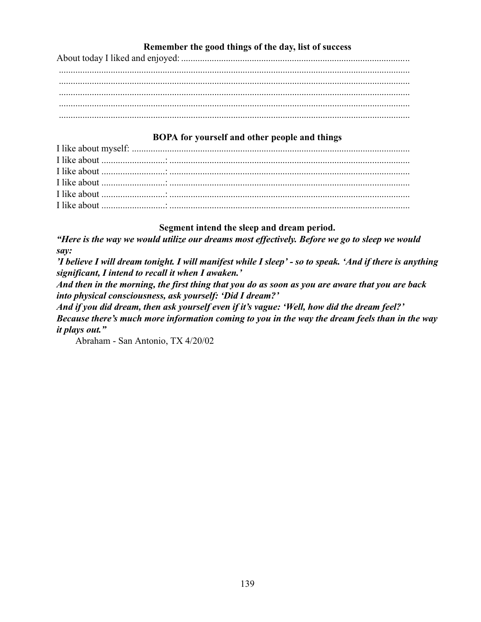#### Remember the good things of the day, list of success

## BOPA for yourself and other people and things

Segment intend the sleep and dream period.

"Here is the way we would utilize our dreams most effectively. Before we go to sleep we would  $sav:$ 

'I believe I will dream tonight. I will manifest while I sleep' - so to speak. 'And if there is anything significant, I intend to recall it when I awaken.'

And then in the morning, the first thing that you do as soon as you are aware that you are back into physical consciousness, ask yourself: 'Did I dream?'

And if you did dream, then ask yourself even if it's vague: 'Well, how did the dream feel?' Because there's much more information coming to you in the way the dream feels than in the way *it plays out.*"

Abraham - San Antonio, TX 4/20/02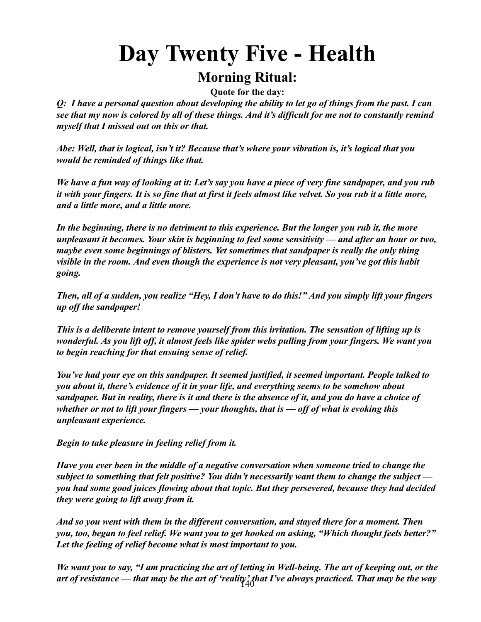# Day Twenty Five - Health

# Morning Ritual:

Quote for the day:

Q: I have a personal question about developing the ability to let go of things from the past. I can see that my now is colored by all of these things. And it's difficult for me not to constantly remind myself that I missed out on this or that.

Abe: Well, that is logical, isn't it? Because that's where your vibration is, it's logical that you would be reminded of things like that.

We have a fun way of looking at it: Let's say you have a piece of very fine sandpaper, and you rub it with your fingers. It is so fine that at first it feels almost like velvet. So you rub it a little more, and a little more, and a little more.

In the beginning, there is no detriment to this experience. But the longer you rub it, the more unpleasant it becomes. Your skin is beginning to feel some sensitivity — and after an hour or two, maybe even some beginnings of blisters. Yet sometimes that sandpaper is really the only thing visible in the room. And even though the experience is not very pleasant, you've got this habit going.

Then, all of a sudden, you realize "Hey, I don't have to do this!" And you simply lift your fingers up off the sandpaper!

This is a deliberate intent to remove yourself from this irritation. The sensation of lifting up is wonderful. As you lift off, it almost feels like spider webs pulling from your fingers. We want you to begin reaching for that ensuing sense of relief.

You've had your eye on this sandpaper. It seemed justified, it seemed important. People talked to you about it, there's evidence of it in your life, and everything seems to be somehow about sandpaper. But in reality, there is it and there is the absence of it, and you do have a choice of whether or not to lift your fingers — your thoughts, that is  $\sim$  off of what is evoking this unpleasant experience.

Begin to take pleasure in feeling relief from it.

Have you ever been in the middle of a negative conversation when someone tried to change the subject to something that felt positive? You didn't necessarily want them to change the subject  $$ you had some good juices flowing about that topic. But they persevered, because they had decided they were going to lift away from it.

And so you went with them in the different conversation, and stayed there for a moment. Then you, too, began to feel relief. We want you to get hooked on asking, "Which thought feels better?" Let the feeling of relief become what is most important to you.

art of resistance — that may be the art of 'reality' that I've always practiced. That may be the way<br> We want you to say, "I am practicing the art of letting in Well-being. The art of keeping out, or the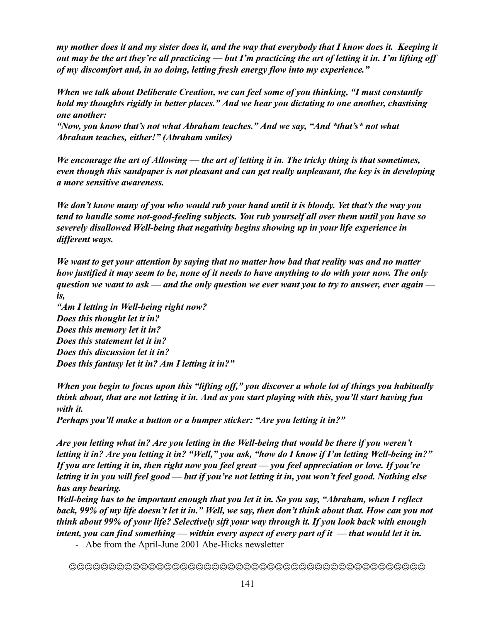my mother does it and my sister does it, and the way that everybody that I know does it. Keeping it out may be the art they're all practicing — but I'm practicing the art of letting it in. I'm lifting off of my discomfort and, in so doing, letting fresh energy flow into my experience.

When we talk about Deliberate Creation, we can feel some of you thinking,  $H$  must constantly hold my thoughts rigidly in better places." And we hear you dictating to one another, chastising one another:

"Now, you know that's not what Abraham teaches." And we say, "And  $*$ that's $*$  not what Abraham teaches, either!" (Abraham smiles)

We encourage the art of Allowing  $-$  the art of letting it in. The tricky thing is that sometimes, even though this sandpaper is not pleasant and can get really unpleasant, the key is in developing a more sensitive awareness.

We don't know many of you who would rub your hand until it is bloody. Yet that's the way you tend to handle some not-good-feeling subjects. You rub yourself all over them until you have so severely disallowed Well-being that negativity begins showing up in your life experience in different ways.

We want to get your attention by saying that no matter how bad that reality was and no matter how justified it may seem to be, none of it needs to have anything to do with your now. The only question we want to ask  $-$  and the only question we ever want you to try to answer, ever again  $$ is,

Am I letting in Well-being right now? Does this thought let it in? Does this memory let it in? Does this statement let it in? Does this discussion let it in? Does this fantasy let it in? Am I letting it in?"

When you begin to focus upon this "lifting off," you discover a whole lot of things you habitually think about, that are not letting it in. And as you start playing with this, you'll start having fun with it.

Perhaps you'll make a button or a bumper sticker: "Are you letting it in?"

Are you letting what in? Are you letting in the Well-being that would be there if you weren't letting it in? Are you letting it in? "Well," you ask, "how do I know if I'm letting Well-being in?" If you are letting it in, then right now you feel great  $-y$ ou feel appreciation or love. If you're letting it in you will feel good — but if you're not letting it in, you won't feel good. Nothing else has any bearing.

Well-being has to be important enough that you let it in. So you say, "Abraham, when  $I$  reflect back, 99% of my life doesn't let it in." Well, we say, then don't think about that. How can you not think about 99% of your life? Selectively sift your way through it. If you look back with enough intent, you can find something  $-$  within every aspect of every part of it  $-$  that would let it in.

- Abe from the April-June 2001 Abe-Hicks newsletter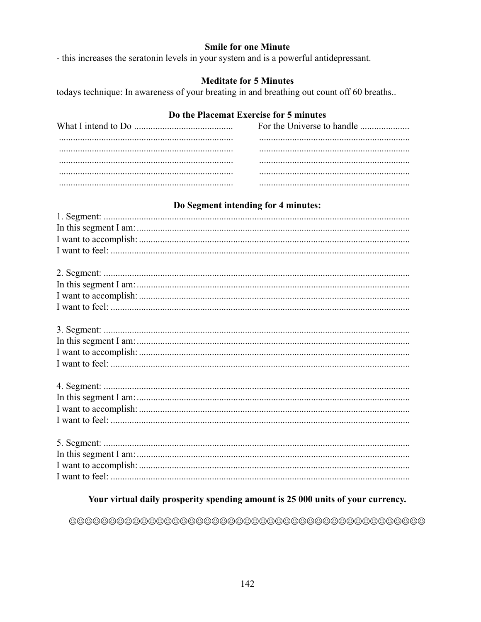#### **Smile for one Minute**

- this increases the seratonin levels in your system and is a powerful antidepressant.

## **Meditate for 5 Minutes**

todays technique: In awareness of your breating in and breathing out count off 60 breaths..

## Do the Placemat Exercise for 5 minutes

#### Do Segment intending for 4 minutes:

## Your virtual daily prosperity spending amount is 25 000 units of your currency.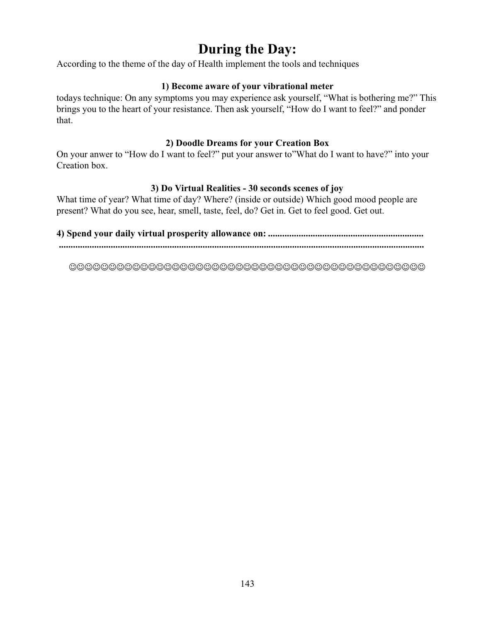# During the Day:

According to the theme of the day of Health implement the tools and techniques

#### 1) Become aware of your vibrational meter

todays technique: On any symptoms you may experience ask yourself, "What is bothering me?" This brings you to the heart of your resistance. Then ask yourself, "How do I want to feel?" and ponder that.

#### 2) Doodle Dreams for your Creation Box

On your anwer to "How do I want to feel?" put your answer to" What do I want to have?" into your Creation box.

#### 3) Do Virtual Realities - 30 seconds scenes of joy

What time of year? What time of day? Where? (inside or outside) Which good mood people are present? What do you see, hear, smell, taste, feel, do? Get in. Get to feel good. Get out.

4) Spend your daily virtual prosperity allowance on: .................................................................. ...........................................................................................................................................................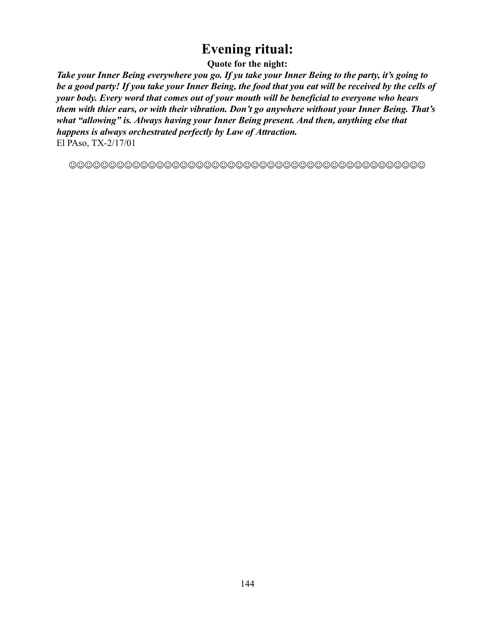# Evening ritual:

Quote for the night:

Take your Inner Being everywhere you go. If yu take your Inner Being to the party, it's going to be a good party! If you take your Inner Being, the food that you eat will be received by the cells of your body. Every word that comes out of your mouth will be beneficial to everyone who hears them with thier ears, or with their vibration. Don't go anywhere without your Inner Being. That's what "allowing" is. Always having your Inner Being present. And then, anything else that happens is always orchestrated perfectly by Law of Attraction. El PAso, TX-2/17/01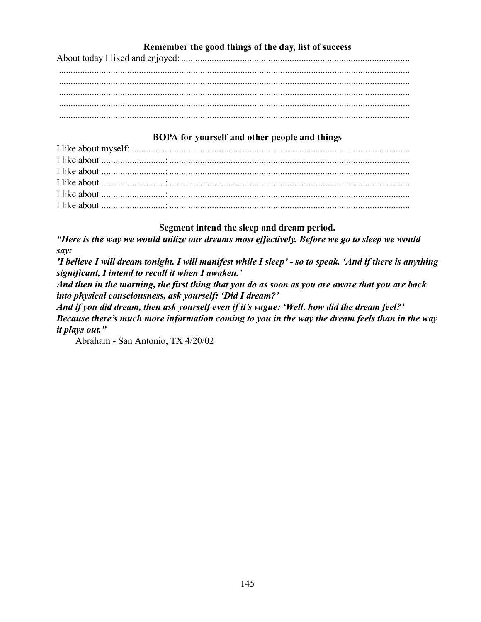#### BOPA for yourself and other people and things

Segment intend the sleep and dream period.

"Here is the way we would utilize our dreams most effectively. Before we go to sleep we would  $sav:$ 

'I believe I will dream tonight. I will manifest while I sleep' - so to speak. 'And if there is anything significant, I intend to recall it when I awaken.'

And then in the morning, the first thing that you do as soon as you are aware that you are back into physical consciousness, ask yourself: 'Did I dream?'

And if you did dream, then ask yourself even if it's vague: 'Well, how did the dream feel?' Because there's much more information coming to you in the way the dream feels than in the way *it plays out.*"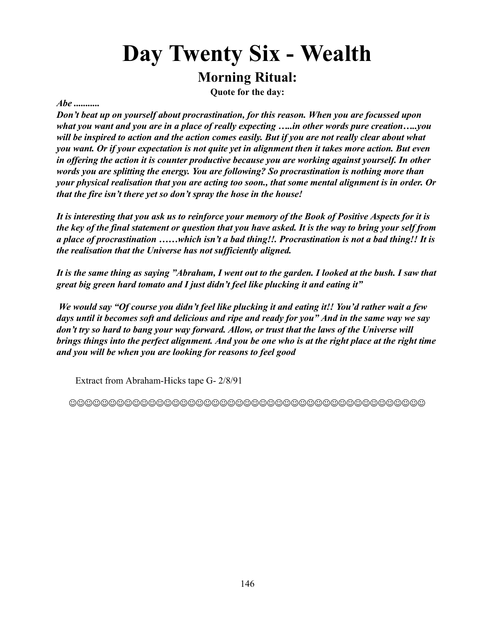# Day Twenty Six - Wealth

### Morning Ritual:

Quote for the day:

#### Abe ...........

Don't beat up on yourself about procrastination, for this reason. When you are focussed upon what you want and you are in a place of really expecting ...., in other words pure creation...., you will be inspired to action and the action comes easily. But if you are not really clear about what you want. Or if your expectation is not quite yet in alignment then it takes more action. But even in offering the action it is counter productive because you are working against yourself. In other words you are splitting the energy. You are following? So procrastination is nothing more than your physical realisation that you are acting too soon., that some mental alignment is in order. Or that the fire isn't there yet so don't spray the hose in the house!

It is interesting that you ask us to reinforce your memory of the Book of Positive Aspects for it is the key of the final statement or question that you have asked. It is the way to bring your self from a place of procrastination ......which isn't a bad thing!!. Procrastination is not a bad thing!! It is the realisation that the Universe has not sufficiently aligned.

It is the same thing as saying "Abraham, I went out to the garden. I looked at the bush. I saw that great big green hard tomato and I just didn't feel like plucking it and eating it"

We would say "Of course you didn't feel like plucking it and eating it!! You'd rather wait a few days until it becomes soft and delicious and ripe and ready for you" And in the same way we say don't try so hard to bang your way forward. Allow, or trust that the laws of the Universe will brings things into the perfect alignment. And you be one who is at the right place at the right time and you will be when you are looking for reasons to feel good

Extract from Abraham-Hicks tape G- 2/8/91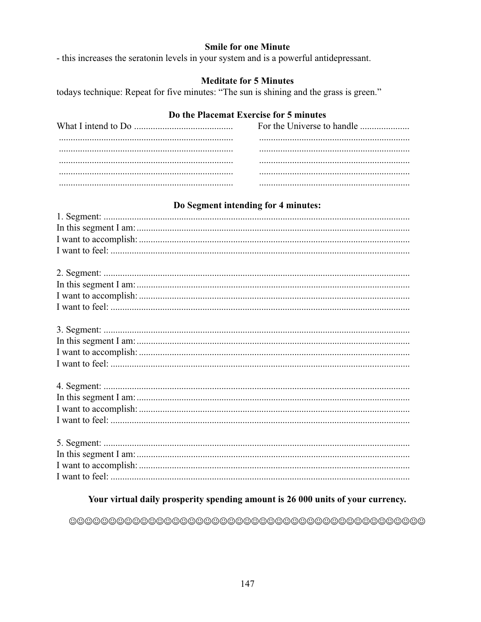#### **Smile for one Minute**

- this increases the seratonin levels in your system and is a powerful antidepressant.

#### **Meditate for 5 Minutes**

todays technique: Repeat for five minutes: "The sun is shining and the grass is green."

#### Do the Placemat Exercise for 5 minutes

#### Do Segment intending for 4 minutes:

#### Your virtual daily prosperity spending amount is 26 000 units of your currency.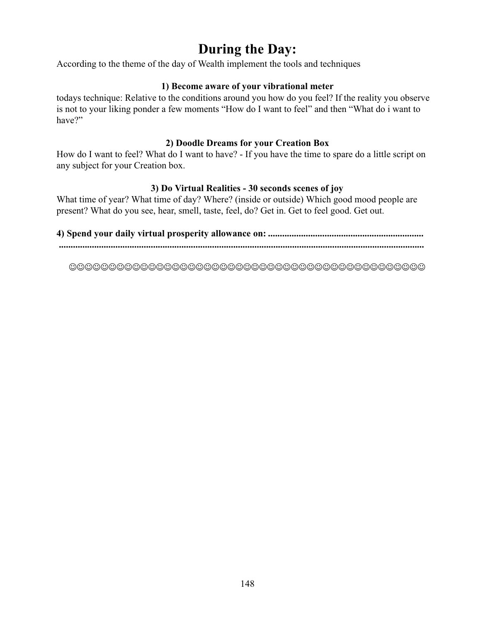## During the Day:

According to the theme of the day of Wealth implement the tools and techniques

#### 1) Become aware of your vibrational meter

todays technique: Relative to the conditions around you how do you feel? If the reality you observe is not to your liking ponder a few moments "How do I want to feel" and then "What do i want to have?"

#### 2) Doodle Dreams for your Creation Box

How do I want to feel? What do I want to have? - If you have the time to spare do a little script on any subject for your Creation box.

#### 3) Do Virtual Realities - 30 seconds scenes of joy

What time of year? What time of day? Where? (inside or outside) Which good mood people are present? What do you see, hear, smell, taste, feel, do? Get in. Get to feel good. Get out.

4) Spend your daily virtual prosperity allowance on: .................................................................. ...........................................................................................................................................................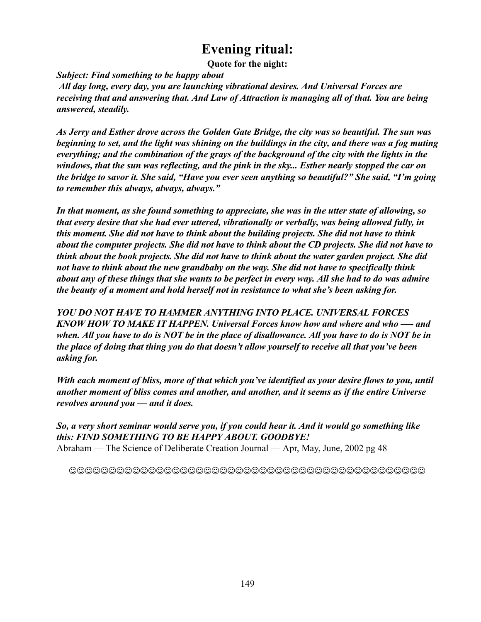## Evening ritual:

Quote for the night:

Subject: Find something to be happy about

 All day long, every day, you are launching vibrational desires. And Universal Forces are receiving that and answering that. And Law of Attraction is managing all of that. You are being answered, steadily.

As Jerry and Esther drove across the Golden Gate Bridge, the city was so beautiful. The sun was beginning to set, and the light was shining on the buildings in the city, and there was a fog muting everything; and the combination of the grays of the background of the city with the lights in the windows, that the sun was reflecting, and the pink in the sky... Esther nearly stopped the car on the bridge to savor it. She said, "Have you ever seen anything so beautiful?" She said, "I'm going to remember this always, always, always.

In that moment, as she found something to appreciate, she was in the utter state of allowing, so that every desire that she had ever uttered, vibrationally or verbally, was being allowed fully, in this moment. She did not have to think about the building projects. She did not have to think about the computer projects. She did not have to think about the CD projects. She did not have to think about the book projects. She did not have to think about the water garden project. She did not have to think about the new grandbaby on the way. She did not have to specifically think about any of these things that she wants to be perfect in every way. All she had to do was admire the beauty of a moment and hold herself not in resistance to what she's been asking for.

YOU DO NOT HAVE TO HAMMER ANYTHING INTO PLACE. UNIVERSAL FORCES KNOW HOW TO MAKE IT HAPPEN. Universal Forces know how and where and who - and when. All you have to do is NOT be in the place of disallowance. All you have to do is NOT be in the place of doing that thing you do that doesn't allow yourself to receive all that you've been asking for.

With each moment of bliss, more of that which you've identified as your desire flows to you, until another moment of bliss comes and another, and another, and it seems as if the entire Universe revolves around you  $-$  and it does.

So, a very short seminar would serve you, if you could hear it. And it would go something like this: FIND SOMETHING TO BE HAPPY ABOUT. GOODBYE! Abraham — The Science of Deliberate Creation Journal — Apr, May, June, 2002 pg 48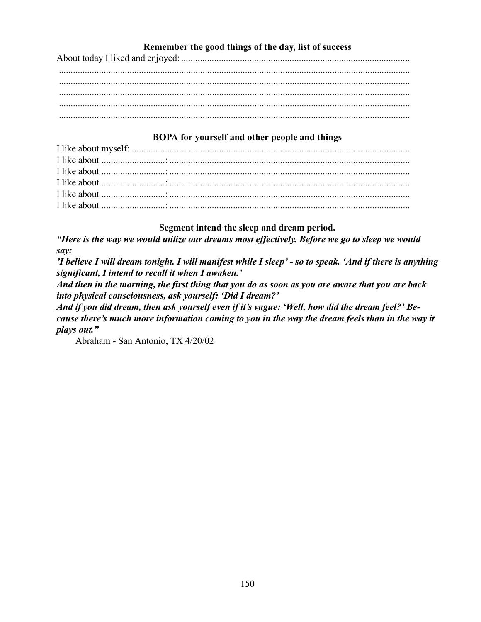#### BOPA for yourself and other people and things

Segment intend the sleep and dream period.

"Here is the way we would utilize our dreams most effectively. Before we go to sleep we would  $sav:$ 

'I believe I will dream tonight. I will manifest while I sleep' - so to speak. 'And if there is anything significant, I intend to recall it when I awaken.'

And then in the morning, the first thing that you do as soon as you are aware that you are back into physical consciousness, ask yourself: 'Did I dream?'

And if you did dream, then ask yourself even if it's vague: 'Well, how did the dream feel?' Because there's much more information coming to you in the way the dream feels than in the way it plays out."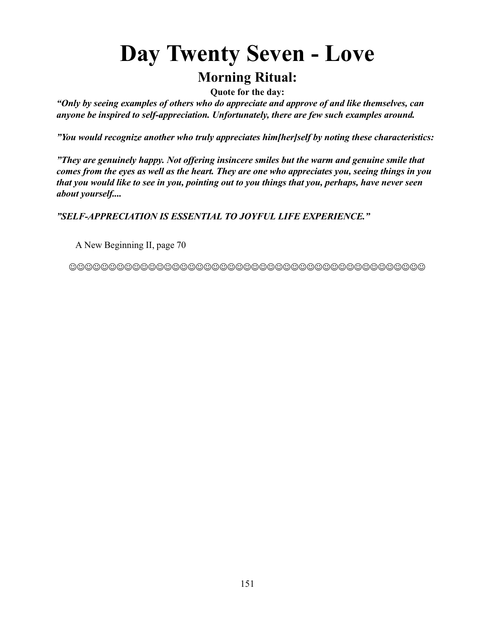# Day Twenty Seven - Love

## Morning Ritual:

Quote for the day:

Only by seeing examples of others who do appreciate and approve of and like themselves, can anyone be inspired to self-appreciation. Unfortunately, there are few such examples around.

You would recognize another who truly appreciates him[her]self by noting these characteristics:

They are genuinely happy. Not offering insincere smiles but the warm and genuine smile that comes from the eyes as well as the heart. They are one who appreciates you, seeing things in you that you would like to see in you, pointing out to you things that you, perhaps, have never seen about yourself....

SELF-APPRECIATION IS ESSENTIAL TO JOYFUL LIFE EXPERIENCE.

A New Beginning II, page 70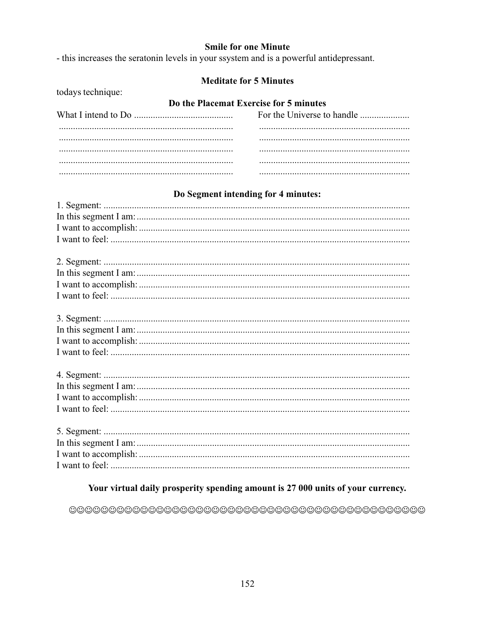#### **Smile for one Minute**

- this increases the seratonin levels in your ssystem and is a powerful antidepressant.

#### **Meditate for 5 Minutes**

| todays technique: |                                        |
|-------------------|----------------------------------------|
|                   | Do the Placemat Exercise for 5 minutes |
|                   |                                        |
|                   |                                        |
|                   |                                        |
|                   |                                        |
|                   |                                        |
|                   |                                        |
|                   |                                        |

#### Do Segment intending for 4 minutes:

#### Your virtual daily prosperity spending amount is 27 000 units of your currency.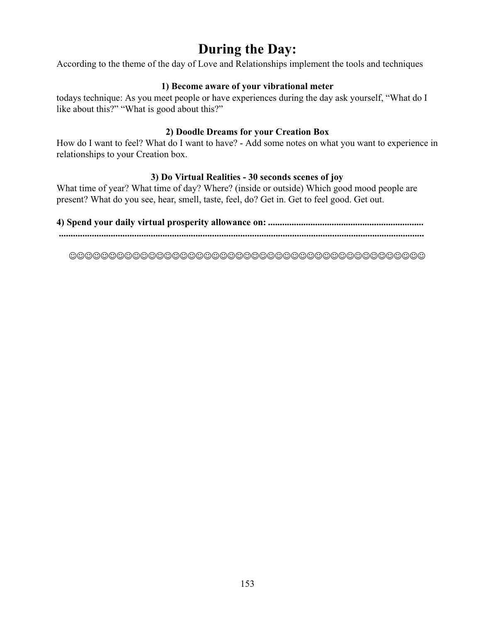## During the Day:

According to the theme of the day of Love and Relationships implement the tools and techniques

#### 1) Become aware of your vibrational meter

todays technique: As you meet people or have experiences during the day ask yourself, What do I like about this?" "What is good about this?"

#### 2) Doodle Dreams for your Creation Box

How do I want to feel? What do I want to have? - Add some notes on what you want to experience in relationships to your Creation box.

#### 3) Do Virtual Realities - 30 seconds scenes of joy

What time of year? What time of day? Where? (inside or outside) Which good mood people are present? What do you see, hear, smell, taste, feel, do? Get in. Get to feel good. Get out.

4) Spend your daily virtual prosperity allowance on: ..................................................................

...........................................................................................................................................................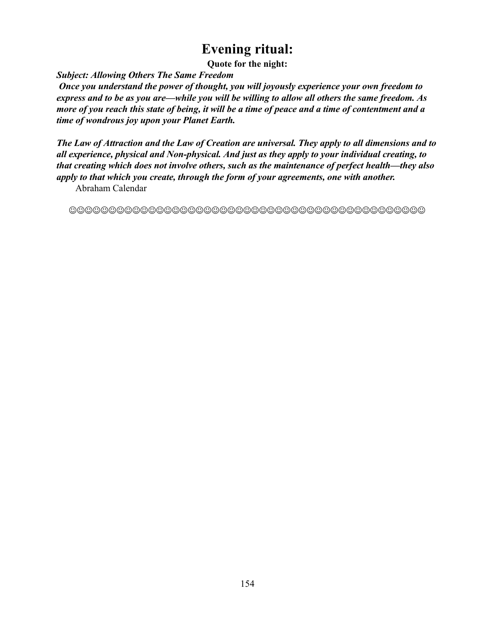## Evening ritual:

Quote for the night:

Subject: Allowing Others The Same Freedom

 Once you understand the power of thought, you will joyously experience your own freedom to express and to be as you are—while you will be willing to allow all others the same freedom. As more of you reach this state of being, it will be a time of peace and a time of contentment and a time of wondrous joy upon your Planet Earth.

The Law of Attraction and the Law of Creation are universal. They apply to all dimensions and to all experience, physical and Non-physical. And just as they apply to your individual creating, to that creating which does not involve others, such as the maintenance of perfect health—they also apply to that which you create, through the form of your agreements, one with another. Abraham Calendar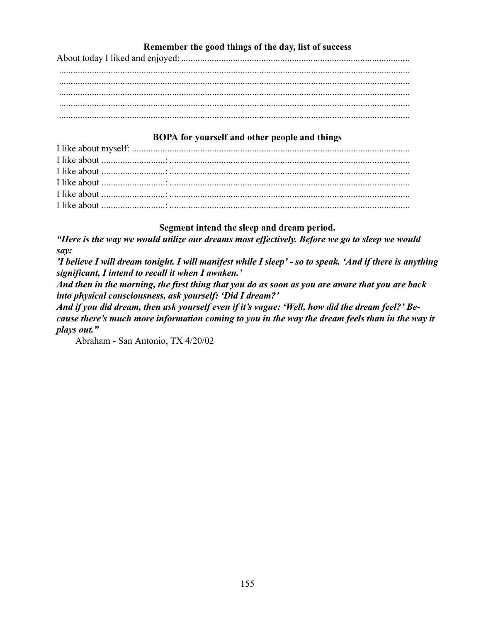#### BOPA for yourself and other people and things

Segment intend the sleep and dream period.

"Here is the way we would utilize our dreams most effectively. Before we go to sleep we would  $sav:$ 

'I believe I will dream tonight. I will manifest while I sleep' - so to speak. 'And if there is anything significant, I intend to recall it when I awaken.'

And then in the morning, the first thing that you do as soon as you are aware that you are back into physical consciousness, ask yourself: 'Did I dream?'

And if you did dream, then ask yourself even if it's vague: 'Well, how did the dream feel?' Because there's much more information coming to you in the way the dream feels than in the way it plays out."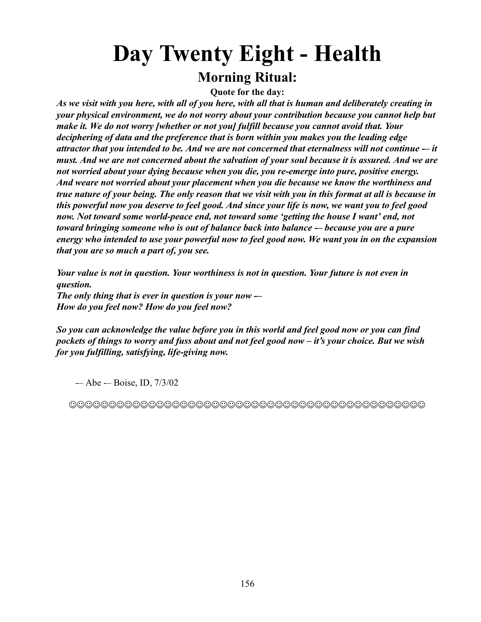## Day Twenty Eight - Health Morning Ritual:

Quote for the day:

As we visit with you here, with all of you here, with all that is human and deliberately creating in your physical environment, we do not worry about your contribution because you cannot help but make it. We do not worry [whether or not you] fulfill because you cannot avoid that. Your deciphering of data and the preference that is born within you makes you the leading edge attractor that you intended to be. And we are not concerned that eternalness will not continue  $-$  it must. And we are not concerned about the salvation of your soul because it is assured. And we are not worried about your dying because when you die, you re-emerge into pure, positive energy. And weare not worried about your placement when you die because we know the worthiness and true nature of your being. The only reason that we visit with you in this format at all is because in this powerful now you deserve to feel good. And since your life is now, we want you to feel good now. Not toward some world-peace end, not toward some 'getting the house I want' end, not toward bringing someone who is out of balance back into balance — because you are a pure energy who intended to use your powerful now to feel good now. We want you in on the expansion that you are so much a part of, you see.

Your value is not in question. Your worthiness is not in question. Your future is not even in question. The only thing that is ever in question is your now  $-$ 

How do you feel now? How do you feel now?

So you can acknowledge the value before you in this world and feel good now or you can find pockets of things to worry and fuss about and not feel good now  $-$  it's your choice. But we wish for you fulfilling, satisfying, life-giving now.

 $-$  Abe  $-$  Boise, ID,  $7/3/02$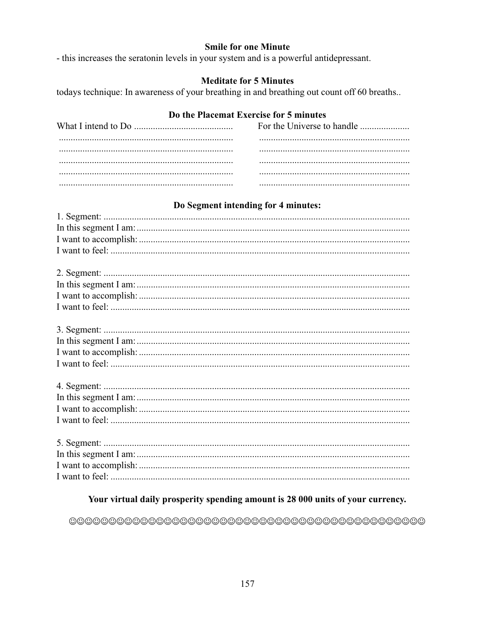#### **Smile for one Minute**

- this increases the seratonin levels in your system and is a powerful antidepressant.

#### **Meditate for 5 Minutes**

todays technique: In awareness of your breathing in and breathing out count off 60 breaths..

#### Do the Placemat Exercise for 5 minutes

#### Do Segment intending for 4 minutes:

#### Your virtual daily prosperity spending amount is 28 000 units of your currency.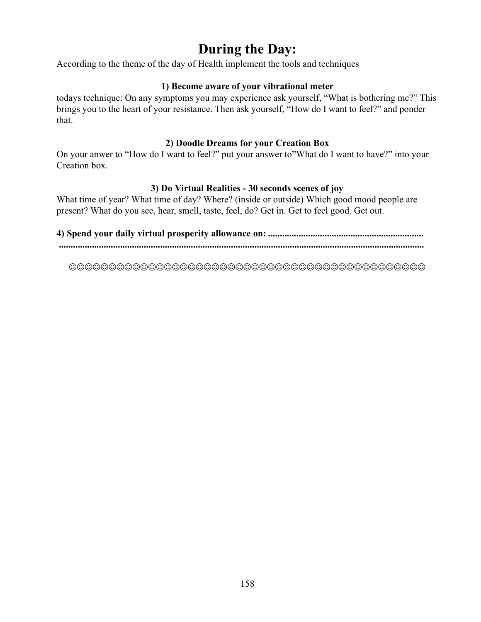## During the Day:

According to the theme of the day of Health implement the tools and techniques

#### 1) Become aware of your vibrational meter

todays technique: On any symptoms you may experience ask yourself, "What is bothering me?" This brings you to the heart of your resistance. Then ask yourself, "How do I want to feel?" and ponder that.

#### 2) Doodle Dreams for your Creation Box

On your anwer to "How do I want to feel?" put your answer to" What do I want to have?" into your Creation box.

#### 3) Do Virtual Realities - 30 seconds scenes of joy

What time of year? What time of day? Where? (inside or outside) Which good mood people are present? What do you see, hear, smell, taste, feel, do? Get in. Get to feel good. Get out.

4) Spend your daily virtual prosperity allowance on: .................................................................. ...........................................................................................................................................................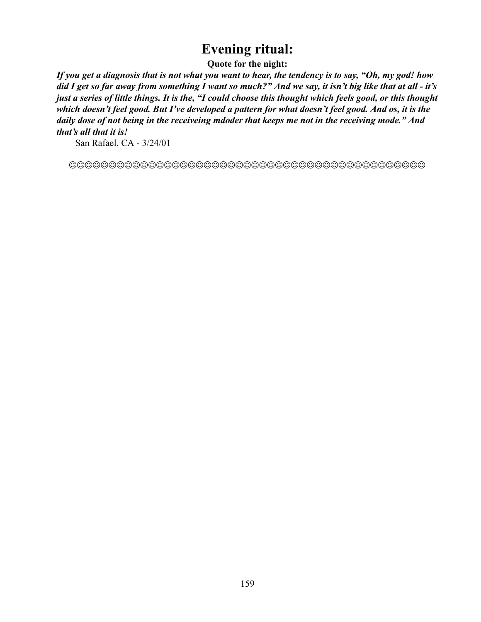## Evening ritual:

Quote for the night:

If you get a diagnosis that is not what you want to hear, the tendency is to say, "Oh, my god! how did I get so far away from something I want so much?" And we say, it isn't big like that at all - it's just a series of little things. It is the, "I could choose this thought which feels good, or this thought which doesn't feel good. But I've developed a pattern for what doesn't feel good. And os, it is the daily dose of not being in the receiveing mdoder that keeps me not in the receiving mode." And that's all that it is!

San Rafael, CA - 3/24/01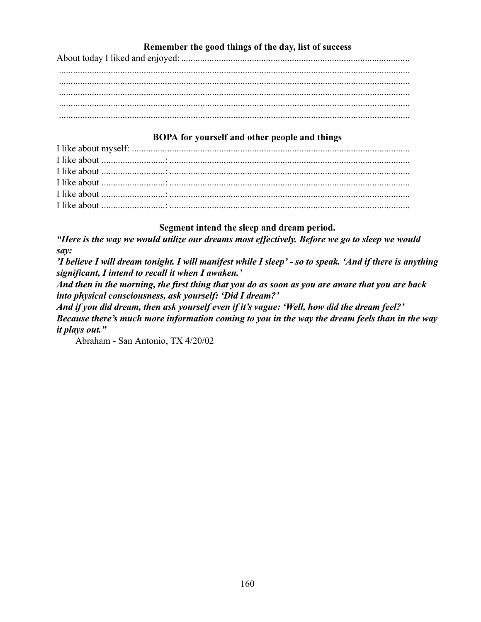#### BOPA for yourself and other people and things

Segment intend the sleep and dream period.

"Here is the way we would utilize our dreams most effectively. Before we go to sleep we would  $sav:$ 

'I believe I will dream tonight. I will manifest while I sleep' - so to speak. 'And if there is anything significant, I intend to recall it when I awaken.'

And then in the morning, the first thing that you do as soon as you are aware that you are back into physical consciousness, ask yourself: 'Did I dream?'

And if you did dream, then ask yourself even if it's vague: 'Well, how did the dream feel?' Because there's much more information coming to you in the way the dream feels than in the way *it plays out.*"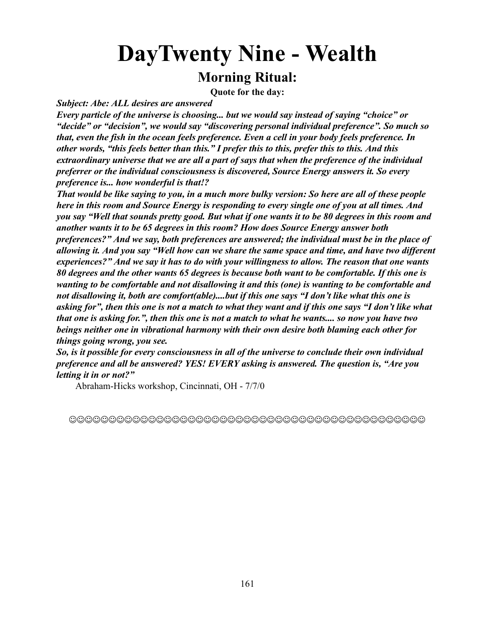# DayTwenty Nine - Wealth

### Morning Ritual:

Quote for the day:

Subject: Abe: ALL desires are answered

Every particle of the universe is choosing... but we would say instead of saying "choice" or "decide" or "decision", we would say "discovering personal individual preference". So much so that, even the fish in the ocean feels preference. Even a cell in your body feels preference. In other words, "this feels better than this." I prefer this to this, prefer this to this. And this extraordinary universe that we are all a part of says that when the preference of the individual preferrer or the individual consciousness is discovered, Source Energy answers it. So every preference is... how wonderful is that!?

That would be like saying to you, in a much more bulky version: So here are all of these people here in this room and Source Energy is responding to every single one of you at all times. And you say Well that sounds pretty good. But what if one wants it to be 80 degrees in this room and another wants it to be 65 degrees in this room? How does Source Energy answer both preferences?" And we say, both preferences are answered; the individual must be in the place of allowing it. And you say Well how can we share the same space and time, and have two different experiences?" And we say it has to do with your willingness to allow. The reason that one wants 80 degrees and the other wants 65 degrees is because both want to be comfortable. If this one is wanting to be comfortable and not disallowing it and this (one) is wanting to be comfortable and not disallowing it, both are comfort(able)....but if this one says "I don't like what this one is asking for", then this one is not a match to what they want and if this one says "I don't like what that one is asking for.", then this one is not a match to what he wants.... so now you have two beings neither one in vibrational harmony with their own desire both blaming each other for things going wrong, you see.

So, is it possible for every consciousness in all of the universe to conclude their own individual preference and all be answered? YES! EVERY asking is answered. The question is, "Are you letting it in or not?"

Abraham-Hicks workshop, Cincinnati, OH - 7/7/0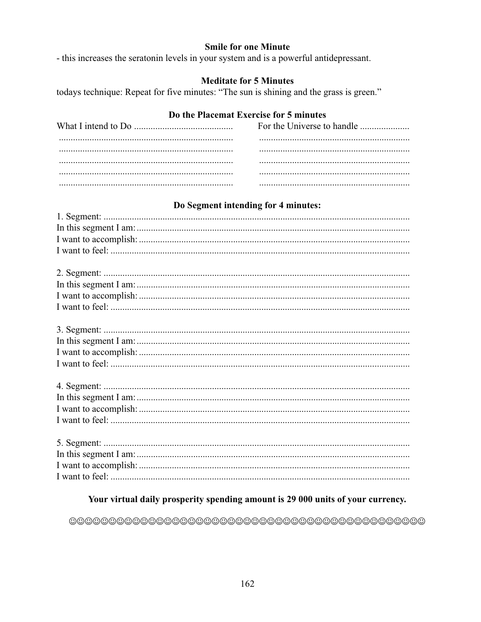#### **Smile for one Minute**

- this increases the seratonin levels in your system and is a powerful antidepressant.

#### **Meditate for 5 Minutes**

todays technique: Repeat for five minutes: "The sun is shining and the grass is green."

#### Do the Placemat Exercise for 5 minutes

#### Do Segment intending for 4 minutes:

#### Your virtual daily prosperity spending amount is 29 000 units of your currency.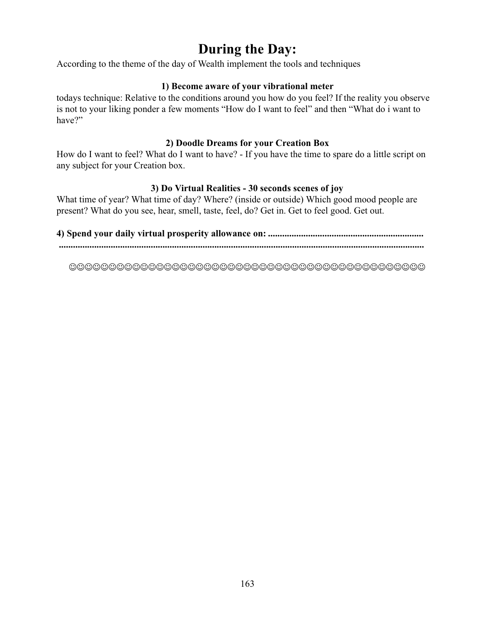## During the Day:

According to the theme of the day of Wealth implement the tools and techniques

#### 1) Become aware of your vibrational meter

todays technique: Relative to the conditions around you how do you feel? If the reality you observe is not to your liking ponder a few moments "How do I want to feel" and then "What do i want to have?"

#### 2) Doodle Dreams for your Creation Box

How do I want to feel? What do I want to have? - If you have the time to spare do a little script on any subject for your Creation box.

#### 3) Do Virtual Realities - 30 seconds scenes of joy

What time of year? What time of day? Where? (inside or outside) Which good mood people are present? What do you see, hear, smell, taste, feel, do? Get in. Get to feel good. Get out.

4) Spend your daily virtual prosperity allowance on: .................................................................. ...........................................................................................................................................................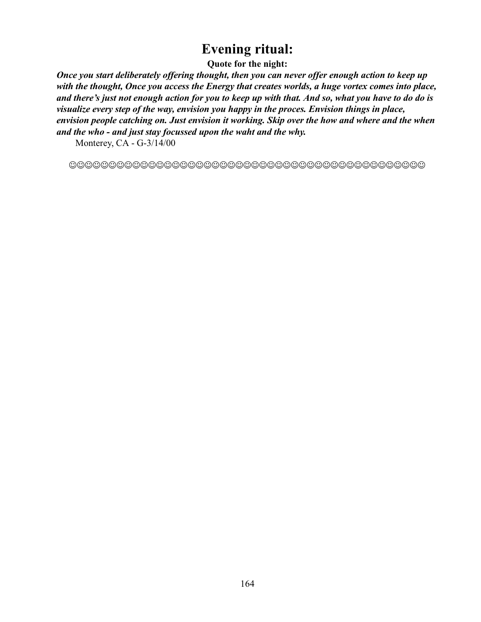## Evening ritual:

Quote for the night:

Once you start deliberately offering thought, then you can never offer enough action to keep up with the thought, Once you access the Energy that creates worlds, a huge vortex comes into place, and there's just not enough action for you to keep up with that. And so, what you have to do do is visualize every step of the way, envision you happy in the proces. Envision things in place, envision people catching on. Just envision it working. Skip over the how and where and the when and the who - and just stay focussed upon the waht and the why.

Monterey, CA - G-3/14/00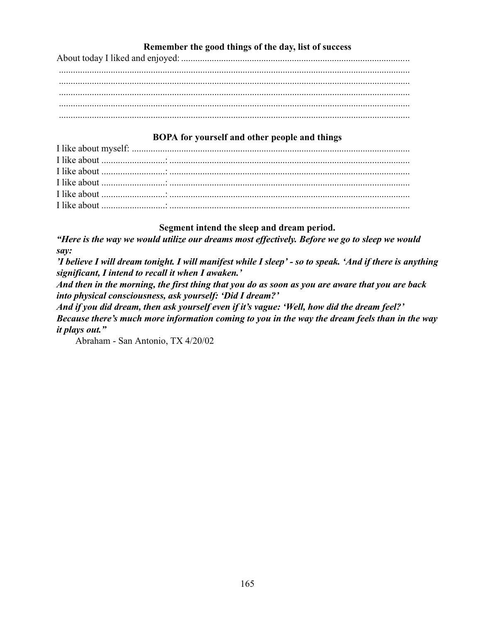#### BOPA for yourself and other people and things

Segment intend the sleep and dream period.

"Here is the way we would utilize our dreams most effectively. Before we go to sleep we would  $sav:$ 

'I believe I will dream tonight. I will manifest while I sleep' - so to speak. 'And if there is anything significant, I intend to recall it when I awaken.'

And then in the morning, the first thing that you do as soon as you are aware that you are back into physical consciousness, ask yourself: 'Did I dream?'

And if you did dream, then ask yourself even if it's vague: 'Well, how did the dream feel?' Because there's much more information coming to you in the way the dream feels than in the way *it plays out.*"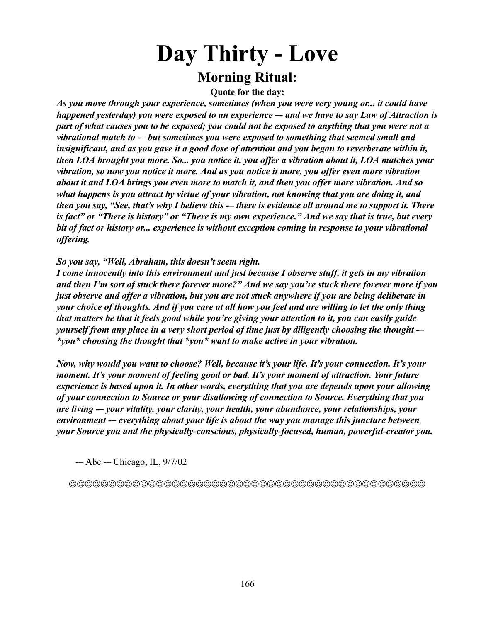## Day Thirty - Love Morning Ritual:

#### Quote for the day:

As you move through your experience, sometimes (when you were very young or... it could have happened yesterday) you were exposed to an experience -- and we have to say Law of Attraction is part of what causes you to be exposed; you could not be exposed to anything that you were not a vibrational match to - but sometimes you were exposed to something that seemed small and insignificant, and as you gave it a good dose of attention and you began to reverberate within it, then LOA brought you more. So... you notice it, you offer a vibration about it, LOA matches your vibration, so now you notice it more. And as you notice it more, you offer even more vibration about it and LOA brings you even more to match it, and then you offer more vibration. And so what happens is you attract by virtue of your vibration, not knowing that you are doing it, and then you say, "See, that's why I believe this  $-$  there is evidence all around me to support it. There is fact" or "There is history" or "There is my own experience." And we say that is true, but every bit of fact or history or... experience is without exception coming in response to your vibrational offering.

So you say, "Well, Abraham, this doesn't seem right.

I come innocently into this environment and just because I observe stuff, it gets in my vibration and then I'm sort of stuck there forever more?" And we say you're stuck there forever more if you just observe and offer a vibration, but you are not stuck anywhere if you are being deliberate in your choice of thoughts. And if you care at all how you feel and are willing to let the only thing that matters be that it feels good while you're giving your attention to it, you can easily guide yourself from any place in a very short period of time just by diligently choosing the thought -\*you\* choosing the thought that \*you\* want to make active in your vibration.

Now, why would you want to choose? Well, because it's your life. It's your connection. It's your moment. It's your moment of feeling good or bad. It's your moment of attraction. Your future experience is based upon it. In other words, everything that you are depends upon your allowing of your connection to Source or your disallowing of connection to Source. Everything that you are living  $-$  your vitality, your clarity, your health, your abundance, your relationships, your environment - everything about your life is about the way you manage this juncture between your Source you and the physically-conscious, physically-focused, human, powerful-creator you.

 $-$  Abe  $-$  Chicago, IL,  $9/7/02$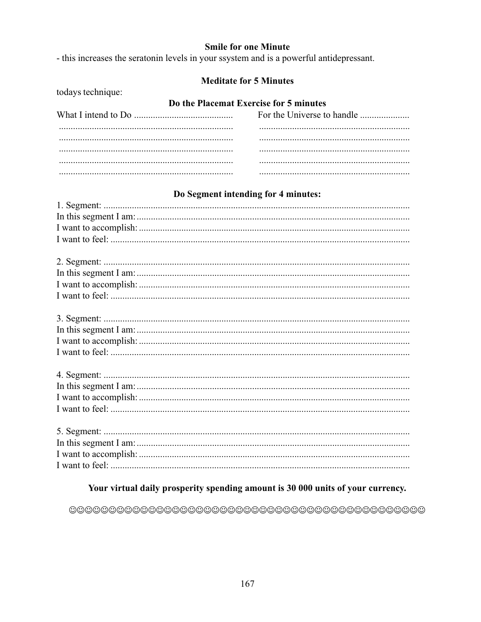#### **Smile for one Minute**

- this increases the seratonin levels in your ssystem and is a powerful antidepressant.

todays technique:

#### **Meditate for 5 Minutes**

| Do the Placemat Exercise for 5 minutes |  |
|----------------------------------------|--|
|                                        |  |
|                                        |  |
|                                        |  |
|                                        |  |
|                                        |  |

#### Do Segment intending for 4 minutes:

#### Your virtual daily prosperity spending amount is 30 000 units of your currency.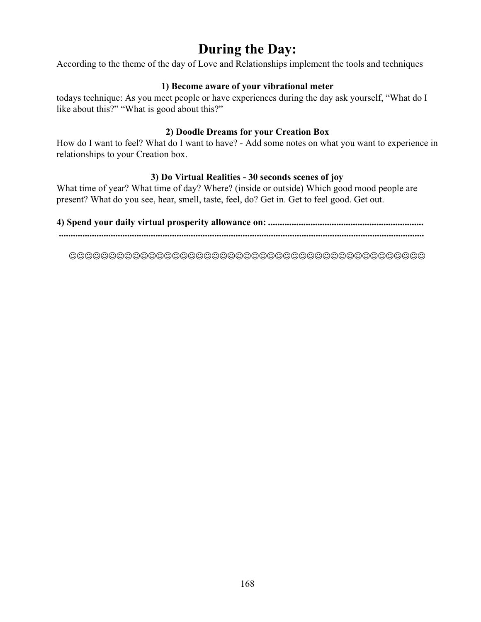## During the Day:

According to the theme of the day of Love and Relationships implement the tools and techniques

#### 1) Become aware of your vibrational meter

todays technique: As you meet people or have experiences during the day ask yourself, What do I like about this?" "What is good about this?"

#### 2) Doodle Dreams for your Creation Box

How do I want to feel? What do I want to have? - Add some notes on what you want to experience in relationships to your Creation box.

#### 3) Do Virtual Realities - 30 seconds scenes of joy

What time of year? What time of day? Where? (inside or outside) Which good mood people are present? What do you see, hear, smell, taste, feel, do? Get in. Get to feel good. Get out.

4) Spend your daily virtual prosperity allowance on: ..................................................................

...........................................................................................................................................................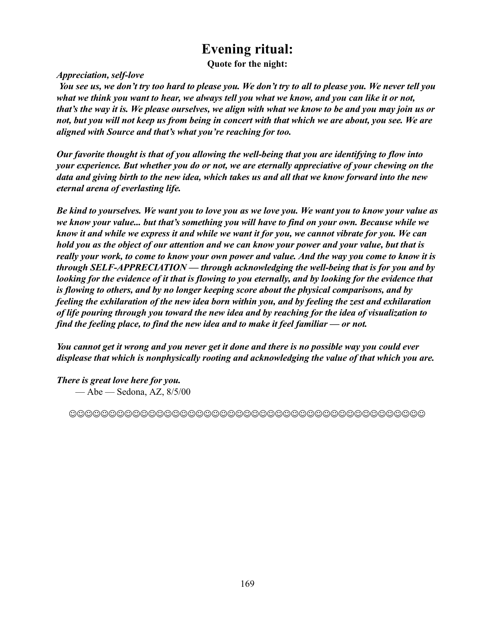## Evening ritual:

Quote for the night:

Appreciation, self-love

You see us, we don't try too hard to please you. We don't try to all to please you. We never tell you what we think you want to hear, we always tell you what we know, and you can like it or not, that's the way it is. We please ourselves, we align with what we know to be and you may join us or not, but you will not keep us from being in concert with that which we are about, you see. We are aligned with Source and that's what you're reaching for too.

Our favorite thought is that of you allowing the well-being that you are identifying to flow into your experience. But whether you do or not, we are eternally appreciative of your chewing on the data and giving birth to the new idea, which takes us and all that we know forward into the new eternal arena of everlasting life.

Be kind to yourselves. We want you to love you as we love you. We want you to know your value as we know your value... but that's something you will have to find on your own. Because while we know it and while we express it and while we want it for you, we cannot vibrate for you. We can hold you as the object of our attention and we can know your power and your value, but that is really your work, to come to know your own power and value. And the way you come to know it is through SELF-APPRECIATION  $-$  through acknowledging the well-being that is for you and by looking for the evidence of it that is flowing to you eternally, and by looking for the evidence that is flowing to others, and by no longer keeping score about the physical comparisons, and by feeling the exhilaration of the new idea born within you, and by feeling the zest and exhilaration of life pouring through you toward the new idea and by reaching for the idea of visualization to find the feeling place, to find the new idea and to make it feel familiar  $\sim$  or not.

You cannot get it wrong and you never get it done and there is no possible way you could ever displease that which is nonphysically rooting and acknowledging the value of that which you are.

There is great love here for you.  $-$  Abe  $-$  Sedona, AZ,  $8/5/00$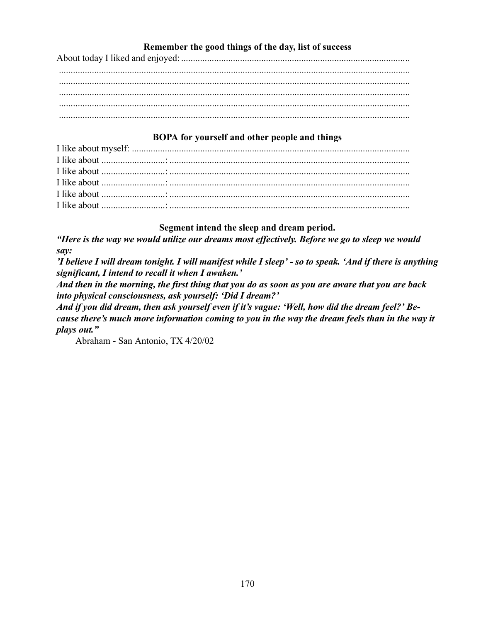#### BOPA for yourself and other people and things

Segment intend the sleep and dream period.

"Here is the way we would utilize our dreams most effectively. Before we go to sleep we would  $sav:$ 

'I believe I will dream tonight. I will manifest while I sleep' - so to speak. 'And if there is anything significant, I intend to recall it when I awaken.'

And then in the morning, the first thing that you do as soon as you are aware that you are back into physical consciousness, ask yourself: 'Did I dream?'

And if you did dream, then ask yourself even if it's vague: 'Well, how did the dream feel?' Because there's much more information coming to you in the way the dream feels than in the way it plays out."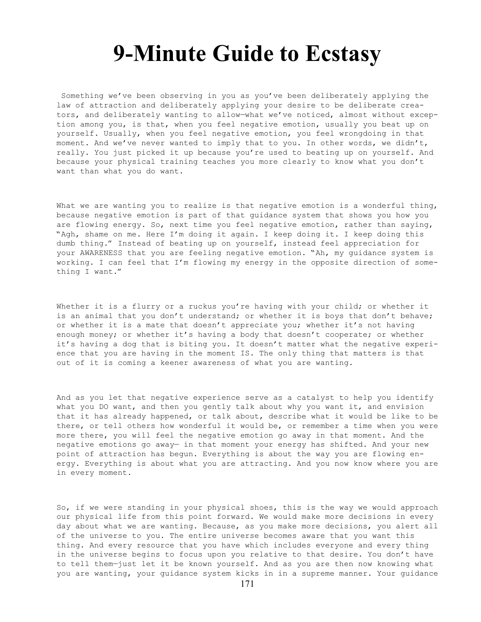## 9-Minute Guide to Ecstasy

Something we've been observing in you as you've been deliberately applying the law of attraction and deliberately applying your desire to be deliberate creators, and deliberately wanting to allow-what we've noticed, almost without exception among you, is that, when you feel negative emotion, usually you beat up on yourself. Usually, when you feel negative emotion, you feel wrongdoing in that moment. And we've never wanted to imply that to you. In other words, we didn't, really. You just picked it up because you're used to beating up on yourself. And because your physical training teaches you more clearly to know what you don't want than what you do want.

What we are wanting you to realize is that negative emotion is a wonderful thing, because negative emotion is part of that guidance system that shows you how you are flowing energy. So, next time you feel negative emotion, rather than saying, "Agh, shame on me. Here I'm doing it again. I keep doing it. I keep doing this dumb thing." Instead of beating up on yourself, instead feel appreciation for your AWARENESS that you are feeling negative emotion. "Ah, my guidance system is working. I can feel that I'm flowing my energy in the opposite direction of something I want."

Whether it is a flurry or a ruckus you're having with your child; or whether it is an animal that you don't understand; or whether it is boys that don't behave; or whether it is a mate that doesn't appreciate you; whether it's not having enough money; or whether it's having a body that doesn't cooperate; or whether it's having a dog that is biting you. It doesn't matter what the negative experience that you are having in the moment IS. The only thing that matters is that out of it is coming a keener awareness of what you are wanting.

And as you let that negative experience serve as a catalyst to help you identify what you DO want, and then you gently talk about why you want it, and envision that it has already happened, or talk about, describe what it would be like to be there, or tell others how wonderful it would be, or remember a time when you were more there, you will feel the negative emotion go away in that moment. And the negative emotions go away- in that moment your energy has shifted. And your new point of attraction has begun. Everything is about the way you are flowing energy. Everything is about what you are attracting. And you now know where you are in every moment.

So, if we were standing in your physical shoes, this is the way we would approach our physical life from this point forward. We would make more decisions in every day about what we are wanting. Because, as you make more decisions, you alert all of the universe to you. The entire universe becomes aware that you want this thing. And every resource that you have which includes everyone and every thing in the universe begins to focus upon you relative to that desire. You don't have to tell them-just let it be known yourself. And as you are then now knowing what you are wanting, your guidance system kicks in in a supreme manner. Your guidance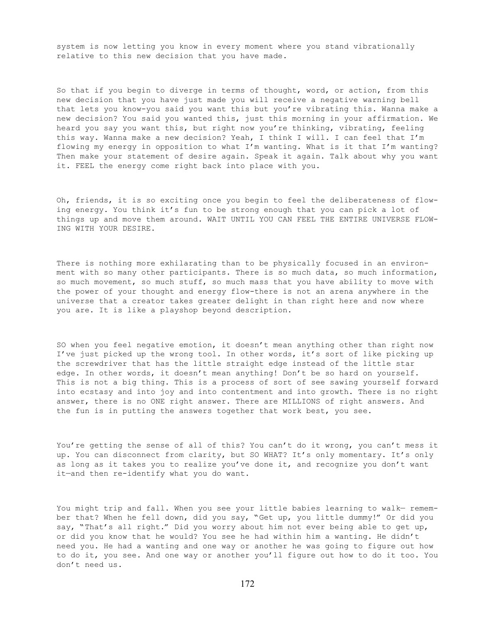system is now letting you know in every moment where you stand vibrationally relative to this new decision that you have made.

So that if you begin to diverge in terms of thought, word, or action, from this new decision that you have just made you will receive a negative warning bell that lets you know-you said you want this but you're vibrating this. Wanna make a new decision? You said you wanted this, just this morning in your affirmation. We heard you say you want this, but right now you're thinking, vibrating, feeling this way. Wanna make a new decision? Yeah, I think I will. I can feel that I'm flowing my energy in opposition to what  $I'm$  wanting. What is it that  $I'm$  wanting? Then make your statement of desire again. Speak it again. Talk about why you want it. FEEL the energy come right back into place with you.

Oh, friends, it is so exciting once you begin to feel the deliberateness of flowing energy. You think it's fun to be strong enough that you can pick a lot of things up and move them around. WAIT UNTIL YOU CAN FEEL THE ENTIRE UNIVERSE FLOW-ING WITH YOUR DESIRE.

There is nothing more exhilarating than to be physically focused in an environment with so many other participants. There is so much data, so much information, so much movement, so much stuff, so much mass that you have ability to move with the power of your thought and energy flow-there is not an arena anywhere in the universe that a creator takes greater delight in than right here and now where you are. It is like a playshop beyond description.

SO when you feel negative emotion, it doesn't mean anything other than right now I've just picked up the wrong tool. In other words, it's sort of like picking up the screwdriver that has the little straight edge instead of the little star edge. In other words, it doesn't mean anything! Don't be so hard on yourself. This is not a big thing. This is a process of sort of see sawing yourself forward into ecstasy and into joy and into contentment and into growth. There is no right answer, there is no ONE right answer. There are MILLIONS of right answers. And the fun is in putting the answers together that work best, you see.

You're getting the sense of all of this? You can't do it wrong, you can't mess it up. You can disconnect from clarity, but SO WHAT? It's only momentary. It's only as long as it takes you to realize you've done it, and recognize you don't want it-and then re-identify what you do want.

You might trip and fall. When you see your little babies learning to walk- remember that? When he fell down, did you say, "Get up, you little dummy!" Or did you say, "That's all right." Did you worry about him not ever being able to get up, or did you know that he would? You see he had within him a wanting. He didn't need you. He had a wanting and one way or another he was going to figure out how to do it, you see. And one way or another you'll figure out how to do it too. You don't need us.